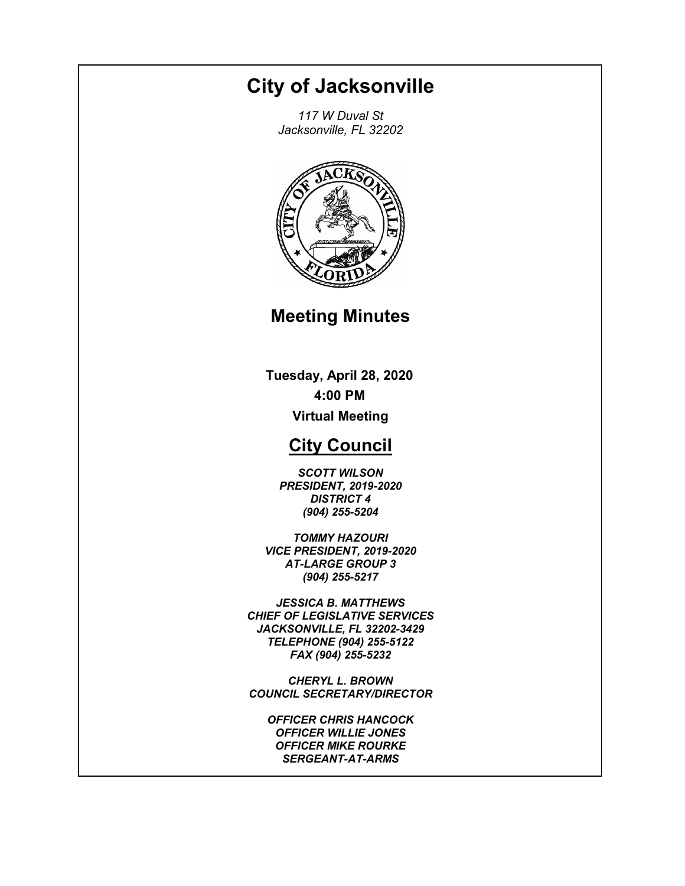# **City of Jacksonville**

*117 W Duval St Jacksonville, FL 32202*



# **Meeting Minutes**

**Tuesday, April 28, 2020 4:00 PM Virtual Meeting**

# **City Council**

*SCOTT WILSON PRESIDENT, 2019-2020 DISTRICT 4 (904) 255-5204*

*TOMMY HAZOURI VICE PRESIDENT, 2019-2020 AT-LARGE GROUP 3 (904) 255-5217*

*JESSICA B. MATTHEWS CHIEF OF LEGISLATIVE SERVICES JACKSONVILLE, FL 32202-3429 TELEPHONE (904) 255-5122 FAX (904) 255-5232*

*CHERYL L. BROWN COUNCIL SECRETARY/DIRECTOR*

*OFFICER CHRIS HANCOCK OFFICER WILLIE JONES OFFICER MIKE ROURKE SERGEANT-AT-ARMS*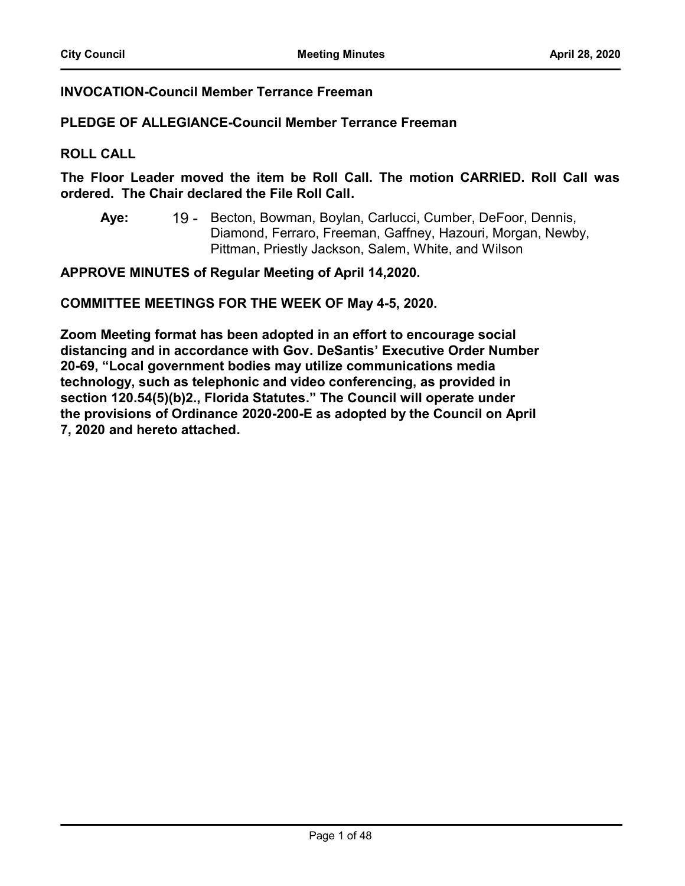# **INVOCATION-Council Member Terrance Freeman**

# **PLEDGE OF ALLEGIANCE-Council Member Terrance Freeman**

#### **ROLL CALL**

**The Floor Leader moved the item be Roll Call. The motion CARRIED. Roll Call was ordered. The Chair declared the File Roll Call.**

19 - Becton, Bowman, Boylan, Carlucci, Cumber, DeFoor, Dennis, Diamond, Ferraro, Freeman, Gaffney, Hazouri, Morgan, Newby, Pittman, Priestly Jackson, Salem, White, and Wilson **Aye:**

**APPROVE MINUTES of Regular Meeting of April 14,2020.**

**COMMITTEE MEETINGS FOR THE WEEK OF May 4-5, 2020.**

**Zoom Meeting format has been adopted in an effort to encourage social distancing and in accordance with Gov. DeSantis' Executive Order Number 20-69, "Local government bodies may utilize communications media technology, such as telephonic and video conferencing, as provided in section 120.54(5)(b)2., Florida Statutes." The Council will operate under the provisions of Ordinance 2020-200-E as adopted by the Council on April 7, 2020 and hereto attached.**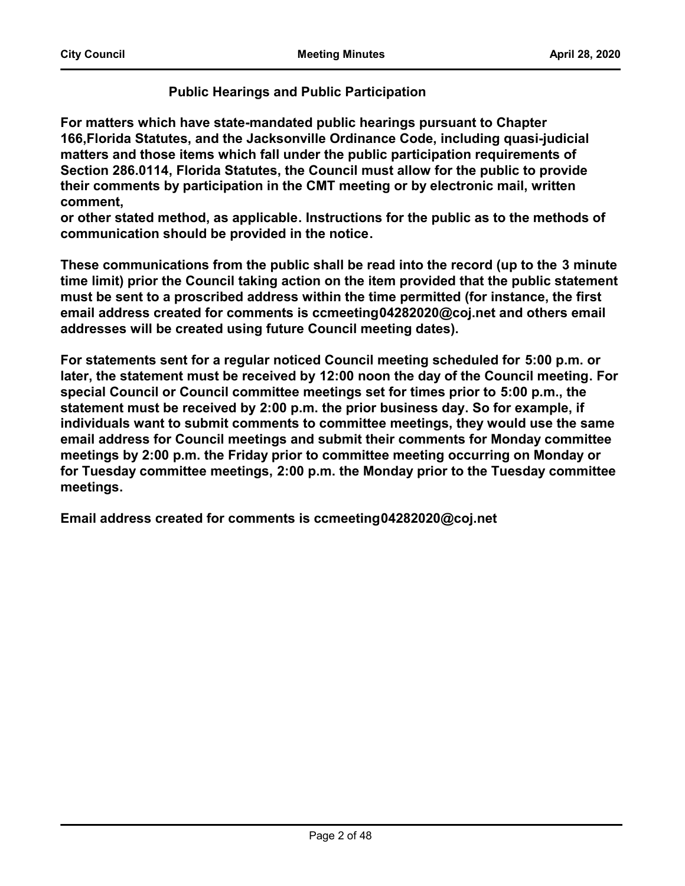# **Public Hearings and Public Participation**

**For matters which have state-mandated public hearings pursuant to Chapter 166,Florida Statutes, and the Jacksonville Ordinance Code, including quasi-judicial matters and those items which fall under the public participation requirements of Section 286.0114, Florida Statutes, the Council must allow for the public to provide their comments by participation in the CMT meeting or by electronic mail, written comment,**

**or other stated method, as applicable. Instructions for the public as to the methods of communication should be provided in the notice.**

**These communications from the public shall be read into the record (up to the 3 minute time limit) prior the Council taking action on the item provided that the public statement must be sent to a proscribed address within the time permitted (for instance, the first email address created for comments is ccmeeting04282020@coj.net and others email addresses will be created using future Council meeting dates).**

**For statements sent for a regular noticed Council meeting scheduled for 5:00 p.m. or later, the statement must be received by 12:00 noon the day of the Council meeting. For special Council or Council committee meetings set for times prior to 5:00 p.m., the statement must be received by 2:00 p.m. the prior business day. So for example, if individuals want to submit comments to committee meetings, they would use the same email address for Council meetings and submit their comments for Monday committee meetings by 2:00 p.m. the Friday prior to committee meeting occurring on Monday or for Tuesday committee meetings, 2:00 p.m. the Monday prior to the Tuesday committee meetings.**

**Email address created for comments is ccmeeting04282020@coj.net**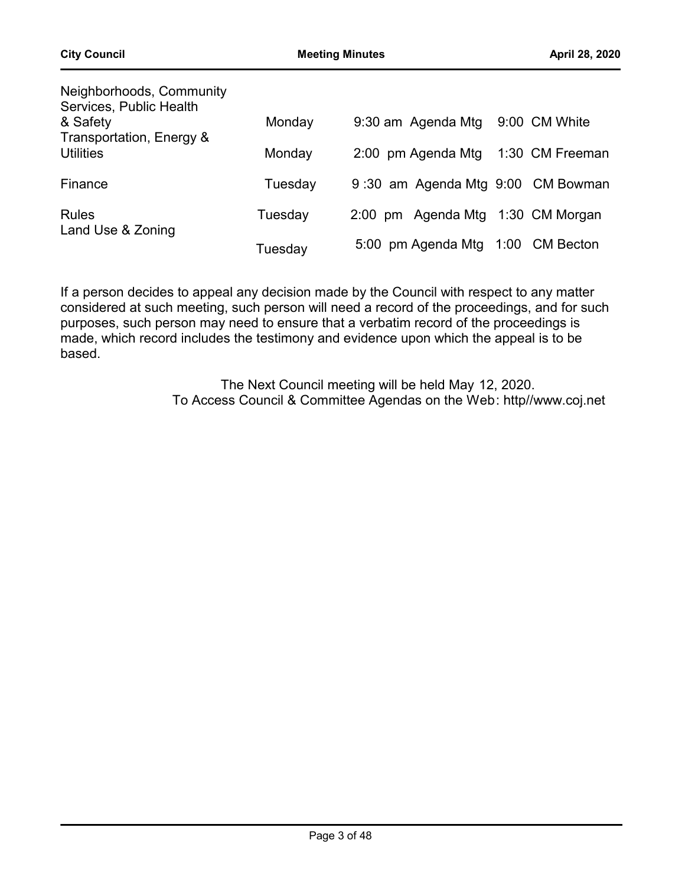| Neighborhoods, Community<br>Services, Public Health |         |                                   |      |                  |
|-----------------------------------------------------|---------|-----------------------------------|------|------------------|
| & Safety                                            | Monday  | 9:30 am Agenda Mtg                |      | 9:00 CM White    |
| Transportation, Energy &<br><b>Utilities</b>        | Monday  | 2:00 pm Agenda Mtg                |      | 1:30 CM Freeman  |
| Finance                                             | Tuesday | 9:30 am Agenda Mtg 9:00 CM Bowman |      |                  |
| <b>Rules</b>                                        | Tuesday | 2:00 pm Agenda Mtg 1:30 CM Morgan |      |                  |
| Land Use & Zoning                                   | Tuesdav | 5:00 pm Agenda Mtg                | 1:00 | <b>CM Becton</b> |

If a person decides to appeal any decision made by the Council with respect to any matter considered at such meeting, such person will need a record of the proceedings, and for such purposes, such person may need to ensure that a verbatim record of the proceedings is made, which record includes the testimony and evidence upon which the appeal is to be based.

> The Next Council meeting will be held May 12, 2020. To Access Council & Committee Agendas on the Web: http//www.coj.net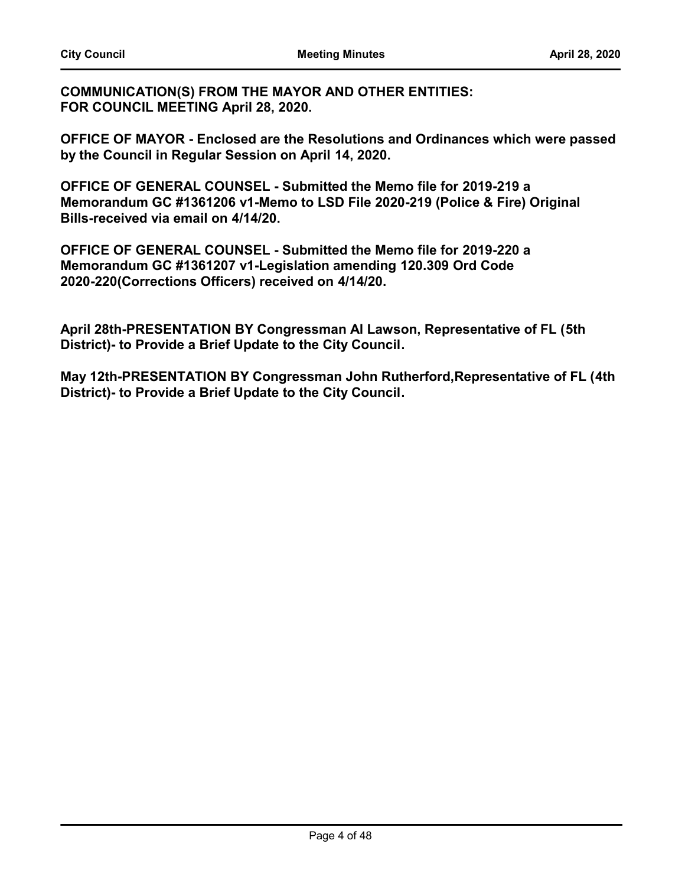**COMMUNICATION(S) FROM THE MAYOR AND OTHER ENTITIES: FOR COUNCIL MEETING April 28, 2020.**

**OFFICE OF MAYOR - Enclosed are the Resolutions and Ordinances which were passed by the Council in Regular Session on April 14, 2020.** 

**OFFICE OF GENERAL COUNSEL - Submitted the Memo file for 2019-219 a Memorandum GC #1361206 v1-Memo to LSD File 2020-219 (Police & Fire) Original Bills-received via email on 4/14/20.**

**OFFICE OF GENERAL COUNSEL - Submitted the Memo file for 2019-220 a Memorandum GC #1361207 v1-Legislation amending 120.309 Ord Code 2020-220(Corrections Officers) received on 4/14/20.**

**April 28th-PRESENTATION BY Congressman Al Lawson, Representative of FL (5th District)- to Provide a Brief Update to the City Council.** 

**May 12th-PRESENTATION BY Congressman John Rutherford,Representative of FL (4th District)- to Provide a Brief Update to the City Council.**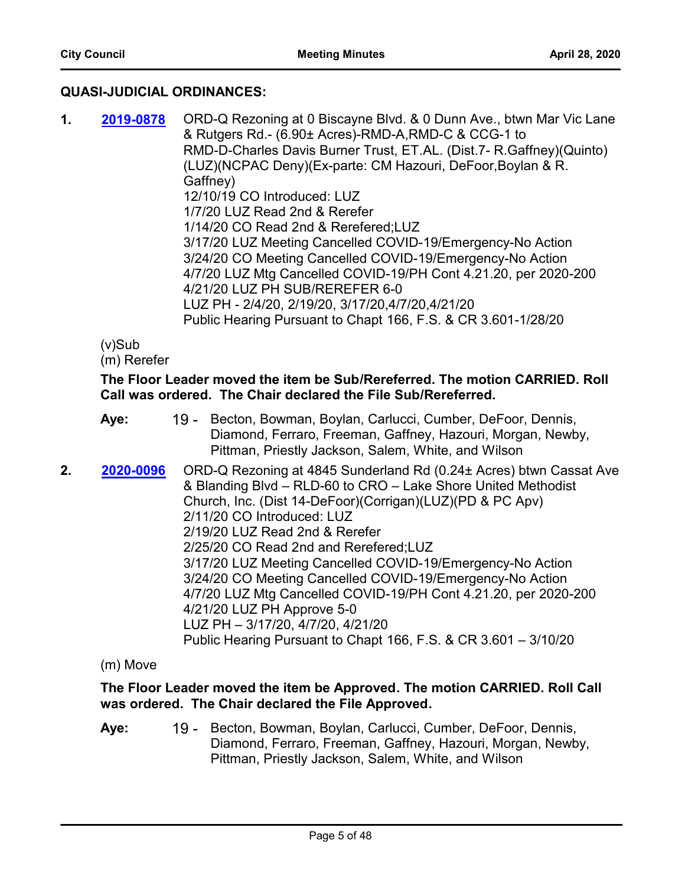# **QUASI-JUDICIAL ORDINANCES:**

**1. 2019-0878** ORD-Q Rezoning at 0 Biscayne Blvd. & 0 Dunn Ave., btwn Mar Vic Lane & Rutgers Rd.- (6.90± Acres)-RMD-A,RMD-C & CCG-1 to RMD-D-Charles Davis Burner Trust, ET.AL. (Dist.7- R.Gaffney)(Quinto) (LUZ)(NCPAC Deny)(Ex-parte: CM Hazouri, DeFoor,Boylan & R. Gaffney) 12/10/19 CO Introduced: LUZ 1/7/20 LUZ Read 2nd & Rerefer 1/14/20 CO Read 2nd & Rerefered;LUZ 3/17/20 LUZ Meeting Cancelled COVID-19/Emergency-No Action 3/24/20 CO Meeting Cancelled COVID-19/Emergency-No Action 4/7/20 LUZ Mtg Cancelled COVID-19/PH Cont 4.21.20, per 2020-200 4/21/20 LUZ PH SUB/REREFER 6-0 LUZ PH - 2/4/20, 2/19/20, 3/17/20,4/7/20,4/21/20 Public Hearing Pursuant to Chapt 166, F.S. & CR 3.601-1/28/20 **[2019-0878](http://jaxcityc.legistar.com/gateway.aspx?m=l&id=/matter.aspx?key=2029)**

(v)Sub

(m) Rerefer

# **The Floor Leader moved the item be Sub/Rereferred. The motion CARRIED. Roll Call was ordered. The Chair declared the File Sub/Rereferred.**

- 19 Becton, Bowman, Boylan, Carlucci, Cumber, DeFoor, Dennis, Diamond, Ferraro, Freeman, Gaffney, Hazouri, Morgan, Newby, Pittman, Priestly Jackson, Salem, White, and Wilson **Aye:**
- **2. 2020-0096** ORD-Q Rezoning at 4845 Sunderland Rd (0.24± Acres) btwn Cassat Ave & Blanding Blvd – RLD-60 to CRO – Lake Shore United Methodist Church, Inc. (Dist 14-DeFoor)(Corrigan)(LUZ)(PD & PC Apv) 2/11/20 CO Introduced: LUZ 2/19/20 LUZ Read 2nd & Rerefer 2/25/20 CO Read 2nd and Rerefered;LUZ 3/17/20 LUZ Meeting Cancelled COVID-19/Emergency-No Action 3/24/20 CO Meeting Cancelled COVID-19/Emergency-No Action 4/7/20 LUZ Mtg Cancelled COVID-19/PH Cont 4.21.20, per 2020-200 4/21/20 LUZ PH Approve 5-0 LUZ PH – 3/17/20, 4/7/20, 4/21/20 Public Hearing Pursuant to Chapt 166, F.S. & CR 3.601 – 3/10/20 **[2020-0096](http://jaxcityc.legistar.com/gateway.aspx?m=l&id=/matter.aspx?key=2146)**

(m) Move

# **The Floor Leader moved the item be Approved. The motion CARRIED. Roll Call was ordered. The Chair declared the File Approved.**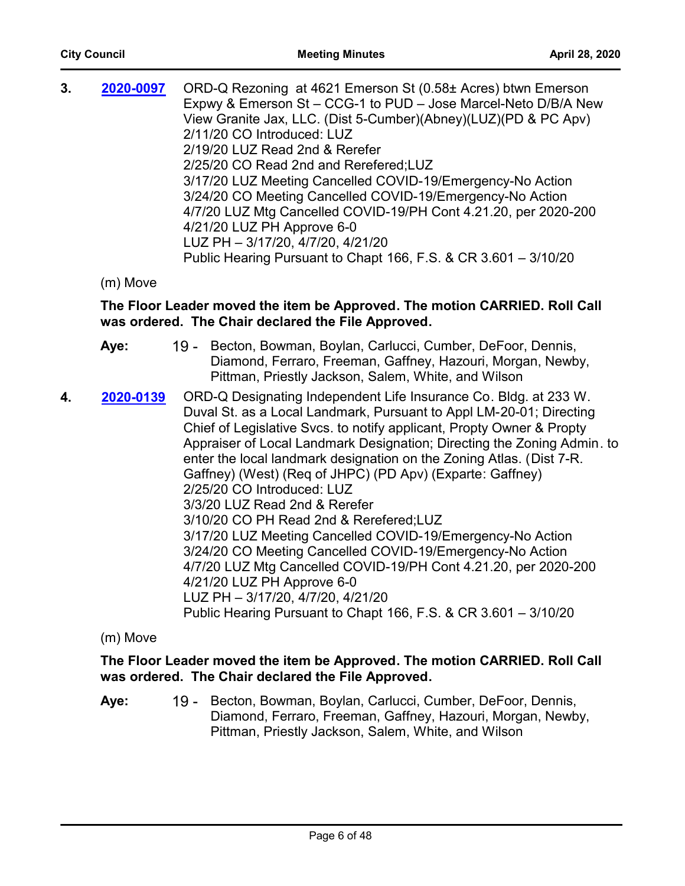| 3. | 2020-0097 | ORD-Q Rezoning at 4621 Emerson St (0.58± Acres) btwn Emerson    |
|----|-----------|-----------------------------------------------------------------|
|    |           | Expwy & Emerson St - CCG-1 to PUD - Jose Marcel-Neto D/B/A New  |
|    |           | View Granite Jax, LLC. (Dist 5-Cumber)(Abney)(LUZ)(PD & PC Apv) |
|    |           | 2/11/20 CO Introduced: LUZ                                      |
|    |           | 2/19/20 LUZ Read 2nd & Rerefer                                  |
|    |           | 2/25/20 CO Read 2nd and Rerefered; LUZ                          |
|    |           | 3/17/20 LUZ Meeting Cancelled COVID-19/Emergency-No Action      |
|    |           | 3/24/20 CO Meeting Cancelled COVID-19/Emergency-No Action       |
|    |           | 4/7/20 LUZ Mtg Cancelled COVID-19/PH Cont 4.21.20, per 2020-200 |
|    |           | 4/21/20 LUZ PH Approve 6-0                                      |
|    |           | LUZ PH - 3/17/20, 4/7/20, 4/21/20                               |
|    |           | Public Hearing Pursuant to Chapt 166, F.S. & CR 3.601 - 3/10/20 |
|    |           |                                                                 |

(m) Move

# **The Floor Leader moved the item be Approved. The motion CARRIED. Roll Call was ordered. The Chair declared the File Approved.**

- 19 Becton, Bowman, Boylan, Carlucci, Cumber, DeFoor, Dennis, Diamond, Ferraro, Freeman, Gaffney, Hazouri, Morgan, Newby, Pittman, Priestly Jackson, Salem, White, and Wilson **Aye:**
- **4. 2020-0139** ORD-Q Designating Independent Life Insurance Co. Bldg. at 233 W. Duval St. as a Local Landmark, Pursuant to Appl LM-20-01; Directing Chief of Legislative Svcs. to notify applicant, Propty Owner & Propty Appraiser of Local Landmark Designation; Directing the Zoning Admin. to enter the local landmark designation on the Zoning Atlas. (Dist 7-R. Gaffney) (West) (Req of JHPC) (PD Apv) (Exparte: Gaffney) 2/25/20 CO Introduced: LUZ 3/3/20 LUZ Read 2nd & Rerefer 3/10/20 CO PH Read 2nd & Rerefered;LUZ 3/17/20 LUZ Meeting Cancelled COVID-19/Emergency-No Action 3/24/20 CO Meeting Cancelled COVID-19/Emergency-No Action 4/7/20 LUZ Mtg Cancelled COVID-19/PH Cont 4.21.20, per 2020-200 4/21/20 LUZ PH Approve 6-0 LUZ PH – 3/17/20, 4/7/20, 4/21/20 Public Hearing Pursuant to Chapt 166, F.S. & CR 3.601 – 3/10/20 **[2020-0139](http://jaxcityc.legistar.com/gateway.aspx?m=l&id=/matter.aspx?key=2202)**

(m) Move

# **The Floor Leader moved the item be Approved. The motion CARRIED. Roll Call was ordered. The Chair declared the File Approved.**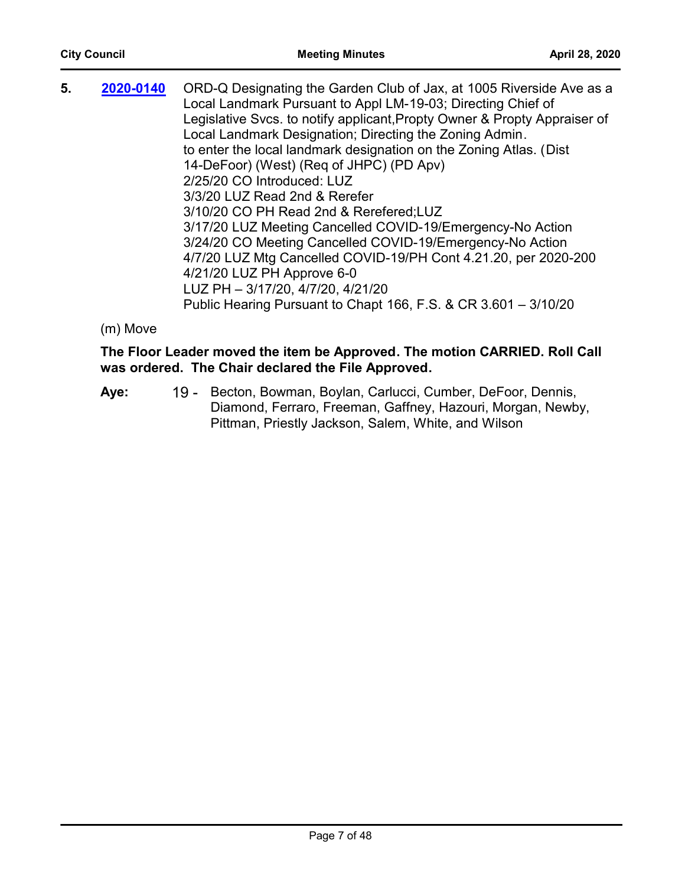| 5. | 2020-0140 | ORD-Q Designating the Garden Club of Jax, at 1005 Riverside Ave as a      |
|----|-----------|---------------------------------------------------------------------------|
|    |           | Local Landmark Pursuant to Appl LM-19-03; Directing Chief of              |
|    |           | Legislative Svcs. to notify applicant, Propty Owner & Propty Appraiser of |
|    |           | Local Landmark Designation; Directing the Zoning Admin.                   |
|    |           | to enter the local landmark designation on the Zoning Atlas. (Dist        |
|    |           | 14-DeFoor) (West) (Req of JHPC) (PD Apv)                                  |
|    |           | 2/25/20 CO Introduced: LUZ                                                |
|    |           | 3/3/20 LUZ Read 2nd & Rerefer                                             |
|    |           | 3/10/20 CO PH Read 2nd & Rerefered; LUZ                                   |
|    |           | 3/17/20 LUZ Meeting Cancelled COVID-19/Emergency-No Action                |
|    |           | 3/24/20 CO Meeting Cancelled COVID-19/Emergency-No Action                 |
|    |           | 4/7/20 LUZ Mtg Cancelled COVID-19/PH Cont 4.21.20, per 2020-200           |
|    |           | 4/21/20 LUZ PH Approve 6-0                                                |
|    |           | LUZ PH - 3/17/20, 4/7/20, 4/21/20                                         |
|    |           | Public Hearing Pursuant to Chapt 166, F.S. & CR 3.601 - 3/10/20           |
|    |           |                                                                           |

(m) Move

# **The Floor Leader moved the item be Approved. The motion CARRIED. Roll Call was ordered. The Chair declared the File Approved.**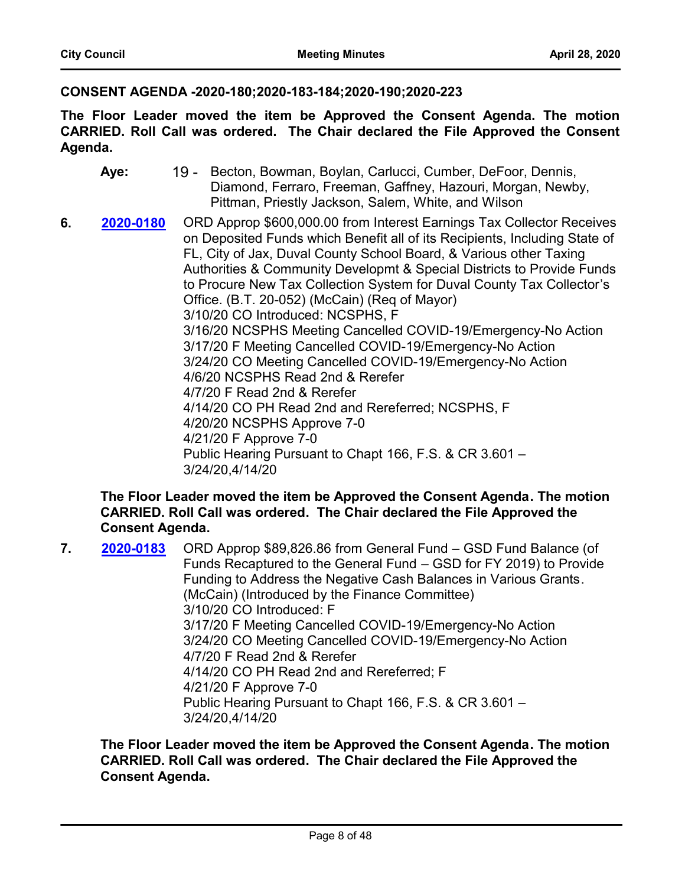#### **CONSENT AGENDA -2020-180;2020-183-184;2020-190;2020-223**

**The Floor Leader moved the item be Approved the Consent Agenda. The motion CARRIED. Roll Call was ordered. The Chair declared the File Approved the Consent Agenda.**

- 19 Becton, Bowman, Boylan, Carlucci, Cumber, DeFoor, Dennis, Diamond, Ferraro, Freeman, Gaffney, Hazouri, Morgan, Newby, Pittman, Priestly Jackson, Salem, White, and Wilson **Aye:**
- **6. 2020-0180** ORD Approp \$600,000.00 from Interest Earnings Tax Collector Receives on Deposited Funds which Benefit all of its Recipients, Including State of FL, City of Jax, Duval County School Board, & Various other Taxing Authorities & Community Developmt & Special Districts to Provide Funds to Procure New Tax Collection System for Duval County Tax Collector's Office. (B.T. 20-052) (McCain) (Req of Mayor) 3/10/20 CO Introduced: NCSPHS, F 3/16/20 NCSPHS Meeting Cancelled COVID-19/Emergency-No Action 3/17/20 F Meeting Cancelled COVID-19/Emergency-No Action 3/24/20 CO Meeting Cancelled COVID-19/Emergency-No Action 4/6/20 NCSPHS Read 2nd & Rerefer 4/7/20 F Read 2nd & Rerefer 4/14/20 CO PH Read 2nd and Rereferred; NCSPHS, F 4/20/20 NCSPHS Approve 7-0 4/21/20 F Approve 7-0 Public Hearing Pursuant to Chapt 166, F.S. & CR 3.601 – 3/24/20,4/14/20 **[2020-0180](http://jaxcityc.legistar.com/gateway.aspx?m=l&id=/matter.aspx?key=2247)**

#### **The Floor Leader moved the item be Approved the Consent Agenda. The motion CARRIED. Roll Call was ordered. The Chair declared the File Approved the Consent Agenda.**

**7. 2020-0183** ORD Approp \$89,826.86 from General Fund – GSD Fund Balance (of Funds Recaptured to the General Fund – GSD for FY 2019) to Provide Funding to Address the Negative Cash Balances in Various Grants. (McCain) (Introduced by the Finance Committee) 3/10/20 CO Introduced: F 3/17/20 F Meeting Cancelled COVID-19/Emergency-No Action 3/24/20 CO Meeting Cancelled COVID-19/Emergency-No Action 4/7/20 F Read 2nd & Rerefer 4/14/20 CO PH Read 2nd and Rereferred; F 4/21/20 F Approve 7-0 Public Hearing Pursuant to Chapt 166, F.S. & CR 3.601 – 3/24/20,4/14/20 **[2020-0183](http://jaxcityc.legistar.com/gateway.aspx?m=l&id=/matter.aspx?key=2250)**

**The Floor Leader moved the item be Approved the Consent Agenda. The motion CARRIED. Roll Call was ordered. The Chair declared the File Approved the Consent Agenda.**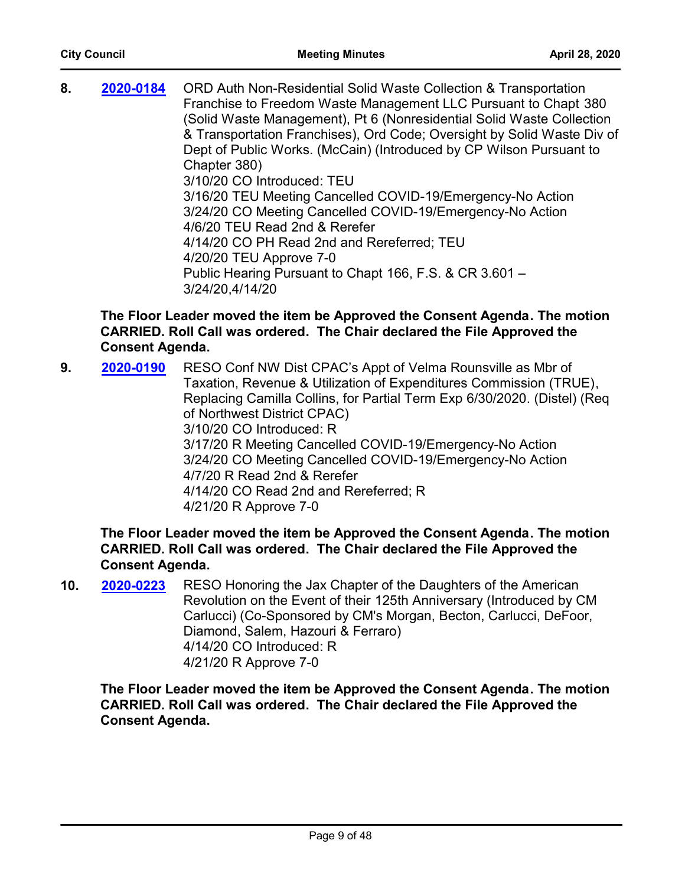**8. 2020-0184** ORD Auth Non-Residential Solid Waste Collection & Transportation Franchise to Freedom Waste Management LLC Pursuant to Chapt 380 (Solid Waste Management), Pt 6 (Nonresidential Solid Waste Collection & Transportation Franchises), Ord Code; Oversight by Solid Waste Div of Dept of Public Works. (McCain) (Introduced by CP Wilson Pursuant to Chapter 380) 3/10/20 CO Introduced: TEU 3/16/20 TEU Meeting Cancelled COVID-19/Emergency-No Action 3/24/20 CO Meeting Cancelled COVID-19/Emergency-No Action 4/6/20 TEU Read 2nd & Rerefer 4/14/20 CO PH Read 2nd and Rereferred; TEU 4/20/20 TEU Approve 7-0 Public Hearing Pursuant to Chapt 166, F.S. & CR 3.601 – 3/24/20,4/14/20 **[2020-0184](http://jaxcityc.legistar.com/gateway.aspx?m=l&id=/matter.aspx?key=2251)**

# **The Floor Leader moved the item be Approved the Consent Agenda. The motion CARRIED. Roll Call was ordered. The Chair declared the File Approved the Consent Agenda.**

**9. 2020-0190** RESO Conf NW Dist CPAC's Appt of Velma Rounsville as Mbr of Taxation, Revenue & Utilization of Expenditures Commission (TRUE), Replacing Camilla Collins, for Partial Term Exp 6/30/2020. (Distel) (Req of Northwest District CPAC) 3/10/20 CO Introduced: R 3/17/20 R Meeting Cancelled COVID-19/Emergency-No Action 3/24/20 CO Meeting Cancelled COVID-19/Emergency-No Action 4/7/20 R Read 2nd & Rerefer 4/14/20 CO Read 2nd and Rereferred; R 4/21/20 R Approve 7-0 **[2020-0190](http://jaxcityc.legistar.com/gateway.aspx?m=l&id=/matter.aspx?key=2257)**

# **The Floor Leader moved the item be Approved the Consent Agenda. The motion CARRIED. Roll Call was ordered. The Chair declared the File Approved the Consent Agenda.**

**10. 2020-0223** RESO Honoring the Jax Chapter of the Daughters of the American Revolution on the Event of their 125th Anniversary (Introduced by CM Carlucci) (Co-Sponsored by CM's Morgan, Becton, Carlucci, DeFoor, Diamond, Salem, Hazouri & Ferraro) 4/14/20 CO Introduced: R 4/21/20 R Approve 7-0 **[2020-0223](http://jaxcityc.legistar.com/gateway.aspx?m=l&id=/matter.aspx?key=2296)**

**The Floor Leader moved the item be Approved the Consent Agenda. The motion CARRIED. Roll Call was ordered. The Chair declared the File Approved the Consent Agenda.**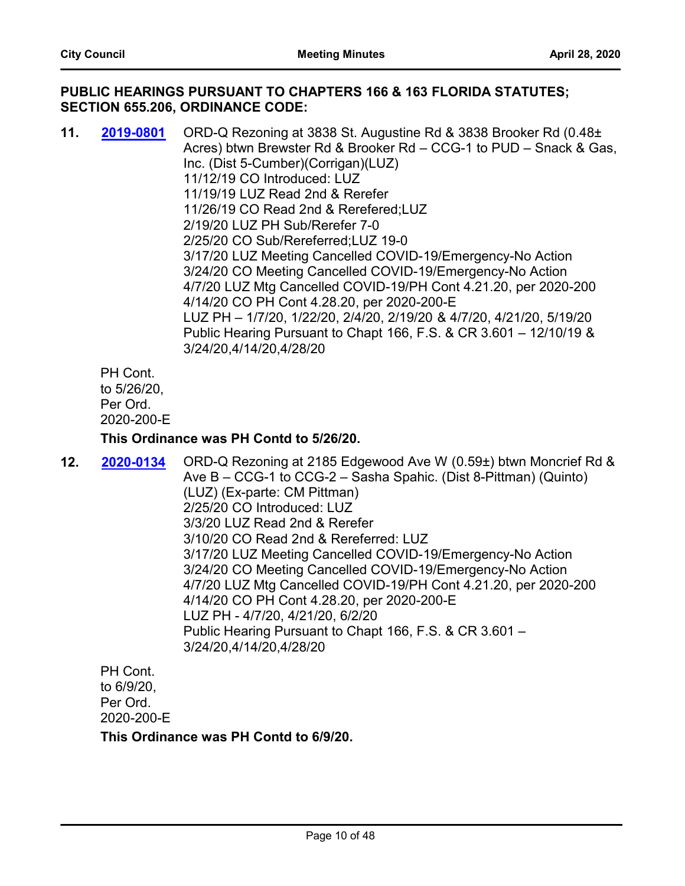#### **PUBLIC HEARINGS PURSUANT TO CHAPTERS 166 & 163 FLORIDA STATUTES; SECTION 655.206, ORDINANCE CODE:**

**11. 2019-0801** ORD-Q Rezoning at 3838 St. Augustine Rd & 3838 Brooker Rd (0.48± Acres) btwn Brewster Rd & Brooker Rd – CCG-1 to PUD – Snack & Gas, Inc. (Dist 5-Cumber)(Corrigan)(LUZ) 11/12/19 CO Introduced: LUZ 11/19/19 LUZ Read 2nd & Rerefer 11/26/19 CO Read 2nd & Rerefered;LUZ 2/19/20 LUZ PH Sub/Rerefer 7-0 2/25/20 CO Sub/Rereferred;LUZ 19-0 3/17/20 LUZ Meeting Cancelled COVID-19/Emergency-No Action 3/24/20 CO Meeting Cancelled COVID-19/Emergency-No Action 4/7/20 LUZ Mtg Cancelled COVID-19/PH Cont 4.21.20, per 2020-200 4/14/20 CO PH Cont 4.28.20, per 2020-200-E LUZ PH – 1/7/20, 1/22/20, 2/4/20, 2/19/20 & 4/7/20, 4/21/20, 5/19/20 Public Hearing Pursuant to Chapt 166, F.S. & CR 3.601 – 12/10/19 & 3/24/20,4/14/20,4/28/20 **[2019-0801](http://jaxcityc.legistar.com/gateway.aspx?m=l&id=/matter.aspx?key=1947)**

PH Cont. to 5/26/20, Per Ord. 2020-200-E

#### **This Ordinance was PH Contd to 5/26/20.**

**12. 2020-0134** ORD-Q Rezoning at 2185 Edgewood Ave W (0.59±) btwn Moncrief Rd & Ave B – CCG-1 to CCG-2 – Sasha Spahic. (Dist 8-Pittman) (Quinto) (LUZ) (Ex-parte: CM Pittman) 2/25/20 CO Introduced: LUZ 3/3/20 LUZ Read 2nd & Rerefer 3/10/20 CO Read 2nd & Rereferred: LUZ 3/17/20 LUZ Meeting Cancelled COVID-19/Emergency-No Action 3/24/20 CO Meeting Cancelled COVID-19/Emergency-No Action 4/7/20 LUZ Mtg Cancelled COVID-19/PH Cont 4.21.20, per 2020-200 4/14/20 CO PH Cont 4.28.20, per 2020-200-E LUZ PH - 4/7/20, 4/21/20, 6/2/20 Public Hearing Pursuant to Chapt 166, F.S. & CR 3.601 – 3/24/20,4/14/20,4/28/20 **[2020-0134](http://jaxcityc.legistar.com/gateway.aspx?m=l&id=/matter.aspx?key=2197)**

PH Cont. to 6/9/20, Per Ord. 2020-200-E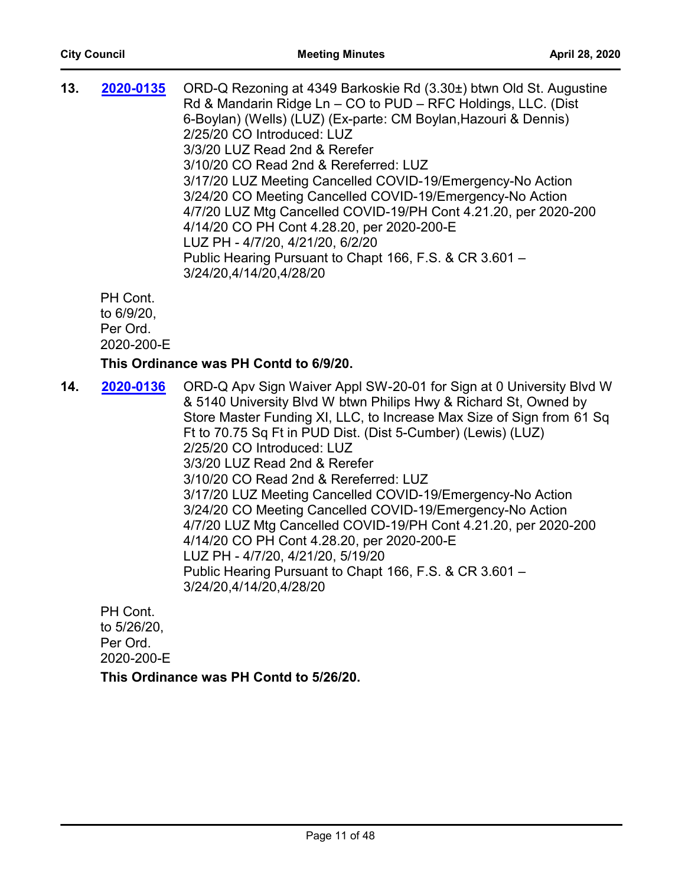| 13. | 2020-0135                         | ORD-Q Rezoning at 4349 Barkoskie Rd (3.30±) btwn Old St. Augustine<br>Rd & Mandarin Ridge Ln - CO to PUD - RFC Holdings, LLC. (Dist<br>6-Boylan) (Wells) (LUZ) (Ex-parte: CM Boylan, Hazouri & Dennis)<br>2/25/20 CO Introduced: LUZ<br>3/3/20 LUZ Read 2nd & Rerefer<br>3/10/20 CO Read 2nd & Rereferred: LUZ<br>3/17/20 LUZ Meeting Cancelled COVID-19/Emergency-No Action<br>3/24/20 CO Meeting Cancelled COVID-19/Emergency-No Action<br>4/7/20 LUZ Mtg Cancelled COVID-19/PH Cont 4.21.20, per 2020-200<br>4/14/20 CO PH Cont 4.28.20, per 2020-200-E<br>LUZ PH - 4/7/20, 4/21/20, 6/2/20<br>Public Hearing Pursuant to Chapt 166, F.S. & CR 3.601 - |
|-----|-----------------------------------|-----------------------------------------------------------------------------------------------------------------------------------------------------------------------------------------------------------------------------------------------------------------------------------------------------------------------------------------------------------------------------------------------------------------------------------------------------------------------------------------------------------------------------------------------------------------------------------------------------------------------------------------------------------|
|     |                                   | 3/24/20,4/14/20,4/28/20                                                                                                                                                                                                                                                                                                                                                                                                                                                                                                                                                                                                                                   |
|     | PH Cont.<br>$+A$ $\epsilon$ /0/20 |                                                                                                                                                                                                                                                                                                                                                                                                                                                                                                                                                                                                                                                           |

to 6/9/20, Per Ord. 2020-200-E

#### **This Ordinance was PH Contd to 6/9/20.**

**14. 2020-0136** ORD-Q Apv Sign Waiver Appl SW-20-01 for Sign at 0 University Blvd W & 5140 University Blvd W btwn Philips Hwy & Richard St, Owned by Store Master Funding XI, LLC, to Increase Max Size of Sign from 61 Sq Ft to 70.75 Sq Ft in PUD Dist. (Dist 5-Cumber) (Lewis) (LUZ) 2/25/20 CO Introduced: LUZ 3/3/20 LUZ Read 2nd & Rerefer 3/10/20 CO Read 2nd & Rereferred: LUZ 3/17/20 LUZ Meeting Cancelled COVID-19/Emergency-No Action 3/24/20 CO Meeting Cancelled COVID-19/Emergency-No Action 4/7/20 LUZ Mtg Cancelled COVID-19/PH Cont 4.21.20, per 2020-200 4/14/20 CO PH Cont 4.28.20, per 2020-200-E LUZ PH - 4/7/20, 4/21/20, 5/19/20 Public Hearing Pursuant to Chapt 166, F.S. & CR 3.601 – 3/24/20,4/14/20,4/28/20 **[2020-0136](http://jaxcityc.legistar.com/gateway.aspx?m=l&id=/matter.aspx?key=2199)**

PH Cont. to 5/26/20, Per Ord. 2020-200-E **This Ordinance was PH Contd to 5/26/20.**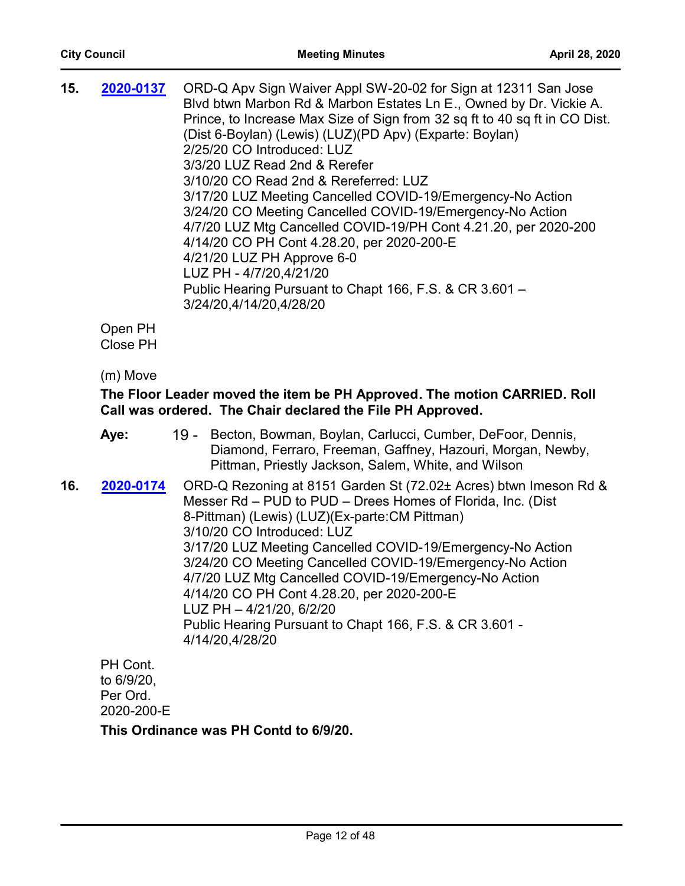| 15. | 2020-0137                  | ORD-Q Apv Sign Waiver Appl SW-20-02 for Sign at 12311 San Jose<br>Blvd btwn Marbon Rd & Marbon Estates Ln E., Owned by Dr. Vickie A.<br>Prince, to Increase Max Size of Sign from 32 sq ft to 40 sq ft in CO Dist.<br>(Dist 6-Boylan) (Lewis) (LUZ) (PD Apv) (Exparte: Boylan)<br>2/25/20 CO Introduced: LUZ<br>3/3/20 LUZ Read 2nd & Rerefer<br>3/10/20 CO Read 2nd & Rereferred: LUZ<br>3/17/20 LUZ Meeting Cancelled COVID-19/Emergency-No Action<br>3/24/20 CO Meeting Cancelled COVID-19/Emergency-No Action<br>4/7/20 LUZ Mtg Cancelled COVID-19/PH Cont 4.21.20, per 2020-200<br>4/14/20 CO PH Cont 4.28.20, per 2020-200-E<br>4/21/20 LUZ PH Approve 6-0<br>LUZ PH - 4/7/20,4/21/20 |
|-----|----------------------------|---------------------------------------------------------------------------------------------------------------------------------------------------------------------------------------------------------------------------------------------------------------------------------------------------------------------------------------------------------------------------------------------------------------------------------------------------------------------------------------------------------------------------------------------------------------------------------------------------------------------------------------------------------------------------------------------|
|     |                            | Public Hearing Pursuant to Chapt 166, F.S. & CR 3.601 -<br>3/24/20.4/14/20.4/28/20                                                                                                                                                                                                                                                                                                                                                                                                                                                                                                                                                                                                          |
|     | Open PH<br><b>Close PH</b> |                                                                                                                                                                                                                                                                                                                                                                                                                                                                                                                                                                                                                                                                                             |
|     | (m) Move                   |                                                                                                                                                                                                                                                                                                                                                                                                                                                                                                                                                                                                                                                                                             |

# **The Floor Leader moved the item be PH Approved. The motion CARRIED. Roll Call was ordered. The Chair declared the File PH Approved.**

|     | Aye:                  | 19 - Becton, Bowman, Boylan, Carlucci, Cumber, DeFoor, Dennis,<br>Diamond, Ferraro, Freeman, Gaffney, Hazouri, Morgan, Newby,<br>Pittman, Priestly Jackson, Salem, White, and Wilson                                                                                                                                                                                                                                                                                                                                                                         |
|-----|-----------------------|--------------------------------------------------------------------------------------------------------------------------------------------------------------------------------------------------------------------------------------------------------------------------------------------------------------------------------------------------------------------------------------------------------------------------------------------------------------------------------------------------------------------------------------------------------------|
| 16. | 2020-0174             | ORD-Q Rezoning at 8151 Garden St (72.02± Acres) btwn Imeson Rd &<br>Messer Rd - PUD to PUD - Drees Homes of Florida, Inc. (Dist<br>8-Pittman) (Lewis) (LUZ) (Ex-parte: CM Pittman)<br>3/10/20 CO Introduced: LUZ<br>3/17/20 LUZ Meeting Cancelled COVID-19/Emergency-No Action<br>3/24/20 CO Meeting Cancelled COVID-19/Emergency-No Action<br>4/7/20 LUZ Mtg Cancelled COVID-19/Emergency-No Action<br>4/14/20 CO PH Cont 4.28.20, per 2020-200-E<br>LUZ PH - 4/21/20, 6/2/20<br>Public Hearing Pursuant to Chapt 166, F.S. & CR 3.601 -<br>4/14/20,4/28/20 |
|     | PH Cont.<br>to 6/9/20 |                                                                                                                                                                                                                                                                                                                                                                                                                                                                                                                                                              |

to 6/9/20, Per Ord. 2020-200-E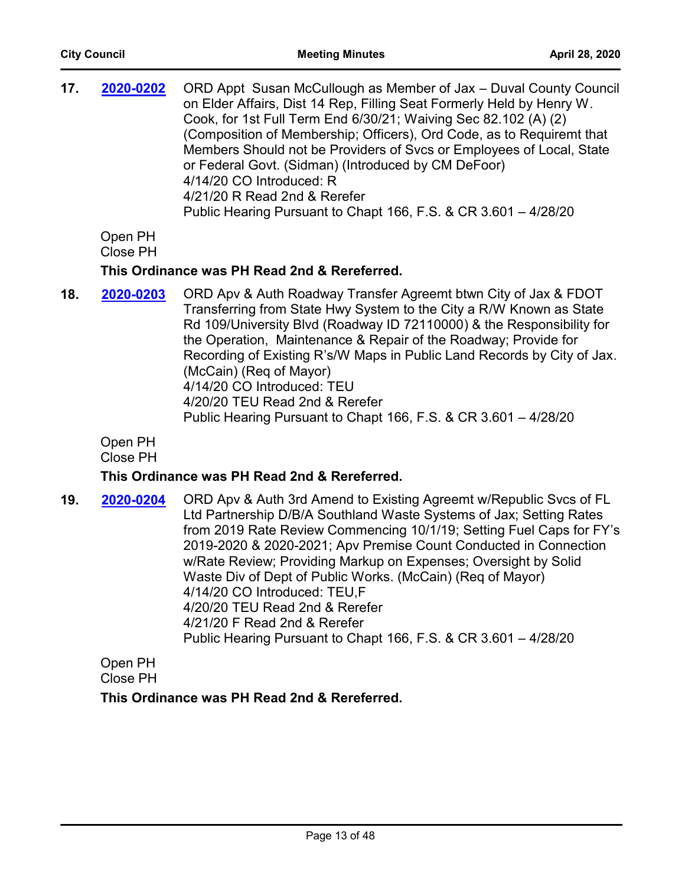| 17. | 2020-0202                              | ORD Appt Susan McCullough as Member of Jax - Duval County Council<br>on Elder Affairs, Dist 14 Rep, Filling Seat Formerly Held by Henry W.<br>Cook, for 1st Full Term End 6/30/21; Waiving Sec 82.102 (A) (2)<br>(Composition of Membership; Officers), Ord Code, as to Requiremt that<br>Members Should not be Providers of Svcs or Employees of Local, State<br>or Federal Govt. (Sidman) (Introduced by CM DeFoor)<br>4/14/20 CO Introduced: R<br>4/21/20 R Read 2nd & Rerefer<br>Public Hearing Pursuant to Chapt 166, F.S. & CR 3.601 - 4/28/20 |
|-----|----------------------------------------|------------------------------------------------------------------------------------------------------------------------------------------------------------------------------------------------------------------------------------------------------------------------------------------------------------------------------------------------------------------------------------------------------------------------------------------------------------------------------------------------------------------------------------------------------|
|     | Open PH<br><b>Close PH</b>             |                                                                                                                                                                                                                                                                                                                                                                                                                                                                                                                                                      |
|     |                                        | This Ordinance was PH Read 2nd & Rereferred.                                                                                                                                                                                                                                                                                                                                                                                                                                                                                                         |
| 18. | 2020-0203                              | ORD Apv & Auth Roadway Transfer Agreemt btwn City of Jax & FDOT<br>Transferring from State Hwy System to the City a R/W Known as State<br>Rd 109/University Blvd (Roadway ID 72110000) & the Responsibility for<br>the Operation, Maintenance & Repair of the Roadway; Provide for<br>Recording of Existing R's/W Maps in Public Land Records by City of Jax.<br>(McCain) (Req of Mayor)<br>4/14/20 CO Introduced: TEU<br>4/20/20 TEU Read 2nd & Rerefer<br>Public Hearing Pursuant to Chapt 166, F.S. & CR 3.601 - 4/28/20                          |
|     | Open PH<br>$\bigcap_{n \geq 1}$ . Di l |                                                                                                                                                                                                                                                                                                                                                                                                                                                                                                                                                      |

Close PH

# **This Ordinance was PH Read 2nd & Rereferred.**

**19. 2020-0204** ORD Apv & Auth 3rd Amend to Existing Agreemt w/Republic Svcs of FL Ltd Partnership D/B/A Southland Waste Systems of Jax; Setting Rates from 2019 Rate Review Commencing 10/1/19; Setting Fuel Caps for FY's 2019-2020 & 2020-2021; Apv Premise Count Conducted in Connection w/Rate Review; Providing Markup on Expenses; Oversight by Solid Waste Div of Dept of Public Works. (McCain) (Req of Mayor) 4/14/20 CO Introduced: TEU,F 4/20/20 TEU Read 2nd & Rerefer 4/21/20 F Read 2nd & Rerefer Public Hearing Pursuant to Chapt 166, F.S. & CR 3.601 – 4/28/20 **[2020-0204](http://jaxcityc.legistar.com/gateway.aspx?m=l&id=/matter.aspx?key=2277)**

Open PH Close PH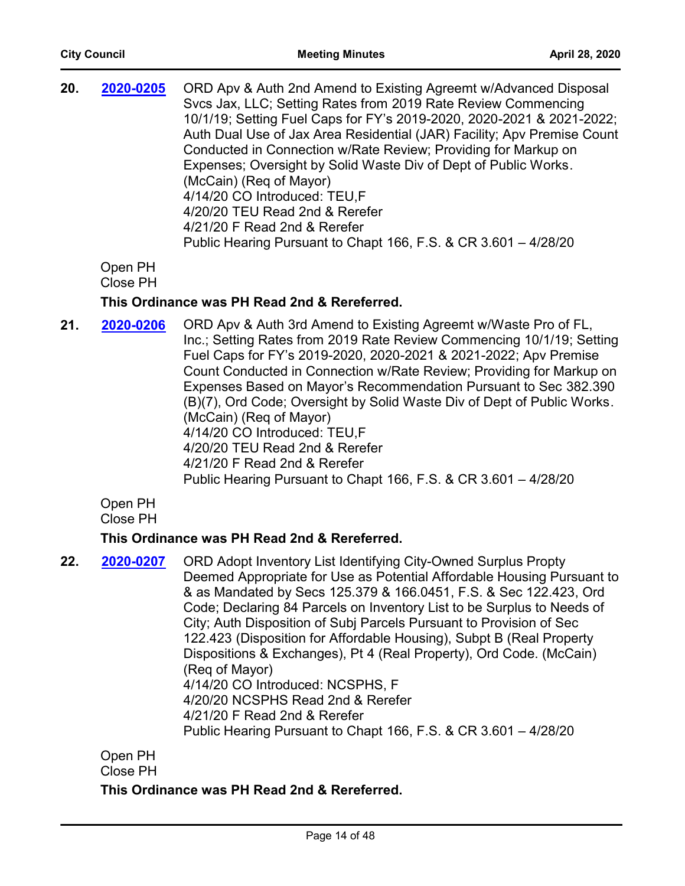| 20. | 2020-0205 | ORD Apv & Auth 2nd Amend to Existing Agreemt w/Advanced Disposal        |
|-----|-----------|-------------------------------------------------------------------------|
|     |           | Svcs Jax, LLC; Setting Rates from 2019 Rate Review Commencing           |
|     |           | 10/1/19; Setting Fuel Caps for FY's 2019-2020, 2020-2021 & 2021-2022;   |
|     |           | Auth Dual Use of Jax Area Residential (JAR) Facility; Apv Premise Count |
|     |           | Conducted in Connection w/Rate Review; Providing for Markup on          |
|     |           | Expenses; Oversight by Solid Waste Div of Dept of Public Works.         |
|     |           | (McCain) (Reg of Mayor)                                                 |
|     |           | 4/14/20 CO Introduced: TEU.F                                            |
|     |           | 4/20/20 TEU Read 2nd & Rerefer                                          |
|     |           | 4/21/20 F Read 2nd & Rerefer                                            |
|     |           | Public Hearing Pursuant to Chapt 166, F.S. & CR 3.601 - 4/28/20         |

Open PH

Close PH

# **This Ordinance was PH Read 2nd & Rereferred.**

**21. 2020-0206** ORD Apv & Auth 3rd Amend to Existing Agreemt w/Waste Pro of FL, Inc.; Setting Rates from 2019 Rate Review Commencing 10/1/19; Setting Fuel Caps for FY's 2019-2020, 2020-2021 & 2021-2022; Apv Premise Count Conducted in Connection w/Rate Review; Providing for Markup on Expenses Based on Mayor's Recommendation Pursuant to Sec 382.390 (B)(7), Ord Code; Oversight by Solid Waste Div of Dept of Public Works. (McCain) (Req of Mayor) 4/14/20 CO Introduced: TEU,F 4/20/20 TEU Read 2nd & Rerefer 4/21/20 F Read 2nd & Rerefer Public Hearing Pursuant to Chapt 166, F.S. & CR 3.601 – 4/28/20 **[2020-0206](http://jaxcityc.legistar.com/gateway.aspx?m=l&id=/matter.aspx?key=2279)**

Open PH

Close PH

# **This Ordinance was PH Read 2nd & Rereferred.**

**22. 2020-0207** ORD Adopt Inventory List Identifying City-Owned Surplus Propty Deemed Appropriate for Use as Potential Affordable Housing Pursuant to & as Mandated by Secs 125.379 & 166.0451, F.S. & Sec 122.423, Ord Code; Declaring 84 Parcels on Inventory List to be Surplus to Needs of City; Auth Disposition of Subj Parcels Pursuant to Provision of Sec 122.423 (Disposition for Affordable Housing), Subpt B (Real Property Dispositions & Exchanges), Pt 4 (Real Property), Ord Code. (McCain) (Req of Mayor) 4/14/20 CO Introduced: NCSPHS, F 4/20/20 NCSPHS Read 2nd & Rerefer 4/21/20 F Read 2nd & Rerefer Public Hearing Pursuant to Chapt 166, F.S. & CR 3.601 – 4/28/20 **[2020-0207](http://jaxcityc.legistar.com/gateway.aspx?m=l&id=/matter.aspx?key=2280)**

Open PH

Close PH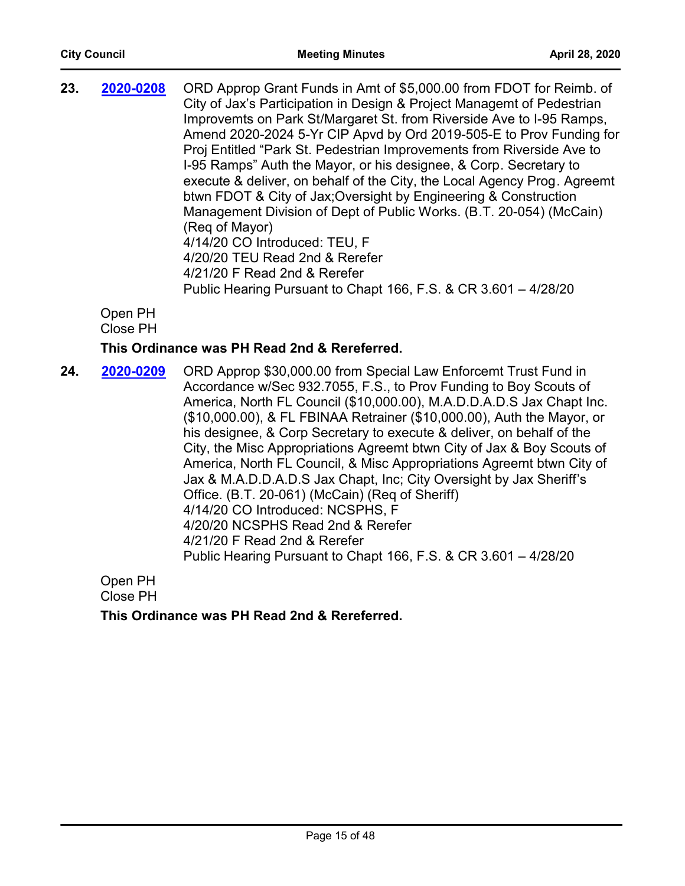| 23. | 2020-0208 | ORD Approp Grant Funds in Amt of \$5,000.00 from FDOT for Reimb. of<br>City of Jax's Participation in Design & Project Managemt of Pedestrian<br>Improvemts on Park St/Margaret St. from Riverside Ave to I-95 Ramps,<br>Amend 2020-2024 5-Yr CIP Apvd by Ord 2019-505-E to Prov Funding for<br>Proj Entitled "Park St. Pedestrian Improvements from Riverside Ave to<br>I-95 Ramps" Auth the Mayor, or his designee, & Corp. Secretary to<br>execute & deliver, on behalf of the City, the Local Agency Prog. Agreemt<br>btwn FDOT & City of Jax; Oversight by Engineering & Construction<br>Management Division of Dept of Public Works. (B.T. 20-054) (McCain)<br>(Reg of Mayor)<br>4/14/20 CO Introduced: TEU, F |
|-----|-----------|----------------------------------------------------------------------------------------------------------------------------------------------------------------------------------------------------------------------------------------------------------------------------------------------------------------------------------------------------------------------------------------------------------------------------------------------------------------------------------------------------------------------------------------------------------------------------------------------------------------------------------------------------------------------------------------------------------------------|
|     |           | 4/20/20 TEU Read 2nd & Rerefer<br>4/21/20 F Read 2nd & Rerefer<br>Public Hearing Pursuant to Chapt 166, F.S. & CR 3.601 - 4/28/20                                                                                                                                                                                                                                                                                                                                                                                                                                                                                                                                                                                    |

Open PH Close PH

# **This Ordinance was PH Read 2nd & Rereferred.**

**24. 2020-0209** ORD Approp \$30,000.00 from Special Law Enforcemt Trust Fund in Accordance w/Sec 932.7055, F.S., to Prov Funding to Boy Scouts of America, North FL Council (\$10,000.00), M.A.D.D.A.D.S Jax Chapt Inc. (\$10,000.00), & FL FBINAA Retrainer (\$10,000.00), Auth the Mayor, or his designee, & Corp Secretary to execute & deliver, on behalf of the City, the Misc Appropriations Agreemt btwn City of Jax & Boy Scouts of America, North FL Council, & Misc Appropriations Agreemt btwn City of Jax & M.A.D.D.A.D.S Jax Chapt, Inc; City Oversight by Jax Sheriff's Office. (B.T. 20-061) (McCain) (Req of Sheriff) 4/14/20 CO Introduced: NCSPHS, F 4/20/20 NCSPHS Read 2nd & Rerefer 4/21/20 F Read 2nd & Rerefer Public Hearing Pursuant to Chapt 166, F.S. & CR 3.601 – 4/28/20 **[2020-0209](http://jaxcityc.legistar.com/gateway.aspx?m=l&id=/matter.aspx?key=2282)**

Open PH Close PH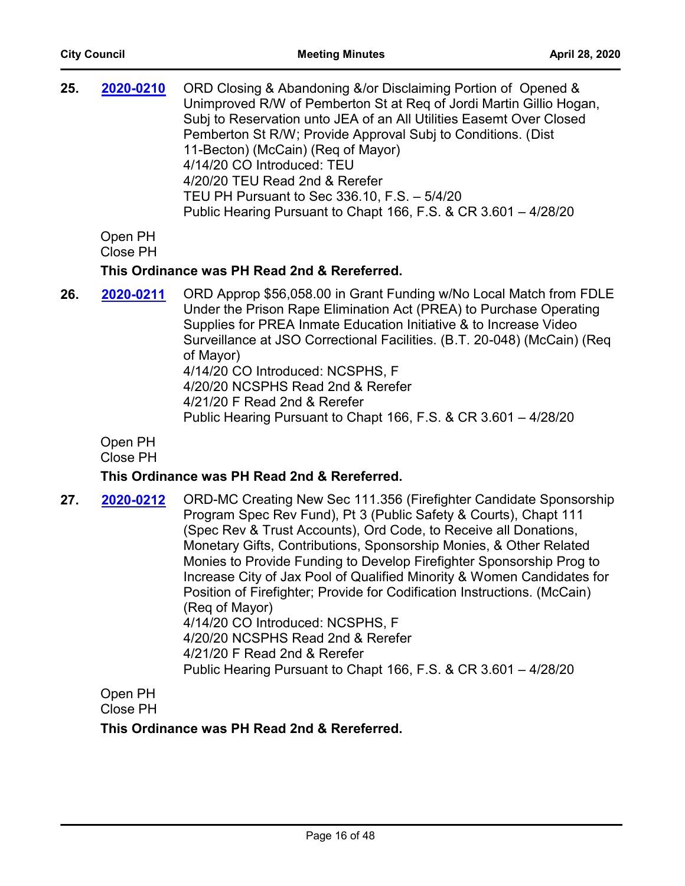| 25. | 2020-0210                                    | ORD Closing & Abandoning &/or Disclaiming Portion of Opened &<br>Unimproved R/W of Pemberton St at Reg of Jordi Martin Gillio Hogan,<br>Subj to Reservation unto JEA of an All Utilities Easemt Over Closed<br>Pemberton St R/W; Provide Approval Subj to Conditions. (Dist<br>11-Becton) (McCain) (Req of Mayor)<br>4/14/20 CO Introduced: TEU<br>4/20/20 TEU Read 2nd & Rerefer<br>TEU PH Pursuant to Sec 336.10, F.S. - 5/4/20<br>Public Hearing Pursuant to Chapt 166, F.S. & CR 3.601 - 4/28/20 |  |
|-----|----------------------------------------------|------------------------------------------------------------------------------------------------------------------------------------------------------------------------------------------------------------------------------------------------------------------------------------------------------------------------------------------------------------------------------------------------------------------------------------------------------------------------------------------------------|--|
|     | Open PH<br>Close PH                          |                                                                                                                                                                                                                                                                                                                                                                                                                                                                                                      |  |
|     | This Ordinance was PH Read 2nd & Rereferred. |                                                                                                                                                                                                                                                                                                                                                                                                                                                                                                      |  |
| 26. | 2020-0211                                    | ORD Approp \$56,058.00 in Grant Funding w/No Local Match from FDLE<br>Under the Prison Rape Elimination Act (PREA) to Purchase Operating<br>Supplies for PREA Inmate Education Initiative & to Increase Video<br>Surveillance at JSO Correctional Facilities. (B.T. 20-048) (McCain) (Req.<br>of Mayor)<br>4/14/20 CO Introduced: NCSPHS, F<br>4/20/20 NCSPHS Read 2nd & Rerefer<br>4/21/20 F Read 2nd & Rerefer<br>Public Hearing Pursuant to Chapt 166, F.S. & CR 3.601 - 4/28/20                  |  |

Open PH

Close PH

# **This Ordinance was PH Read 2nd & Rereferred.**

**27. 2020-0212** ORD-MC Creating New Sec 111.356 (Firefighter Candidate Sponsorship Program Spec Rev Fund), Pt 3 (Public Safety & Courts), Chapt 111 (Spec Rev & Trust Accounts), Ord Code, to Receive all Donations, Monetary Gifts, Contributions, Sponsorship Monies, & Other Related Monies to Provide Funding to Develop Firefighter Sponsorship Prog to Increase City of Jax Pool of Qualified Minority & Women Candidates for Position of Firefighter; Provide for Codification Instructions. (McCain) (Req of Mayor) 4/14/20 CO Introduced: NCSPHS, F 4/20/20 NCSPHS Read 2nd & Rerefer 4/21/20 F Read 2nd & Rerefer Public Hearing Pursuant to Chapt 166, F.S. & CR 3.601 – 4/28/20 **[2020-0212](http://jaxcityc.legistar.com/gateway.aspx?m=l&id=/matter.aspx?key=2285)**

Open PH Close PH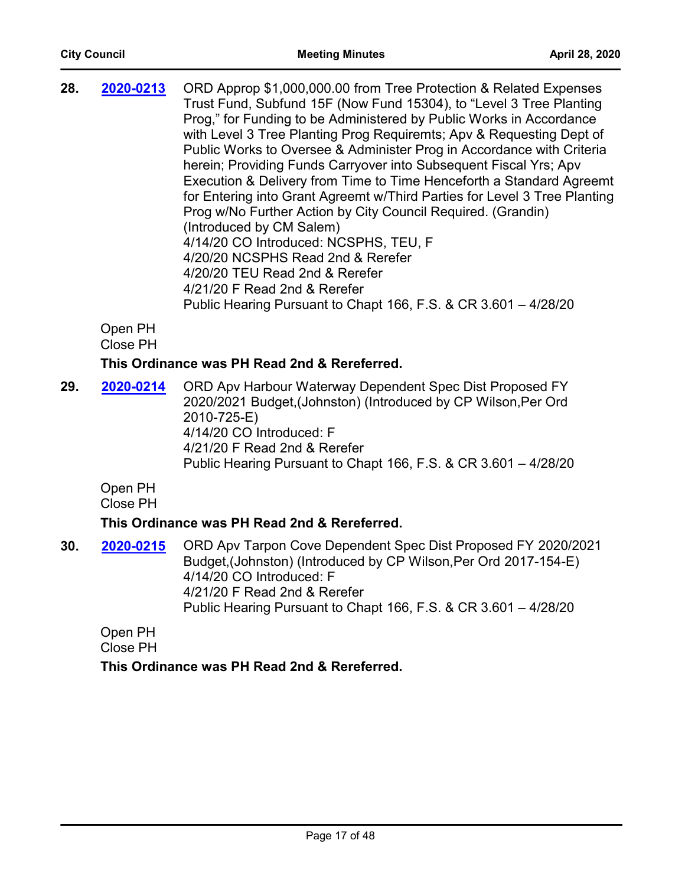| 28. | 2020-0213 | ORD Approp \$1,000,000.00 from Tree Protection & Related Expenses<br>Trust Fund, Subfund 15F (Now Fund 15304), to "Level 3 Tree Planting<br>Prog," for Funding to be Administered by Public Works in Accordance<br>with Level 3 Tree Planting Prog Requiremts; Apv & Requesting Dept of<br>Public Works to Oversee & Administer Prog in Accordance with Criteria<br>herein; Providing Funds Carryover into Subsequent Fiscal Yrs; Apv<br>Execution & Delivery from Time to Time Henceforth a Standard Agreemt<br>for Entering into Grant Agreemt w/Third Parties for Level 3 Tree Planting<br>Prog w/No Further Action by City Council Required. (Grandin)<br>(Introduced by CM Salem)<br>4/14/20 CO Introduced: NCSPHS, TEU, F<br>4/20/20 NCSPHS Read 2nd & Rerefer<br>4/20/20 TEU Read 2nd & Rerefer |
|-----|-----------|--------------------------------------------------------------------------------------------------------------------------------------------------------------------------------------------------------------------------------------------------------------------------------------------------------------------------------------------------------------------------------------------------------------------------------------------------------------------------------------------------------------------------------------------------------------------------------------------------------------------------------------------------------------------------------------------------------------------------------------------------------------------------------------------------------|
|     |           |                                                                                                                                                                                                                                                                                                                                                                                                                                                                                                                                                                                                                                                                                                                                                                                                        |
|     |           | 4/21/20 F Read 2nd & Rerefer<br>Public Hearing Pursuant to Chapt 166, F.S. & CR 3.601 - 4/28/20                                                                                                                                                                                                                                                                                                                                                                                                                                                                                                                                                                                                                                                                                                        |
|     | ∩⊶⊷ DU    |                                                                                                                                                                                                                                                                                                                                                                                                                                                                                                                                                                                                                                                                                                                                                                                                        |

Open PH Close PH

# **This Ordinance was PH Read 2nd & Rereferred.**

29. 2020-0214 ORD Apv Harbour Waterway Dependent Spec Dist Proposed FY 2020/2021 Budget,(Johnston) (Introduced by CP Wilson,Per Ord 2010-725-E) 4/14/20 CO Introduced: F 4/21/20 F Read 2nd & Rerefer Public Hearing Pursuant to Chapt 166, F.S. & CR 3.601 – 4/28/20 **[2020-0214](http://jaxcityc.legistar.com/gateway.aspx?m=l&id=/matter.aspx?key=2287)**

Open PH Close PH

# **This Ordinance was PH Read 2nd & Rereferred.**

**30. 2020-0215** ORD Apv Tarpon Cove Dependent Spec Dist Proposed FY 2020/2021 Budget,(Johnston) (Introduced by CP Wilson,Per Ord 2017-154-E) 4/14/20 CO Introduced: F 4/21/20 F Read 2nd & Rerefer Public Hearing Pursuant to Chapt 166, F.S. & CR 3.601 – 4/28/20 **[2020-0215](http://jaxcityc.legistar.com/gateway.aspx?m=l&id=/matter.aspx?key=2288)**

Open PH Close PH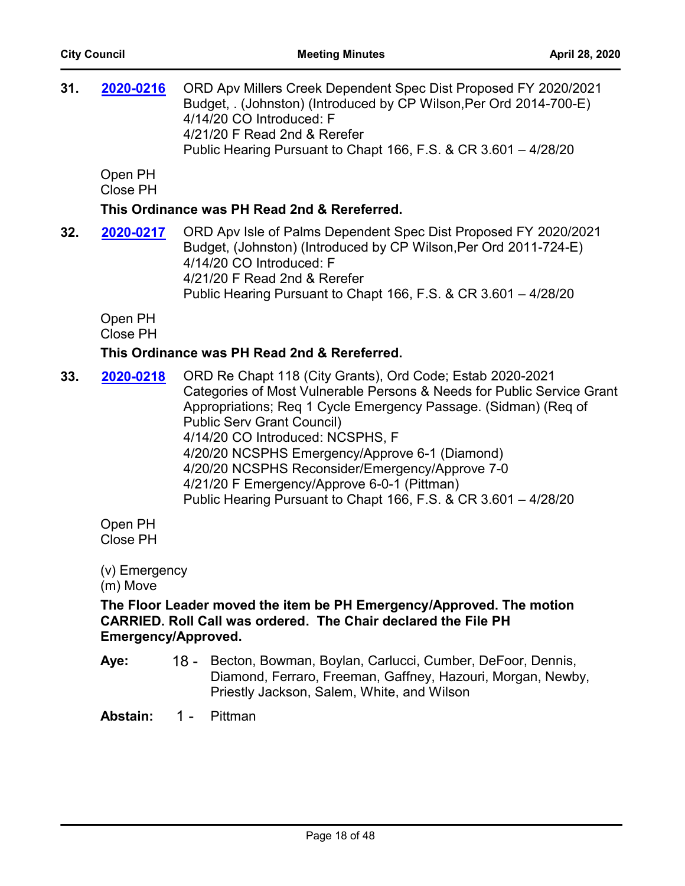| 31. | 2020-0216                                        | ORD Apv Millers Creek Dependent Spec Dist Proposed FY 2020/2021<br>Budget, . (Johnston) (Introduced by CP Wilson, Per Ord 2014-700-E)<br>4/14/20 CO Introduced: F<br>4/21/20 F Read 2nd & Rerefer<br>Public Hearing Pursuant to Chapt 166, F.S. & CR 3.601 - 4/28/20                                                                                                                                                                                                                                   |
|-----|--------------------------------------------------|--------------------------------------------------------------------------------------------------------------------------------------------------------------------------------------------------------------------------------------------------------------------------------------------------------------------------------------------------------------------------------------------------------------------------------------------------------------------------------------------------------|
|     | Open PH<br>Close PH                              |                                                                                                                                                                                                                                                                                                                                                                                                                                                                                                        |
|     |                                                  | This Ordinance was PH Read 2nd & Rereferred.                                                                                                                                                                                                                                                                                                                                                                                                                                                           |
| 32. | 2020-0217                                        | ORD Apv Isle of Palms Dependent Spec Dist Proposed FY 2020/2021<br>Budget, (Johnston) (Introduced by CP Wilson, Per Ord 2011-724-E)<br>4/14/20 CO Introduced: F<br>4/21/20 F Read 2nd & Rerefer<br>Public Hearing Pursuant to Chapt 166, F.S. & CR 3.601 - 4/28/20                                                                                                                                                                                                                                     |
|     | Open PH<br><b>Close PH</b>                       |                                                                                                                                                                                                                                                                                                                                                                                                                                                                                                        |
|     |                                                  | This Ordinance was PH Read 2nd & Rereferred.                                                                                                                                                                                                                                                                                                                                                                                                                                                           |
| 33. | 2020-0218                                        | ORD Re Chapt 118 (City Grants), Ord Code; Estab 2020-2021<br>Categories of Most Vulnerable Persons & Needs for Public Service Grant<br>Appropriations; Req 1 Cycle Emergency Passage. (Sidman) (Req of<br><b>Public Serv Grant Council)</b><br>4/14/20 CO Introduced: NCSPHS, F<br>4/20/20 NCSPHS Emergency/Approve 6-1 (Diamond)<br>4/20/20 NCSPHS Reconsider/Emergency/Approve 7-0<br>4/21/20 F Emergency/Approve 6-0-1 (Pittman)<br>Public Hearing Pursuant to Chapt 166, F.S. & CR 3.601 - 4/28/20 |
|     | Open PH<br><b>Close PH</b>                       |                                                                                                                                                                                                                                                                                                                                                                                                                                                                                                        |
|     | (v) Emergency<br>(m) Move<br>Emergency/Approved. | The Floor Leader moved the item be PH Emergency/Approved. The motion<br>CARRIED. Roll Call was ordered. The Chair declared the File PH                                                                                                                                                                                                                                                                                                                                                                 |

18 - Becton, Bowman, Boylan, Carlucci, Cumber, DeFoor, Dennis, Diamond, Ferraro, Freeman, Gaffney, Hazouri, Morgan, Newby, Priestly Jackson, Salem, White, and Wilson **Aye:**

**Abstain:** 1 - Pittman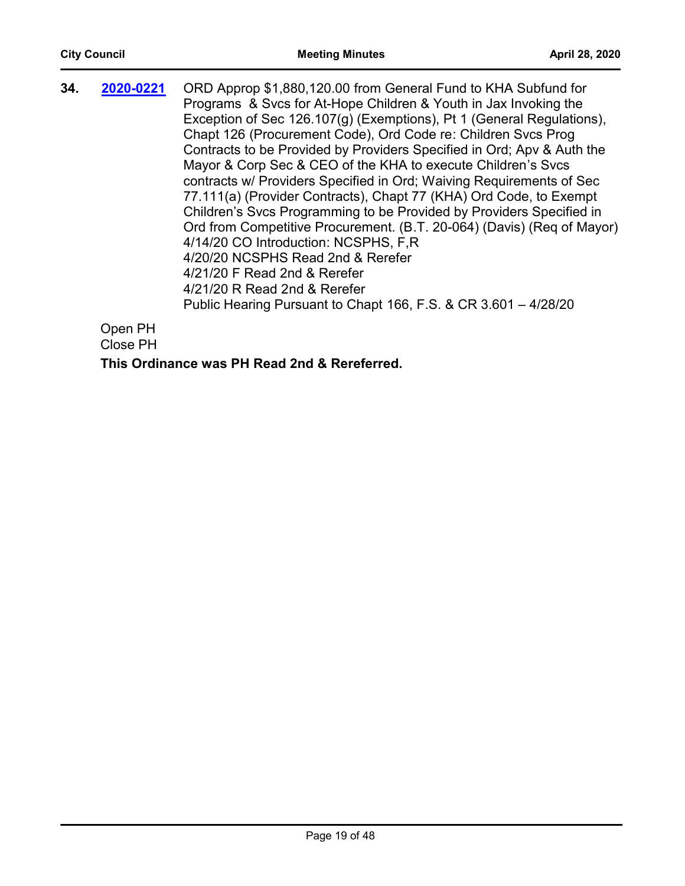| 34. | 2020-0221                                     | ORD Approp \$1,880,120.00 from General Fund to KHA Subfund for<br>Programs & Svcs for At-Hope Children & Youth in Jax Invoking the<br>Exception of Sec 126.107(g) (Exemptions), Pt 1 (General Regulations),<br>Chapt 126 (Procurement Code), Ord Code re: Children Svcs Prog<br>Contracts to be Provided by Providers Specified in Ord; Apv & Auth the<br>Mayor & Corp Sec & CEO of the KHA to execute Children's Svcs<br>contracts w/ Providers Specified in Ord; Waiving Requirements of Sec<br>77.111(a) (Provider Contracts), Chapt 77 (KHA) Ord Code, to Exempt<br>Children's Svcs Programming to be Provided by Providers Specified in<br>Ord from Competitive Procurement. (B.T. 20-064) (Davis) (Reg of Mayor)<br>4/14/20 CO Introduction: NCSPHS, F,R<br>4/20/20 NCSPHS Read 2nd & Rerefer<br>4/21/20 F Read 2nd & Rerefer |
|-----|-----------------------------------------------|-------------------------------------------------------------------------------------------------------------------------------------------------------------------------------------------------------------------------------------------------------------------------------------------------------------------------------------------------------------------------------------------------------------------------------------------------------------------------------------------------------------------------------------------------------------------------------------------------------------------------------------------------------------------------------------------------------------------------------------------------------------------------------------------------------------------------------------|
|     |                                               | 4/21/20 R Read 2nd & Rerefer<br>Public Hearing Pursuant to Chapt 166, F.S. & CR 3.601 - 4/28/20                                                                                                                                                                                                                                                                                                                                                                                                                                                                                                                                                                                                                                                                                                                                     |
|     | Open PH<br>$C_{\text{base}}$ $D_{\text{max}}$ |                                                                                                                                                                                                                                                                                                                                                                                                                                                                                                                                                                                                                                                                                                                                                                                                                                     |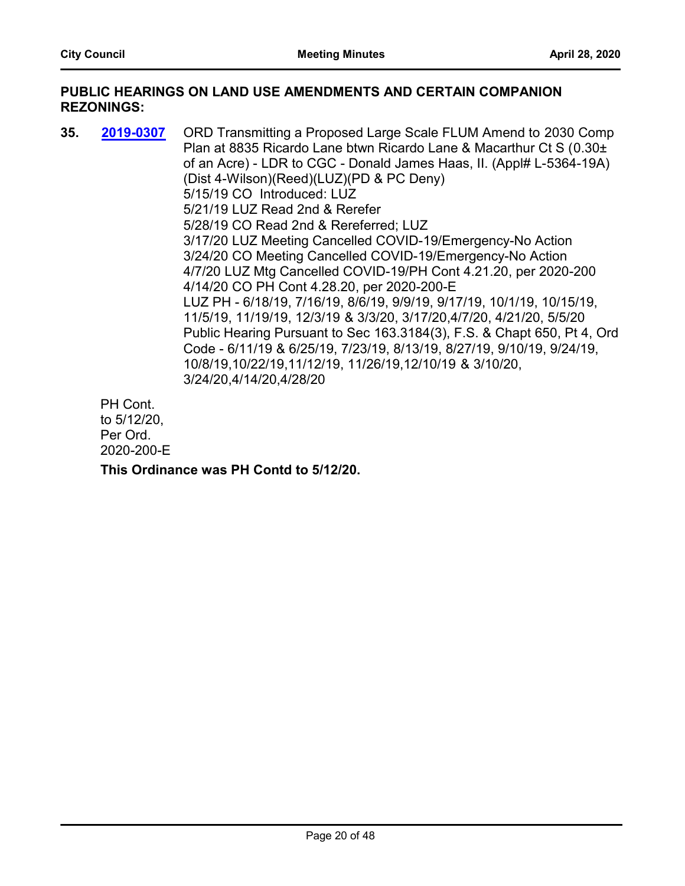#### **PUBLIC HEARINGS ON LAND USE AMENDMENTS AND CERTAIN COMPANION REZONINGS:**

**35. 2019-0307** ORD Transmitting a Proposed Large Scale FLUM Amend to 2030 Comp Plan at 8835 Ricardo Lane btwn Ricardo Lane & Macarthur Ct S (0.30± of an Acre) - LDR to CGC - Donald James Haas, II. (Appl# L-5364-19A) (Dist 4-Wilson)(Reed)(LUZ)(PD & PC Deny) 5/15/19 CO Introduced: LUZ 5/21/19 LUZ Read 2nd & Rerefer 5/28/19 CO Read 2nd & Rereferred; LUZ 3/17/20 LUZ Meeting Cancelled COVID-19/Emergency-No Action 3/24/20 CO Meeting Cancelled COVID-19/Emergency-No Action 4/7/20 LUZ Mtg Cancelled COVID-19/PH Cont 4.21.20, per 2020-200 4/14/20 CO PH Cont 4.28.20, per 2020-200-E LUZ PH - 6/18/19, 7/16/19, 8/6/19, 9/9/19, 9/17/19, 10/1/19, 10/15/19, 11/5/19, 11/19/19, 12/3/19 & 3/3/20, 3/17/20,4/7/20, 4/21/20, 5/5/20 Public Hearing Pursuant to Sec 163.3184(3), F.S. & Chapt 650, Pt 4, Ord Code - 6/11/19 & 6/25/19, 7/23/19, 8/13/19, 8/27/19, 9/10/19, 9/24/19, 10/8/19,10/22/19,11/12/19, 11/26/19,12/10/19 & 3/10/20, 3/24/20,4/14/20,4/28/20 **[2019-0307](http://jaxcityc.legistar.com/gateway.aspx?m=l&id=/matter.aspx?key=1298)**

PH Cont. to 5/12/20, Per Ord. 2020-200-E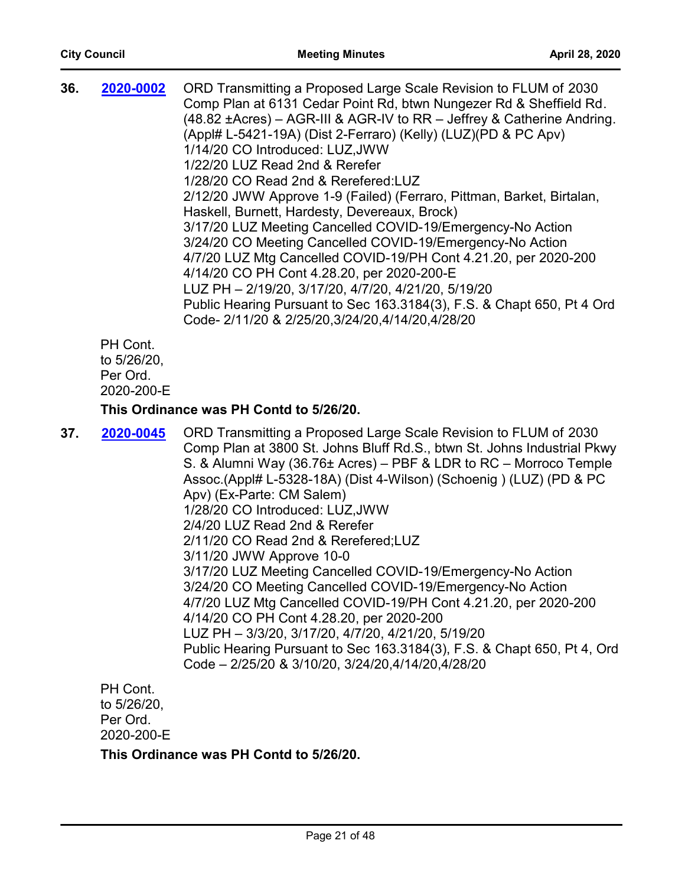| 2020-0002 | ORD Transmitting a Proposed Large Scale Revision to FLUM of 2030        |
|-----------|-------------------------------------------------------------------------|
|           | Comp Plan at 6131 Cedar Point Rd, btwn Nungezer Rd & Sheffield Rd.      |
|           | (48.82 ± Acres) – AGR-III & AGR-IV to RR – Jeffrey & Catherine Andring. |
|           | (Appl# L-5421-19A) (Dist 2-Ferraro) (Kelly) (LUZ) (PD & PC Apv)         |
|           | 1/14/20 CO Introduced: LUZ, JWW                                         |
|           | 1/22/20 LUZ Read 2nd & Rerefer                                          |
|           | 1/28/20 CO Read 2nd & Rerefered: LUZ                                    |
|           | 2/12/20 JWW Approve 1-9 (Failed) (Ferraro, Pittman, Barket, Birtalan,   |
|           | Haskell, Burnett, Hardesty, Devereaux, Brock)                           |
|           | 3/17/20 LUZ Meeting Cancelled COVID-19/Emergency-No Action              |
|           | 3/24/20 CO Meeting Cancelled COVID-19/Emergency-No Action               |
|           | 4/7/20 LUZ Mtg Cancelled COVID-19/PH Cont 4.21.20, per 2020-200         |
|           | 4/14/20 CO PH Cont 4.28.20, per 2020-200-E                              |
|           | LUZ PH - 2/19/20, 3/17/20, 4/7/20, 4/21/20, 5/19/20                     |
|           | Public Hearing Pursuant to Sec 163.3184(3), F.S. & Chapt 650, Pt 4 Ord  |
|           | Code- 2/11/20 & 2/25/20,3/24/20,4/14/20,4/28/20                         |
| PH Cont.  |                                                                         |
|           |                                                                         |

to 5/26/20, Per Ord. 2020-200-E

# **This Ordinance was PH Contd to 5/26/20.**

| 37. | 2020-0045 | ORD Transmitting a Proposed Large Scale Revision to FLUM of 2030<br>Comp Plan at 3800 St. Johns Bluff Rd.S., btwn St. Johns Industrial Pkwy<br>S. & Alumni Way (36.76± Acres) – PBF & LDR to RC – Morroco Temple<br>Assoc.(Appl# L-5328-18A) (Dist 4-Wilson) (Schoenig) (LUZ) (PD & PC<br>Apv) (Ex-Parte: CM Salem)<br>1/28/20 CO Introduced: LUZ, JWW<br>2/4/20 LUZ Read 2nd & Rerefer<br>2/11/20 CO Read 2nd & Rerefered; LUZ<br>3/11/20 JWW Approve 10-0<br>3/17/20 LUZ Meeting Cancelled COVID-19/Emergency-No Action<br>3/24/20 CO Meeting Cancelled COVID-19/Emergency-No Action<br>4/7/20 LUZ Mtg Cancelled COVID-19/PH Cont 4.21.20, per 2020-200<br>4/14/20 CO PH Cont 4.28.20, per 2020-200<br>LUZ PH - 3/3/20, 3/17/20, 4/7/20, 4/21/20, 5/19/20<br>Public Hearing Pursuant to Sec 163.3184(3), F.S. & Chapt 650, Pt 4, Ord<br>Code - 2/25/20 & 3/10/20, 3/24/20, 4/14/20, 4/28/20 |
|-----|-----------|-----------------------------------------------------------------------------------------------------------------------------------------------------------------------------------------------------------------------------------------------------------------------------------------------------------------------------------------------------------------------------------------------------------------------------------------------------------------------------------------------------------------------------------------------------------------------------------------------------------------------------------------------------------------------------------------------------------------------------------------------------------------------------------------------------------------------------------------------------------------------------------------------|
|     |           |                                                                                                                                                                                                                                                                                                                                                                                                                                                                                                                                                                                                                                                                                                                                                                                                                                                                                               |

PH Cont. to 5/26/20, Per Ord. 2020-200-E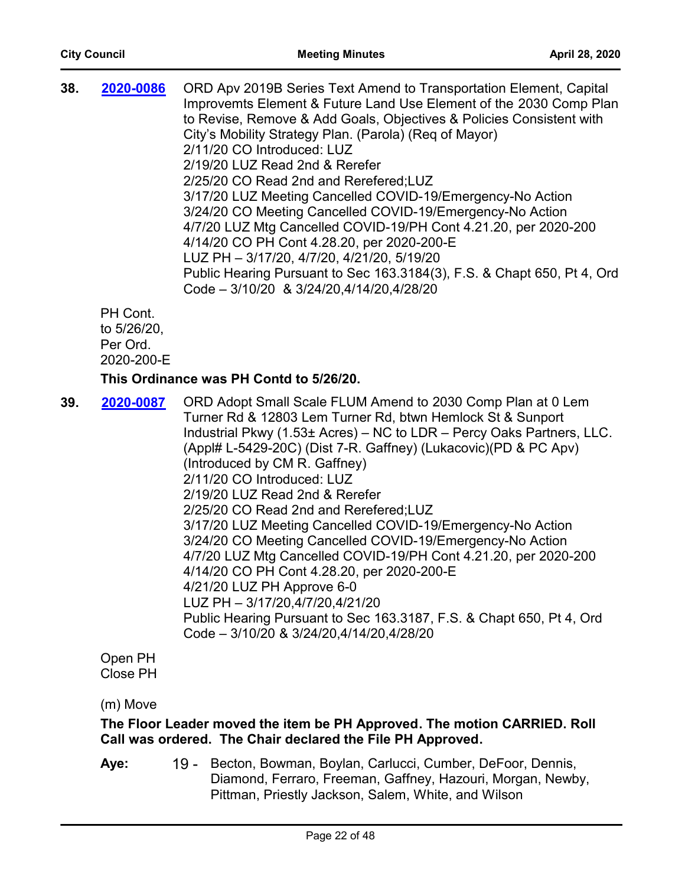| 38. | 2020-0086 | ORD Apv 2019B Series Text Amend to Transportation Element, Capital<br>Improvemts Element & Future Land Use Element of the 2030 Comp Plan<br>to Revise, Remove & Add Goals, Objectives & Policies Consistent with<br>City's Mobility Strategy Plan. (Parola) (Reg of Mayor)<br>2/11/20 CO Introduced: LUZ<br>2/19/20 LUZ Read 2nd & Rerefer<br>2/25/20 CO Read 2nd and Rerefered; LUZ<br>3/17/20 LUZ Meeting Cancelled COVID-19/Emergency-No Action<br>3/24/20 CO Meeting Cancelled COVID-19/Emergency-No Action<br>4/7/20 LUZ Mtg Cancelled COVID-19/PH Cont 4.21.20, per 2020-200<br>4/14/20 CO PH Cont 4.28.20, per 2020-200-E |
|-----|-----------|----------------------------------------------------------------------------------------------------------------------------------------------------------------------------------------------------------------------------------------------------------------------------------------------------------------------------------------------------------------------------------------------------------------------------------------------------------------------------------------------------------------------------------------------------------------------------------------------------------------------------------|
|     |           | LUZ PH - 3/17/20, 4/7/20, 4/21/20, 5/19/20                                                                                                                                                                                                                                                                                                                                                                                                                                                                                                                                                                                       |
|     |           | Public Hearing Pursuant to Sec 163.3184(3), F.S. & Chapt 650, Pt 4, Ord<br>Code - 3/10/20 & 3/24/20,4/14/20,4/28/20                                                                                                                                                                                                                                                                                                                                                                                                                                                                                                              |
|     | PH Cont.  |                                                                                                                                                                                                                                                                                                                                                                                                                                                                                                                                                                                                                                  |
|     |           |                                                                                                                                                                                                                                                                                                                                                                                                                                                                                                                                                                                                                                  |

to 5/26/20, Per Ord. 2020-200-E

# **This Ordinance was PH Contd to 5/26/20.**

**39. 2020-0087** ORD Adopt Small Scale FLUM Amend to 2030 Comp Plan at 0 Lem Turner Rd & 12803 Lem Turner Rd, btwn Hemlock St & Sunport Industrial Pkwy (1.53± Acres) – NC to LDR – Percy Oaks Partners, LLC. (Appl# L-5429-20C) (Dist 7-R. Gaffney) (Lukacovic)(PD & PC Apv) (Introduced by CM R. Gaffney) 2/11/20 CO Introduced: LUZ 2/19/20 LUZ Read 2nd & Rerefer 2/25/20 CO Read 2nd and Rerefered;LUZ 3/17/20 LUZ Meeting Cancelled COVID-19/Emergency-No Action 3/24/20 CO Meeting Cancelled COVID-19/Emergency-No Action 4/7/20 LUZ Mtg Cancelled COVID-19/PH Cont 4.21.20, per 2020-200 4/14/20 CO PH Cont 4.28.20, per 2020-200-E 4/21/20 LUZ PH Approve 6-0 LUZ PH – 3/17/20,4/7/20,4/21/20 Public Hearing Pursuant to Sec 163.3187, F.S. & Chapt 650, Pt 4, Ord Code – 3/10/20 & 3/24/20,4/14/20,4/28/20 **[2020-0087](http://jaxcityc.legistar.com/gateway.aspx?m=l&id=/matter.aspx?key=2148)**

Open PH Close PH

# (m) Move

# **The Floor Leader moved the item be PH Approved. The motion CARRIED. Roll Call was ordered. The Chair declared the File PH Approved.**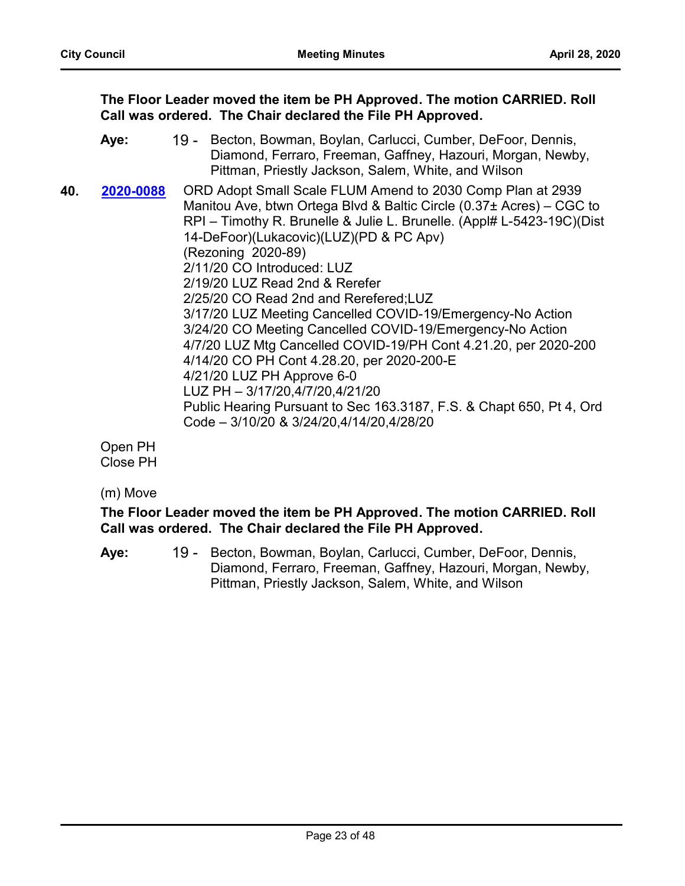**The Floor Leader moved the item be PH Approved. The motion CARRIED. Roll Call was ordered. The Chair declared the File PH Approved.**

- 19 Becton, Bowman, Boylan, Carlucci, Cumber, DeFoor, Dennis, Diamond, Ferraro, Freeman, Gaffney, Hazouri, Morgan, Newby, Pittman, Priestly Jackson, Salem, White, and Wilson **Aye:**
- 40. 2020-0088 ORD Adopt Small Scale FLUM Amend to 2030 Comp Plan at 2939 Manitou Ave, btwn Ortega Blvd & Baltic Circle (0.37± Acres) – CGC to RPI – Timothy R. Brunelle & Julie L. Brunelle. (Appl# L-5423-19C)(Dist 14-DeFoor)(Lukacovic)(LUZ)(PD & PC Apv) (Rezoning 2020-89) 2/11/20 CO Introduced: LUZ 2/19/20 LUZ Read 2nd & Rerefer 2/25/20 CO Read 2nd and Rerefered;LUZ 3/17/20 LUZ Meeting Cancelled COVID-19/Emergency-No Action 3/24/20 CO Meeting Cancelled COVID-19/Emergency-No Action 4/7/20 LUZ Mtg Cancelled COVID-19/PH Cont 4.21.20, per 2020-200 4/14/20 CO PH Cont 4.28.20, per 2020-200-E 4/21/20 LUZ PH Approve 6-0 LUZ PH – 3/17/20,4/7/20,4/21/20 Public Hearing Pursuant to Sec 163.3187, F.S. & Chapt 650, Pt 4, Ord Code – 3/10/20 & 3/24/20,4/14/20,4/28/20 **[2020-0088](http://jaxcityc.legistar.com/gateway.aspx?m=l&id=/matter.aspx?key=2149)**

Open PH Close PH

(m) Move

# **The Floor Leader moved the item be PH Approved. The motion CARRIED. Roll Call was ordered. The Chair declared the File PH Approved.**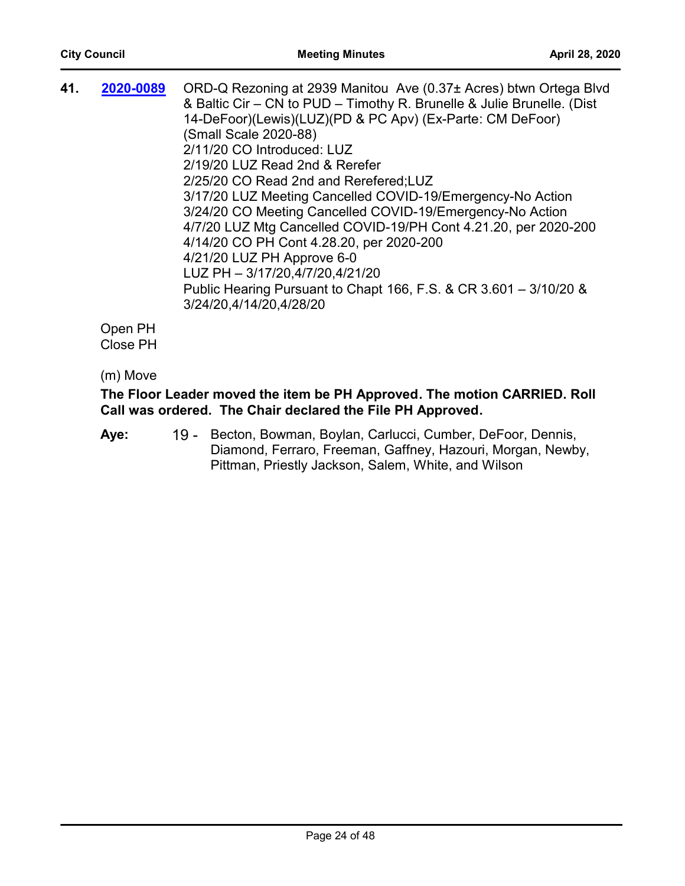| 41. | 2020-0089 | ORD-Q Rezoning at 2939 Manitou Ave (0.37± Acres) btwn Ortega Blvd<br>& Baltic Cir – CN to PUD – Timothy R. Brunelle & Julie Brunelle. (Dist<br>14-DeFoor)(Lewis)(LUZ)(PD & PC Apv) (Ex-Parte: CM DeFoor)<br>(Small Scale 2020-88)<br>2/11/20 CO Introduced: LUZ<br>2/19/20 LUZ Read 2nd & Rerefer<br>2/25/20 CO Read 2nd and Rerefered; LUZ<br>3/17/20 LUZ Meeting Cancelled COVID-19/Emergency-No Action<br>3/24/20 CO Meeting Cancelled COVID-19/Emergency-No Action<br>4/7/20 LUZ Mtg Cancelled COVID-19/PH Cont 4.21.20, per 2020-200<br>4/14/20 CO PH Cont 4.28.20, per 2020-200<br>4/21/20 LUZ PH Approve 6-0 |
|-----|-----------|---------------------------------------------------------------------------------------------------------------------------------------------------------------------------------------------------------------------------------------------------------------------------------------------------------------------------------------------------------------------------------------------------------------------------------------------------------------------------------------------------------------------------------------------------------------------------------------------------------------------|
|     |           | LUZ PH - 3/17/20,4/7/20,4/21/20                                                                                                                                                                                                                                                                                                                                                                                                                                                                                                                                                                                     |
|     |           | Public Hearing Pursuant to Chapt 166, F.S. & CR 3.601 - 3/10/20 &<br>3/24/20,4/14/20,4/28/20                                                                                                                                                                                                                                                                                                                                                                                                                                                                                                                        |
|     | Open PH   |                                                                                                                                                                                                                                                                                                                                                                                                                                                                                                                                                                                                                     |

Close PH

(m) Move

# **The Floor Leader moved the item be PH Approved. The motion CARRIED. Roll Call was ordered. The Chair declared the File PH Approved.**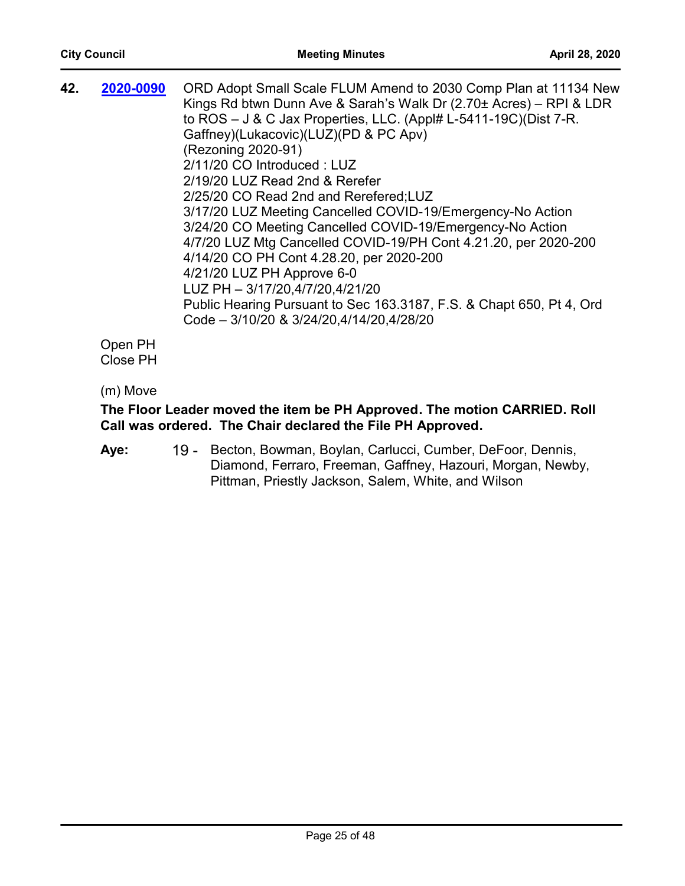| 42. | 2020-0090                                  | ORD Adopt Small Scale FLUM Amend to 2030 Comp Plan at 11134 New<br>Kings Rd btwn Dunn Ave & Sarah's Walk Dr (2.70± Acres) - RPI & LDR<br>to $ROS - J & C$ Jax Properties, LLC. (Appl# L-5411-19C)(Dist 7-R.<br>Gaffney)(Lukacovic)(LUZ)(PD & PC Apv)<br>(Rezoning 2020-91)<br>2/11/20 CO Introduced: LUZ<br>2/19/20 LUZ Read 2nd & Rerefer<br>2/25/20 CO Read 2nd and Rerefered; LUZ<br>3/17/20 LUZ Meeting Cancelled COVID-19/Emergency-No Action<br>3/24/20 CO Meeting Cancelled COVID-19/Emergency-No Action<br>4/7/20 LUZ Mtg Cancelled COVID-19/PH Cont 4.21.20, per 2020-200<br>4/14/20 CO PH Cont 4.28.20, per 2020-200<br>4/21/20 LUZ PH Approve 6-0 |
|-----|--------------------------------------------|--------------------------------------------------------------------------------------------------------------------------------------------------------------------------------------------------------------------------------------------------------------------------------------------------------------------------------------------------------------------------------------------------------------------------------------------------------------------------------------------------------------------------------------------------------------------------------------------------------------------------------------------------------------|
|     |                                            | LUZ PH - 3/17/20,4/7/20,4/21/20                                                                                                                                                                                                                                                                                                                                                                                                                                                                                                                                                                                                                              |
|     |                                            | Public Hearing Pursuant to Sec 163.3187, F.S. & Chapt 650, Pt 4, Ord<br>Code - 3/10/20 & 3/24/20,4/14/20,4/28/20                                                                                                                                                                                                                                                                                                                                                                                                                                                                                                                                             |
|     | $\sim$ $ \sim$ $\sim$ $\sim$ $\sim$ $\sim$ |                                                                                                                                                                                                                                                                                                                                                                                                                                                                                                                                                                                                                                                              |

Open PH Close PH

# (m) Move

# **The Floor Leader moved the item be PH Approved. The motion CARRIED. Roll Call was ordered. The Chair declared the File PH Approved.**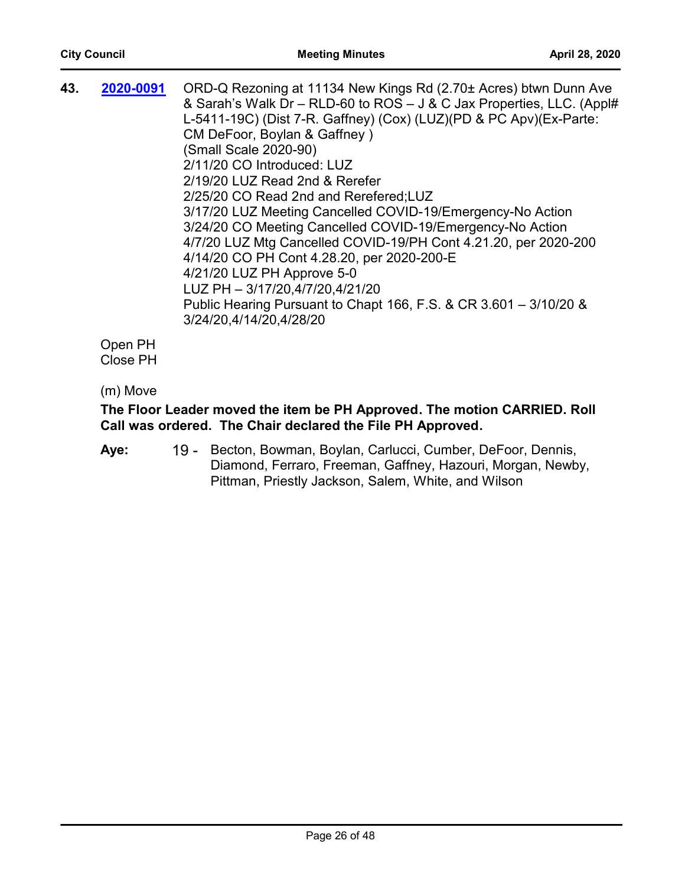| 43. | 2020-0091                                  | ORD-Q Rezoning at 11134 New Kings Rd (2.70± Acres) btwn Dunn Ave<br>& Sarah's Walk Dr - RLD-60 to ROS - J & C Jax Properties, LLC. (Appl#<br>L-5411-19C) (Dist 7-R. Gaffney) (Cox) (LUZ) (PD & PC Apv) (Ex-Parte:<br>CM DeFoor, Boylan & Gaffney)<br>(Small Scale 2020-90)<br>2/11/20 CO Introduced: LUZ<br>2/19/20 LUZ Read 2nd & Rerefer<br>2/25/20 CO Read 2nd and Rerefered; LUZ<br>3/17/20 LUZ Meeting Cancelled COVID-19/Emergency-No Action<br>3/24/20 CO Meeting Cancelled COVID-19/Emergency-No Action<br>4/7/20 LUZ Mtg Cancelled COVID-19/PH Cont 4.21.20, per 2020-200<br>4/14/20 CO PH Cont 4.28.20, per 2020-200-E<br>4/21/20 LUZ PH Approve 5-0<br>LUZ PH - 3/17/20,4/7/20,4/21/20 |
|-----|--------------------------------------------|---------------------------------------------------------------------------------------------------------------------------------------------------------------------------------------------------------------------------------------------------------------------------------------------------------------------------------------------------------------------------------------------------------------------------------------------------------------------------------------------------------------------------------------------------------------------------------------------------------------------------------------------------------------------------------------------------|
|     |                                            | Public Hearing Pursuant to Chapt 166, F.S. & CR 3.601 - 3/10/20 &<br>3/24/20,4/14/20,4/28/20                                                                                                                                                                                                                                                                                                                                                                                                                                                                                                                                                                                                      |
|     | $\sim$ $ \sim$ $\sim$ $\sim$ $\sim$ $\sim$ |                                                                                                                                                                                                                                                                                                                                                                                                                                                                                                                                                                                                                                                                                                   |

Open PH Close PH

# (m) Move

# **The Floor Leader moved the item be PH Approved. The motion CARRIED. Roll Call was ordered. The Chair declared the File PH Approved.**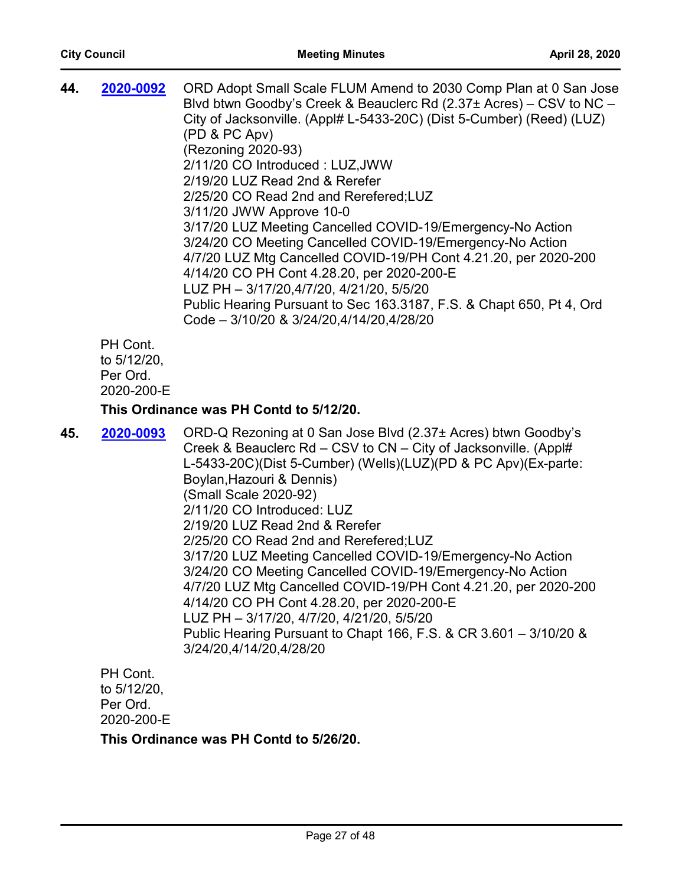| 44. | 2020-0092  | ORD Adopt Small Scale FLUM Amend to 2030 Comp Plan at 0 San Jose<br>Blvd btwn Goodby's Creek & Beauclerc Rd (2.37± Acres) – CSV to NC –<br>City of Jacksonville. (Appl# L-5433-20C) (Dist 5-Cumber) (Reed) (LUZ)<br>(PD & PC Apv)<br>(Rezoning 2020-93)<br>2/11/20 CO Introduced: LUZ, JWW<br>2/19/20 LUZ Read 2nd & Rerefer<br>2/25/20 CO Read 2nd and Rerefered;LUZ<br>3/11/20 JWW Approve 10-0<br>3/17/20 LUZ Meeting Cancelled COVID-19/Emergency-No Action<br>3/24/20 CO Meeting Cancelled COVID-19/Emergency-No Action<br>4/7/20 LUZ Mtg Cancelled COVID-19/PH Cont 4.21.20, per 2020-200<br>4/14/20 CO PH Cont 4.28.20, per 2020-200-E<br>LUZ PH - 3/17/20,4/7/20, 4/21/20, 5/5/20<br>Public Hearing Pursuant to Sec 163.3187, F.S. & Chapt 650, Pt 4, Ord |
|-----|------------|-------------------------------------------------------------------------------------------------------------------------------------------------------------------------------------------------------------------------------------------------------------------------------------------------------------------------------------------------------------------------------------------------------------------------------------------------------------------------------------------------------------------------------------------------------------------------------------------------------------------------------------------------------------------------------------------------------------------------------------------------------------------|
|     | PH Cont.   | Code - 3/10/20 & 3/24/20,4/14/20,4/28/20                                                                                                                                                                                                                                                                                                                                                                                                                                                                                                                                                                                                                                                                                                                          |
|     | to 5/12/20 |                                                                                                                                                                                                                                                                                                                                                                                                                                                                                                                                                                                                                                                                                                                                                                   |

to 5/12/20, Per Ord. 2020-200-E

#### **This Ordinance was PH Contd to 5/12/20.**

**45. 2020-0093** ORD-Q Rezoning at 0 San Jose Blvd (2.37± Acres) btwn Goodby's Creek & Beauclerc Rd – CSV to CN – City of Jacksonville. (Appl# L-5433-20C)(Dist 5-Cumber) (Wells)(LUZ)(PD & PC Apv)(Ex-parte: Boylan,Hazouri & Dennis) (Small Scale 2020-92) 2/11/20 CO Introduced: LUZ 2/19/20 LUZ Read 2nd & Rerefer 2/25/20 CO Read 2nd and Rerefered;LUZ 3/17/20 LUZ Meeting Cancelled COVID-19/Emergency-No Action 3/24/20 CO Meeting Cancelled COVID-19/Emergency-No Action 4/7/20 LUZ Mtg Cancelled COVID-19/PH Cont 4.21.20, per 2020-200 4/14/20 CO PH Cont 4.28.20, per 2020-200-E LUZ PH – 3/17/20, 4/7/20, 4/21/20, 5/5/20 Public Hearing Pursuant to Chapt 166, F.S. & CR 3.601 – 3/10/20 & 3/24/20,4/14/20,4/28/20 **[2020-0093](http://jaxcityc.legistar.com/gateway.aspx?m=l&id=/matter.aspx?key=2156)**

PH Cont. to 5/12/20, Per Ord. 2020-200-E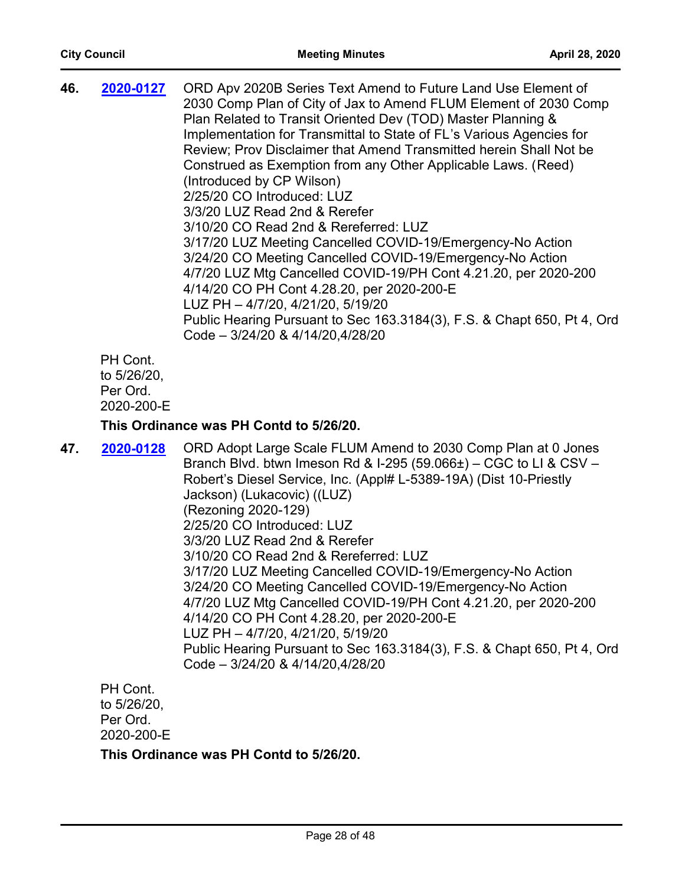| 46. | 2020-0127   | ORD Apv 2020B Series Text Amend to Future Land Use Element of<br>2030 Comp Plan of City of Jax to Amend FLUM Element of 2030 Comp<br>Plan Related to Transit Oriented Dev (TOD) Master Planning &<br>Implementation for Transmittal to State of FL's Various Agencies for<br>Review; Prov Disclaimer that Amend Transmitted herein Shall Not be<br>Construed as Exemption from any Other Applicable Laws. (Reed)<br>(Introduced by CP Wilson)<br>2/25/20 CO Introduced: LUZ<br>3/3/20 LUZ Read 2nd & Rerefer<br>3/10/20 CO Read 2nd & Rereferred: LUZ<br>3/17/20 LUZ Meeting Cancelled COVID-19/Emergency-No Action<br>3/24/20 CO Meeting Cancelled COVID-19/Emergency-No Action<br>4/7/20 LUZ Mtg Cancelled COVID-19/PH Cont 4.21.20, per 2020-200<br>4/14/20 CO PH Cont 4.28.20, per 2020-200-E<br>LUZ PH - 4/7/20, 4/21/20, 5/19/20<br>Public Hearing Pursuant to Sec 163.3184(3), F.S. & Chapt 650, Pt 4, Ord |
|-----|-------------|-------------------------------------------------------------------------------------------------------------------------------------------------------------------------------------------------------------------------------------------------------------------------------------------------------------------------------------------------------------------------------------------------------------------------------------------------------------------------------------------------------------------------------------------------------------------------------------------------------------------------------------------------------------------------------------------------------------------------------------------------------------------------------------------------------------------------------------------------------------------------------------------------------------------|
|     | $DH$ $Cont$ | Code - 3/24/20 & 4/14/20,4/28/20                                                                                                                                                                                                                                                                                                                                                                                                                                                                                                                                                                                                                                                                                                                                                                                                                                                                                  |
|     |             |                                                                                                                                                                                                                                                                                                                                                                                                                                                                                                                                                                                                                                                                                                                                                                                                                                                                                                                   |

PH Cont. to 5/26/20, Per Ord. 2020-200-E

#### **This Ordinance was PH Contd to 5/26/20.**

47. **2020-0128** ORD Adopt Large Scale FLUM Amend to 2030 Comp Plan at 0 Jones Branch Blvd. btwn Imeson Rd & I-295 (59.066±) – CGC to LI & CSV – Robert's Diesel Service, Inc. (Appl# L-5389-19A) (Dist 10-Priestly Jackson) (Lukacovic) ((LUZ) (Rezoning 2020-129) 2/25/20 CO Introduced: LUZ 3/3/20 LUZ Read 2nd & Rerefer 3/10/20 CO Read 2nd & Rereferred: LUZ 3/17/20 LUZ Meeting Cancelled COVID-19/Emergency-No Action 3/24/20 CO Meeting Cancelled COVID-19/Emergency-No Action 4/7/20 LUZ Mtg Cancelled COVID-19/PH Cont 4.21.20, per 2020-200 4/14/20 CO PH Cont 4.28.20, per 2020-200-E LUZ PH – 4/7/20, 4/21/20, 5/19/20 Public Hearing Pursuant to Sec 163.3184(3), F.S. & Chapt 650, Pt 4, Ord Code – 3/24/20 & 4/14/20,4/28/20 **[2020-0128](http://jaxcityc.legistar.com/gateway.aspx?m=l&id=/matter.aspx?key=2191)**

PH Cont. to 5/26/20, Per Ord. 2020-200-E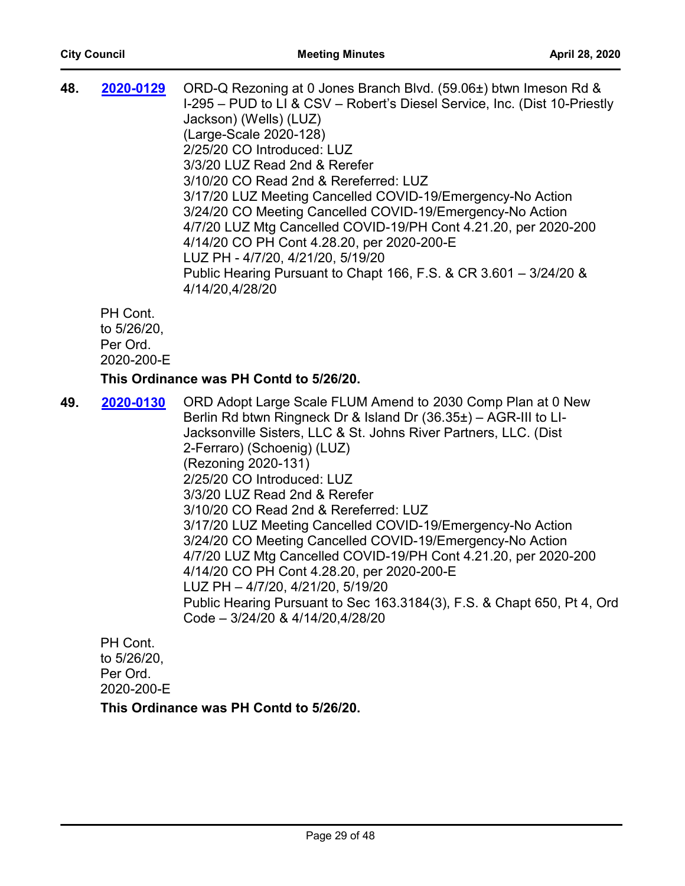| 48. | 2020-0129               | ORD-Q Rezoning at 0 Jones Branch Blvd. (59.06±) btwn Imeson Rd &<br>I-295 – PUD to LI & CSV – Robert's Diesel Service, Inc. (Dist 10-Priestly<br>Jackson) (Wells) (LUZ)<br>(Large-Scale 2020-128)<br>2/25/20 CO Introduced: LUZ<br>3/3/20 LUZ Read 2nd & Rerefer<br>3/10/20 CO Read 2nd & Rereferred: LUZ<br>3/17/20 LUZ Meeting Cancelled COVID-19/Emergency-No Action<br>3/24/20 CO Meeting Cancelled COVID-19/Emergency-No Action<br>4/7/20 LUZ Mtg Cancelled COVID-19/PH Cont 4.21.20, per 2020-200<br>4/14/20 CO PH Cont 4.28.20, per 2020-200-E<br>LUZ PH - 4/7/20, 4/21/20, 5/19/20<br>Public Hearing Pursuant to Chapt 166, F.S. & CR 3.601 - 3/24/20 &<br>4/14/20,4/28/20 |
|-----|-------------------------|------------------------------------------------------------------------------------------------------------------------------------------------------------------------------------------------------------------------------------------------------------------------------------------------------------------------------------------------------------------------------------------------------------------------------------------------------------------------------------------------------------------------------------------------------------------------------------------------------------------------------------------------------------------------------------|
|     | PH Cont.<br>to 5/26/20. |                                                                                                                                                                                                                                                                                                                                                                                                                                                                                                                                                                                                                                                                                    |

to 5/26/20, Per Ord. 2020-200-E

# **This Ordinance was PH Contd to 5/26/20.**

**49. 2020-0130** ORD Adopt Large Scale FLUM Amend to 2030 Comp Plan at 0 New Berlin Rd btwn Ringneck Dr & Island Dr (36.35±) – AGR-III to LI-Jacksonville Sisters, LLC & St. Johns River Partners, LLC. (Dist 2-Ferraro) (Schoenig) (LUZ) (Rezoning 2020-131) 2/25/20 CO Introduced: LUZ 3/3/20 LUZ Read 2nd & Rerefer 3/10/20 CO Read 2nd & Rereferred: LUZ 3/17/20 LUZ Meeting Cancelled COVID-19/Emergency-No Action 3/24/20 CO Meeting Cancelled COVID-19/Emergency-No Action 4/7/20 LUZ Mtg Cancelled COVID-19/PH Cont 4.21.20, per 2020-200 4/14/20 CO PH Cont 4.28.20, per 2020-200-E LUZ PH – 4/7/20, 4/21/20, 5/19/20 Public Hearing Pursuant to Sec 163.3184(3), F.S. & Chapt 650, Pt 4, Ord Code – 3/24/20 & 4/14/20,4/28/20 **[2020-0130](http://jaxcityc.legistar.com/gateway.aspx?m=l&id=/matter.aspx?key=2193)**

PH Cont. to 5/26/20, Per Ord. 2020-200-E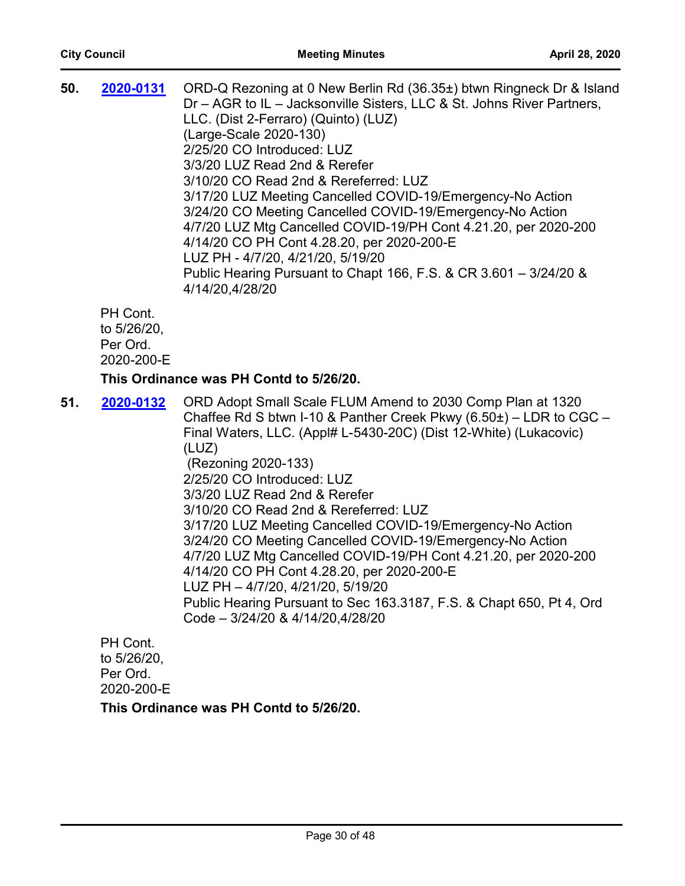| 50. | 2020-0131                                         | ORD-Q Rezoning at 0 New Berlin Rd (36.35±) btwn Ringneck Dr & Island<br>Dr - AGR to IL - Jacksonville Sisters, LLC & St. Johns River Partners,<br>LLC. (Dist 2-Ferraro) (Quinto) (LUZ)<br>(Large-Scale 2020-130)<br>2/25/20 CO Introduced: LUZ<br>3/3/20 LUZ Read 2nd & Rerefer<br>3/10/20 CO Read 2nd & Rereferred: LUZ<br>3/17/20 LUZ Meeting Cancelled COVID-19/Emergency-No Action<br>3/24/20 CO Meeting Cancelled COVID-19/Emergency-No Action<br>4/7/20 LUZ Mtg Cancelled COVID-19/PH Cont 4.21.20, per 2020-200<br>4/14/20 CO PH Cont 4.28.20, per 2020-200-E<br>LUZ PH - 4/7/20, 4/21/20, 5/19/20<br>Public Hearing Pursuant to Chapt 166, F.S. & CR 3.601 - 3/24/20 &<br>4/14/20,4/28/20                                              |
|-----|---------------------------------------------------|------------------------------------------------------------------------------------------------------------------------------------------------------------------------------------------------------------------------------------------------------------------------------------------------------------------------------------------------------------------------------------------------------------------------------------------------------------------------------------------------------------------------------------------------------------------------------------------------------------------------------------------------------------------------------------------------------------------------------------------------|
|     | PH Cont.<br>to 5/26/20,<br>Per Ord.<br>2020-200-E |                                                                                                                                                                                                                                                                                                                                                                                                                                                                                                                                                                                                                                                                                                                                                |
|     |                                                   | This Ordinance was PH Contd to 5/26/20.                                                                                                                                                                                                                                                                                                                                                                                                                                                                                                                                                                                                                                                                                                        |
| 51. | 2020-0132                                         | ORD Adopt Small Scale FLUM Amend to 2030 Comp Plan at 1320<br>Chaffee Rd S btwn I-10 & Panther Creek Pkwy $(6.50\pm)$ – LDR to CGC –<br>Final Waters, LLC. (Appl# L-5430-20C) (Dist 12-White) (Lukacovic)<br>(LUZ)<br>(Rezoning 2020-133)<br>2/25/20 CO Introduced: LUZ<br>3/3/20 LUZ Read 2nd & Rerefer<br>3/10/20 CO Read 2nd & Rereferred: LUZ<br>3/17/20 LUZ Meeting Cancelled COVID-19/Emergency-No Action<br>3/24/20 CO Meeting Cancelled COVID-19/Emergency-No Action<br>4/7/20 LUZ Mtg Cancelled COVID-19/PH Cont 4.21.20, per 2020-200<br>4/14/20 CO PH Cont 4.28.20, per 2020-200-E<br>LUZ PH - 4/7/20, 4/21/20, 5/19/20<br>Public Hearing Pursuant to Sec 163.3187, F.S. & Chapt 650, Pt 4, Ord<br>Code - 3/24/20 & 4/14/20,4/28/20 |

PH Cont. to 5/26/20, Per Ord. 2020-200-E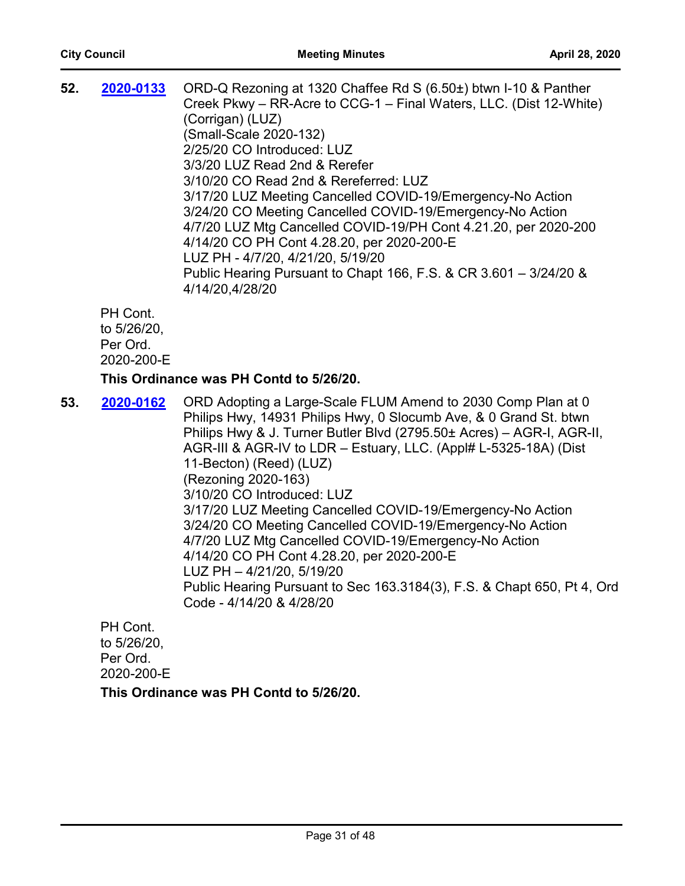| 52. | 2020-0133                                 | ORD-Q Rezoning at 1320 Chaffee Rd S (6.50±) btwn I-10 & Panther<br>Creek Pkwy – RR-Acre to CCG-1 – Final Waters, LLC. (Dist 12-White)<br>(Corrigan) (LUZ)<br>(Small-Scale 2020-132)<br>2/25/20 CO Introduced: LUZ<br>3/3/20 LUZ Read 2nd & Rerefer<br>3/10/20 CO Read 2nd & Rereferred: LUZ<br>3/17/20 LUZ Meeting Cancelled COVID-19/Emergency-No Action<br>3/24/20 CO Meeting Cancelled COVID-19/Emergency-No Action<br>4/7/20 LUZ Mtg Cancelled COVID-19/PH Cont 4.21.20, per 2020-200<br>4/14/20 CO PH Cont 4.28.20, per 2020-200-E<br>LUZ PH - 4/7/20, 4/21/20, 5/19/20 |
|-----|-------------------------------------------|------------------------------------------------------------------------------------------------------------------------------------------------------------------------------------------------------------------------------------------------------------------------------------------------------------------------------------------------------------------------------------------------------------------------------------------------------------------------------------------------------------------------------------------------------------------------------|
|     |                                           | Public Hearing Pursuant to Chapt 166, F.S. & CR 3.601 - 3/24/20 &<br>4/14/20,4/28/20                                                                                                                                                                                                                                                                                                                                                                                                                                                                                         |
|     | PH Cont.<br>to 5/26/20,<br>$Der \cap rel$ |                                                                                                                                                                                                                                                                                                                                                                                                                                                                                                                                                                              |

Per Ord.

2020-200-E

#### **This Ordinance was PH Contd to 5/26/20.**

**53. 2020-0162** ORD Adopting a Large-Scale FLUM Amend to 2030 Comp Plan at 0 Philips Hwy, 14931 Philips Hwy, 0 Slocumb Ave, & 0 Grand St. btwn Philips Hwy & J. Turner Butler Blvd (2795.50± Acres) – AGR-I, AGR-II, AGR-III & AGR-IV to LDR – Estuary, LLC. (Appl# L-5325-18A) (Dist 11-Becton) (Reed) (LUZ) (Rezoning 2020-163) 3/10/20 CO Introduced: LUZ 3/17/20 LUZ Meeting Cancelled COVID-19/Emergency-No Action 3/24/20 CO Meeting Cancelled COVID-19/Emergency-No Action 4/7/20 LUZ Mtg Cancelled COVID-19/Emergency-No Action 4/14/20 CO PH Cont 4.28.20, per 2020-200-E LUZ PH – 4/21/20, 5/19/20 Public Hearing Pursuant to Sec 163.3184(3), F.S. & Chapt 650, Pt 4, Ord Code - 4/14/20 & 4/28/20 **[2020-0162](http://jaxcityc.legistar.com/gateway.aspx?m=l&id=/matter.aspx?key=2229)**

PH Cont. to 5/26/20, Per Ord. 2020-200-E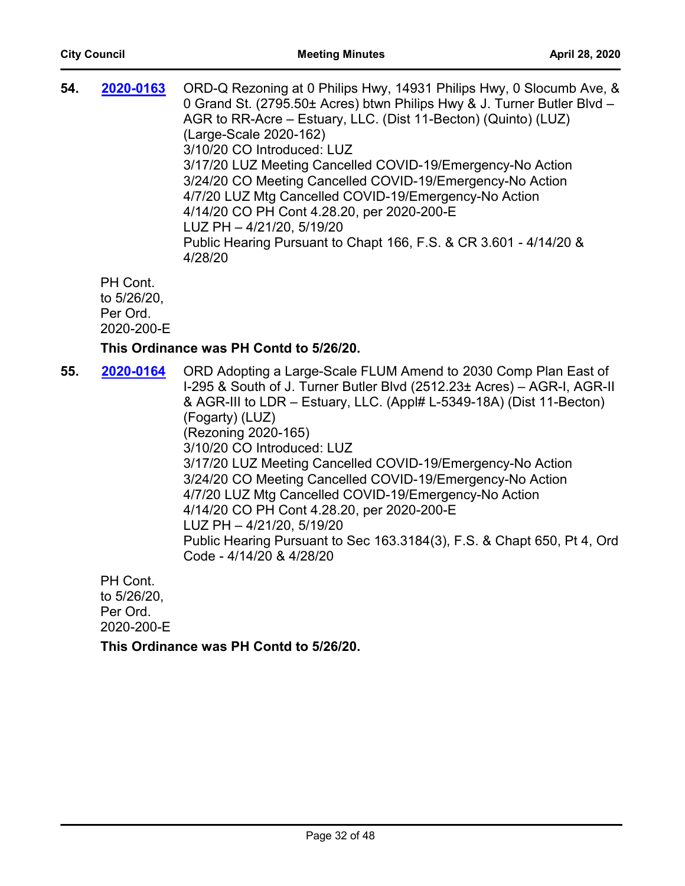| 54. | 2020-0163                                         | ORD-Q Rezoning at 0 Philips Hwy, 14931 Philips Hwy, 0 Slocumb Ave, &<br>0 Grand St. (2795.50± Acres) btwn Philips Hwy & J. Turner Butler Blvd -<br>AGR to RR-Acre - Estuary, LLC. (Dist 11-Becton) (Quinto) (LUZ)<br>(Large-Scale 2020-162)<br>3/10/20 CO Introduced: LUZ<br>3/17/20 LUZ Meeting Cancelled COVID-19/Emergency-No Action<br>3/24/20 CO Meeting Cancelled COVID-19/Emergency-No Action<br>4/7/20 LUZ Mtg Cancelled COVID-19/Emergency-No Action<br>4/14/20 CO PH Cont 4.28.20, per 2020-200-E<br>LUZ PH - 4/21/20, 5/19/20<br>Public Hearing Pursuant to Chapt 166, F.S. & CR 3.601 - 4/14/20 &<br>4/28/20                                         |
|-----|---------------------------------------------------|------------------------------------------------------------------------------------------------------------------------------------------------------------------------------------------------------------------------------------------------------------------------------------------------------------------------------------------------------------------------------------------------------------------------------------------------------------------------------------------------------------------------------------------------------------------------------------------------------------------------------------------------------------------|
|     | PH Cont.<br>to 5/26/20,<br>Per Ord.<br>2020-200-E |                                                                                                                                                                                                                                                                                                                                                                                                                                                                                                                                                                                                                                                                  |
|     |                                                   | This Ordinance was PH Contd to 5/26/20.                                                                                                                                                                                                                                                                                                                                                                                                                                                                                                                                                                                                                          |
| 55. | 2020-0164                                         | ORD Adopting a Large-Scale FLUM Amend to 2030 Comp Plan East of<br>I-295 & South of J. Turner Butler Blvd (2512.23± Acres) - AGR-I, AGR-II<br>& AGR-III to LDR – Estuary, LLC. (Appl# L-5349-18A) (Dist 11-Becton)<br>(Fogarty) (LUZ)<br>(Rezoning 2020-165)<br>3/10/20 CO Introduced: LUZ<br>3/17/20 LUZ Meeting Cancelled COVID-19/Emergency-No Action<br>3/24/20 CO Meeting Cancelled COVID-19/Emergency-No Action<br>4/7/20 LUZ Mtg Cancelled COVID-19/Emergency-No Action<br>4/14/20 CO PH Cont 4.28.20, per 2020-200-E<br>LUZ PH - 4/21/20, 5/19/20<br>Public Hearing Pursuant to Sec 163.3184(3), F.S. & Chapt 650, Pt 4, Ord<br>Code - 4/14/20 & 4/28/20 |
|     | PH Cont.<br>to 5/26/20,<br>Per Ord.<br>2020-200-E |                                                                                                                                                                                                                                                                                                                                                                                                                                                                                                                                                                                                                                                                  |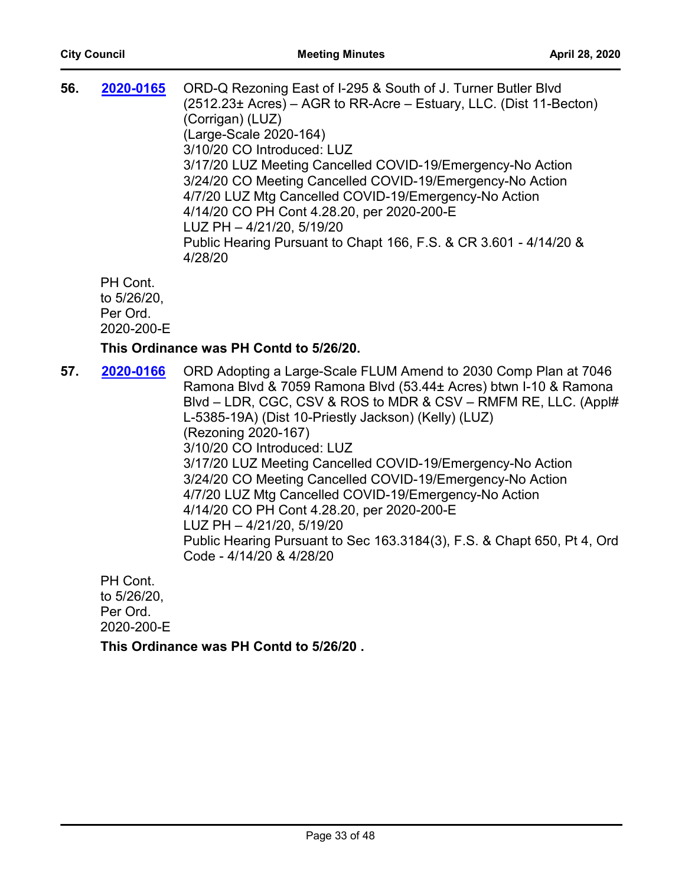| 56. | 2020-0165                                         | ORD-Q Rezoning East of I-295 & South of J. Turner Butler Blvd<br>(2512.23± Acres) – AGR to RR-Acre – Estuary, LLC. (Dist 11-Becton)<br>(Corrigan) (LUZ)<br>(Large-Scale 2020-164)<br>3/10/20 CO Introduced: LUZ<br>3/17/20 LUZ Meeting Cancelled COVID-19/Emergency-No Action<br>3/24/20 CO Meeting Cancelled COVID-19/Emergency-No Action<br>4/7/20 LUZ Mtg Cancelled COVID-19/Emergency-No Action<br>4/14/20 CO PH Cont 4.28.20, per 2020-200-E<br>LUZ PH - 4/21/20, 5/19/20<br>Public Hearing Pursuant to Chapt 166, F.S. & CR 3.601 - 4/14/20 &<br>4/28/20                                                                                                                           |
|-----|---------------------------------------------------|------------------------------------------------------------------------------------------------------------------------------------------------------------------------------------------------------------------------------------------------------------------------------------------------------------------------------------------------------------------------------------------------------------------------------------------------------------------------------------------------------------------------------------------------------------------------------------------------------------------------------------------------------------------------------------------|
|     | PH Cont.<br>to 5/26/20,<br>Per Ord.<br>2020-200-E |                                                                                                                                                                                                                                                                                                                                                                                                                                                                                                                                                                                                                                                                                          |
|     |                                                   | This Ordinance was PH Contd to 5/26/20.                                                                                                                                                                                                                                                                                                                                                                                                                                                                                                                                                                                                                                                  |
| 57. | 2020-0166                                         | ORD Adopting a Large-Scale FLUM Amend to 2030 Comp Plan at 7046<br>Ramona Blvd & 7059 Ramona Blvd (53.44± Acres) btwn I-10 & Ramona<br>Blvd – LDR, CGC, CSV & ROS to MDR & CSV – RMFM RE, LLC. (Appl#<br>L-5385-19A) (Dist 10-Priestly Jackson) (Kelly) (LUZ)<br>(Rezoning 2020-167)<br>3/10/20 CO Introduced: LUZ<br>3/17/20 LUZ Meeting Cancelled COVID-19/Emergency-No Action<br>3/24/20 CO Meeting Cancelled COVID-19/Emergency-No Action<br>4/7/20 LUZ Mtg Cancelled COVID-19/Emergency-No Action<br>4/14/20 CO PH Cont 4.28.20, per 2020-200-E<br>LUZ PH - 4/21/20, 5/19/20<br>Public Hearing Pursuant to Sec 163.3184(3), F.S. & Chapt 650, Pt 4, Ord<br>Code - 4/14/20 & 4/28/20 |
|     | PH Cont.<br>to 5/26/20,                           |                                                                                                                                                                                                                                                                                                                                                                                                                                                                                                                                                                                                                                                                                          |

Per Ord. 2020-200-E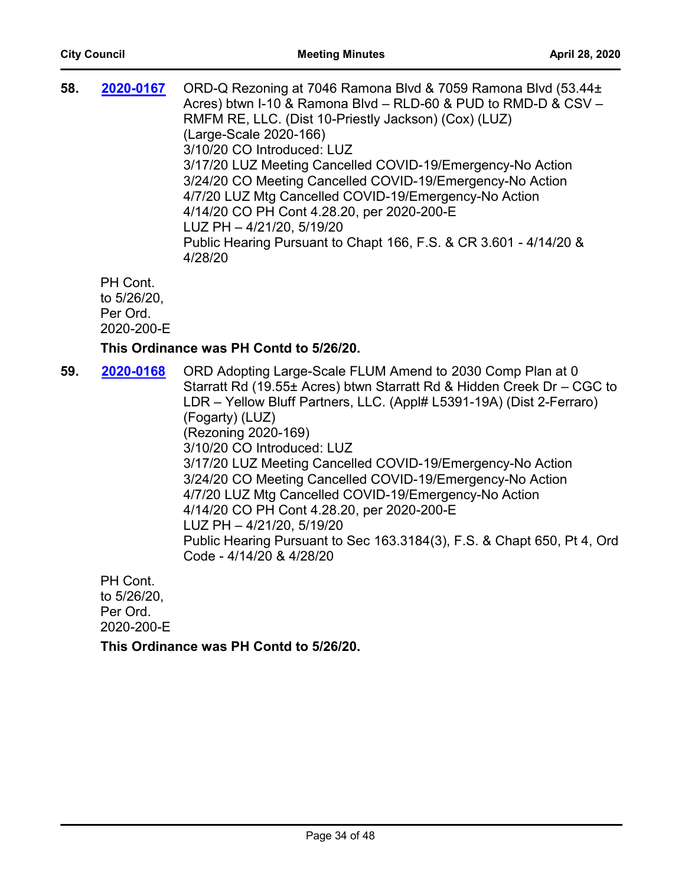| 58. | 2020-0167                                         | ORD-Q Rezoning at 7046 Ramona Blvd & 7059 Ramona Blvd (53.44±<br>Acres) btwn I-10 & Ramona Blvd - RLD-60 & PUD to RMD-D & CSV -<br>RMFM RE, LLC. (Dist 10-Priestly Jackson) (Cox) (LUZ)<br>(Large-Scale 2020-166)<br>3/10/20 CO Introduced: LUZ<br>3/17/20 LUZ Meeting Cancelled COVID-19/Emergency-No Action<br>3/24/20 CO Meeting Cancelled COVID-19/Emergency-No Action<br>4/7/20 LUZ Mtg Cancelled COVID-19/Emergency-No Action<br>4/14/20 CO PH Cont 4.28.20, per 2020-200-E<br>LUZ PH - 4/21/20, 5/19/20<br>Public Hearing Pursuant to Chapt 166, F.S. & CR 3.601 - 4/14/20 &<br>4/28/20                                                             |
|-----|---------------------------------------------------|------------------------------------------------------------------------------------------------------------------------------------------------------------------------------------------------------------------------------------------------------------------------------------------------------------------------------------------------------------------------------------------------------------------------------------------------------------------------------------------------------------------------------------------------------------------------------------------------------------------------------------------------------------|
|     | PH Cont.<br>to 5/26/20,<br>Per Ord.<br>2020-200-E |                                                                                                                                                                                                                                                                                                                                                                                                                                                                                                                                                                                                                                                            |
|     |                                                   | This Ordinance was PH Contd to 5/26/20.                                                                                                                                                                                                                                                                                                                                                                                                                                                                                                                                                                                                                    |
| 59. | 2020-0168                                         | ORD Adopting Large-Scale FLUM Amend to 2030 Comp Plan at 0<br>Starratt Rd (19.55± Acres) btwn Starratt Rd & Hidden Creek Dr - CGC to<br>LDR - Yellow Bluff Partners, LLC. (Appl# L5391-19A) (Dist 2-Ferraro)<br>(Fogarty) (LUZ)<br>(Rezoning 2020-169)<br>3/10/20 CO Introduced: LUZ<br>3/17/20 LUZ Meeting Cancelled COVID-19/Emergency-No Action<br>3/24/20 CO Meeting Cancelled COVID-19/Emergency-No Action<br>4/7/20 LUZ Mtg Cancelled COVID-19/Emergency-No Action<br>4/14/20 CO PH Cont 4.28.20, per 2020-200-E<br>LUZ PH - 4/21/20, 5/19/20<br>Public Hearing Pursuant to Sec 163.3184(3), F.S. & Chapt 650, Pt 4, Ord<br>Code - 4/14/20 & 4/28/20 |
|     | PH Cont.<br>to 5/26/20                            |                                                                                                                                                                                                                                                                                                                                                                                                                                                                                                                                                                                                                                                            |

to 5/26/20, Per Ord. 2020-200-E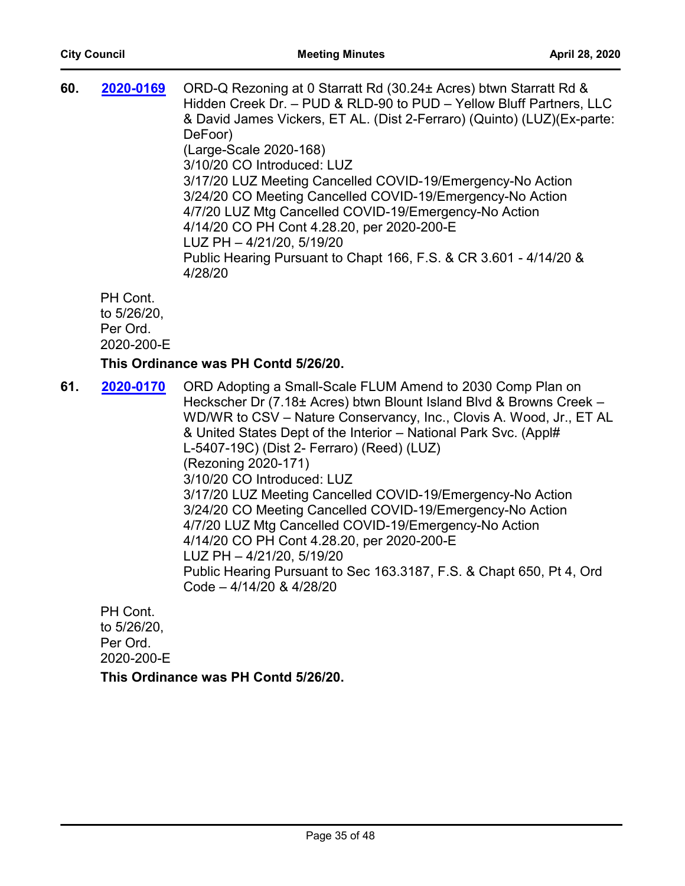| 60. | 2020-0169                                         | ORD-Q Rezoning at 0 Starratt Rd (30.24± Acres) btwn Starratt Rd &<br>Hidden Creek Dr. - PUD & RLD-90 to PUD - Yellow Bluff Partners, LLC<br>& David James Vickers, ET AL. (Dist 2-Ferraro) (Quinto) (LUZ) (Ex-parte:<br>DeFoor)<br>(Large-Scale 2020-168)<br>3/10/20 CO Introduced: LUZ<br>3/17/20 LUZ Meeting Cancelled COVID-19/Emergency-No Action<br>3/24/20 CO Meeting Cancelled COVID-19/Emergency-No Action<br>4/7/20 LUZ Mtg Cancelled COVID-19/Emergency-No Action<br>4/14/20 CO PH Cont 4.28.20, per 2020-200-E<br>LUZ PH - 4/21/20, 5/19/20<br>Public Hearing Pursuant to Chapt 166, F.S. & CR 3.601 - 4/14/20 &<br>4/28/20                                                                                                             |
|-----|---------------------------------------------------|----------------------------------------------------------------------------------------------------------------------------------------------------------------------------------------------------------------------------------------------------------------------------------------------------------------------------------------------------------------------------------------------------------------------------------------------------------------------------------------------------------------------------------------------------------------------------------------------------------------------------------------------------------------------------------------------------------------------------------------------------|
|     | PH Cont.<br>to 5/26/20,<br>Per Ord.<br>2020-200-E |                                                                                                                                                                                                                                                                                                                                                                                                                                                                                                                                                                                                                                                                                                                                                    |
|     |                                                   | This Ordinance was PH Contd 5/26/20.                                                                                                                                                                                                                                                                                                                                                                                                                                                                                                                                                                                                                                                                                                               |
| 61. | 2020-0170                                         | ORD Adopting a Small-Scale FLUM Amend to 2030 Comp Plan on<br>Heckscher Dr (7.18± Acres) btwn Blount Island Blvd & Browns Creek -<br>WD/WR to CSV - Nature Conservancy, Inc., Clovis A. Wood, Jr., ET AL<br>& United States Dept of the Interior - National Park Svc. (Appl#<br>L-5407-19C) (Dist 2- Ferraro) (Reed) (LUZ)<br>(Rezoning 2020-171)<br>3/10/20 CO Introduced: LUZ<br>3/17/20 LUZ Meeting Cancelled COVID-19/Emergency-No Action<br>3/24/20 CO Meeting Cancelled COVID-19/Emergency-No Action<br>4/7/20 LUZ Mtg Cancelled COVID-19/Emergency-No Action<br>4/14/20 CO PH Cont 4.28.20, per 2020-200-E<br>LUZ PH - 4/21/20, 5/19/20<br>Public Hearing Pursuant to Sec 163.3187, F.S. & Chapt 650, Pt 4, Ord<br>Code - 4/14/20 & 4/28/20 |
|     | PH Cont.                                          |                                                                                                                                                                                                                                                                                                                                                                                                                                                                                                                                                                                                                                                                                                                                                    |

to 5/26/20, Per Ord. 2020-200-E **This Ordinance was PH Contd 5/26/20.**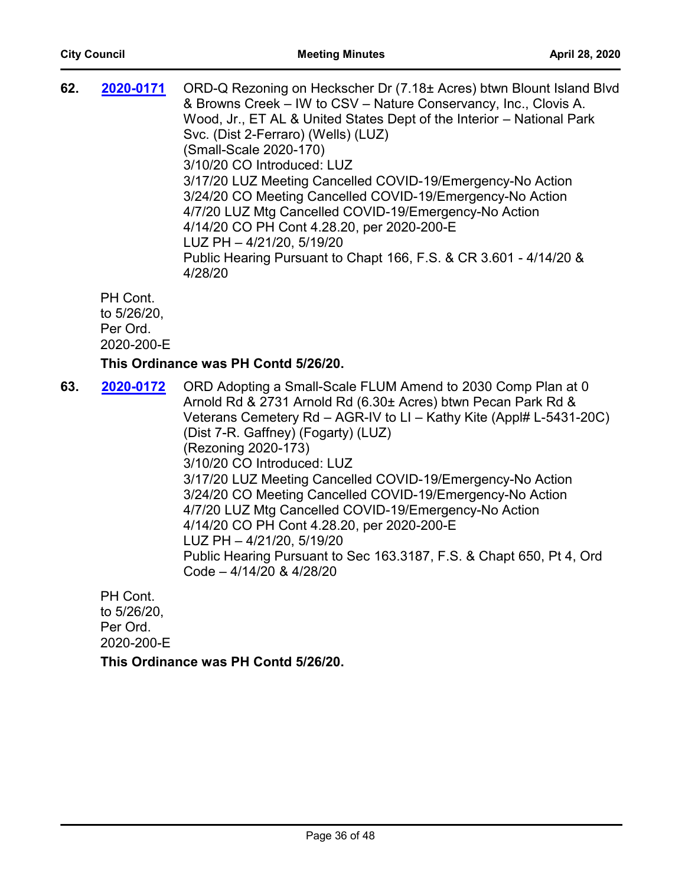| 62. | 2020-0171                                         | ORD-Q Rezoning on Heckscher Dr (7.18± Acres) btwn Blount Island Blvd<br>& Browns Creek – IW to CSV – Nature Conservancy, Inc., Clovis A.<br>Wood, Jr., ET AL & United States Dept of the Interior - National Park<br>Svc. (Dist 2-Ferraro) (Wells) (LUZ)<br>(Small-Scale 2020-170)<br>3/10/20 CO Introduced: LUZ<br>3/17/20 LUZ Meeting Cancelled COVID-19/Emergency-No Action<br>3/24/20 CO Meeting Cancelled COVID-19/Emergency-No Action<br>4/7/20 LUZ Mtg Cancelled COVID-19/Emergency-No Action<br>4/14/20 CO PH Cont 4.28.20, per 2020-200-E<br>LUZ PH - 4/21/20, 5/19/20<br>Public Hearing Pursuant to Chapt 166, F.S. & CR 3.601 - 4/14/20 &<br>4/28/20 |
|-----|---------------------------------------------------|-----------------------------------------------------------------------------------------------------------------------------------------------------------------------------------------------------------------------------------------------------------------------------------------------------------------------------------------------------------------------------------------------------------------------------------------------------------------------------------------------------------------------------------------------------------------------------------------------------------------------------------------------------------------|
|     | PH Cont.<br>to 5/26/20,<br>Per Ord.<br>2020-200-E |                                                                                                                                                                                                                                                                                                                                                                                                                                                                                                                                                                                                                                                                 |

#### **This Ordinance was PH Contd 5/26/20.**

**63. 2020-0172** ORD Adopting a Small-Scale FLUM Amend to 2030 Comp Plan at 0 Arnold Rd & 2731 Arnold Rd (6.30± Acres) btwn Pecan Park Rd & Veterans Cemetery Rd – AGR-IV to LI – Kathy Kite (Appl# L-5431-20C) (Dist 7-R. Gaffney) (Fogarty) (LUZ) (Rezoning 2020-173) 3/10/20 CO Introduced: LUZ 3/17/20 LUZ Meeting Cancelled COVID-19/Emergency-No Action 3/24/20 CO Meeting Cancelled COVID-19/Emergency-No Action 4/7/20 LUZ Mtg Cancelled COVID-19/Emergency-No Action 4/14/20 CO PH Cont 4.28.20, per 2020-200-E LUZ PH – 4/21/20, 5/19/20 Public Hearing Pursuant to Sec 163.3187, F.S. & Chapt 650, Pt 4, Ord Code – 4/14/20 & 4/28/20 **[2020-0172](http://jaxcityc.legistar.com/gateway.aspx?m=l&id=/matter.aspx?key=2239)**

PH Cont. to 5/26/20, Per Ord. 2020-200-E **This Ordinance was PH Contd 5/26/20.**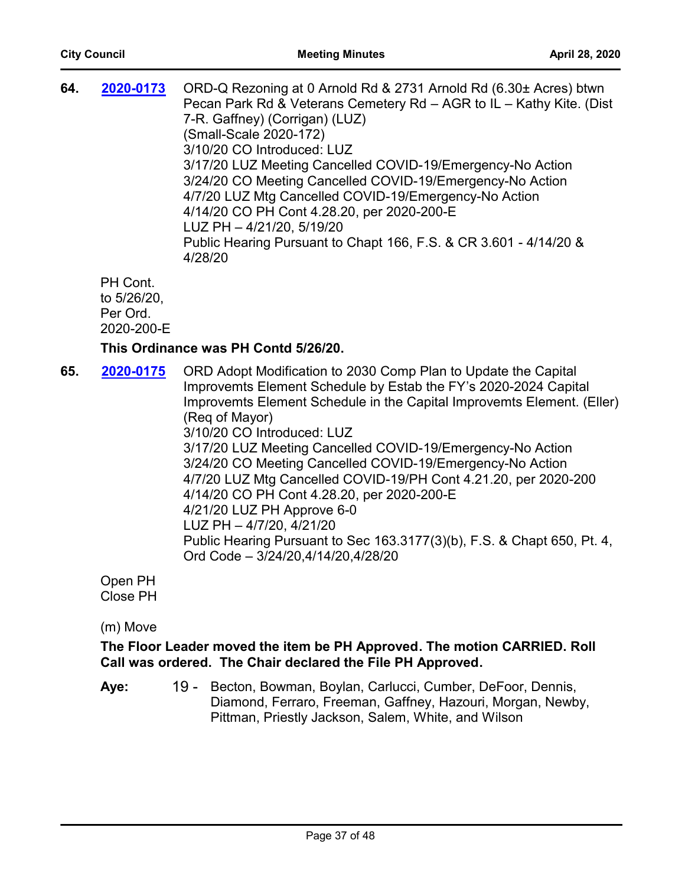| 64. | 2020-0173                                         | ORD-Q Rezoning at 0 Arnold Rd & 2731 Arnold Rd (6.30± Acres) btwn<br>Pecan Park Rd & Veterans Cemetery Rd - AGR to IL - Kathy Kite. (Dist<br>7-R. Gaffney) (Corrigan) (LUZ)<br>(Small-Scale 2020-172)<br>3/10/20 CO Introduced: LUZ<br>3/17/20 LUZ Meeting Cancelled COVID-19/Emergency-No Action<br>3/24/20 CO Meeting Cancelled COVID-19/Emergency-No Action<br>4/7/20 LUZ Mtg Cancelled COVID-19/Emergency-No Action<br>4/14/20 CO PH Cont 4.28.20, per 2020-200-E<br>LUZ PH - 4/21/20, 5/19/20<br>Public Hearing Pursuant to Chapt 166, F.S. & CR 3.601 - 4/14/20 &<br>4/28/20                                                                                                 |
|-----|---------------------------------------------------|------------------------------------------------------------------------------------------------------------------------------------------------------------------------------------------------------------------------------------------------------------------------------------------------------------------------------------------------------------------------------------------------------------------------------------------------------------------------------------------------------------------------------------------------------------------------------------------------------------------------------------------------------------------------------------|
|     | PH Cont.<br>to 5/26/20,<br>Per Ord.<br>2020-200-E |                                                                                                                                                                                                                                                                                                                                                                                                                                                                                                                                                                                                                                                                                    |
|     |                                                   | This Ordinance was PH Contd 5/26/20.                                                                                                                                                                                                                                                                                                                                                                                                                                                                                                                                                                                                                                               |
| 65. | 2020-0175                                         | ORD Adopt Modification to 2030 Comp Plan to Update the Capital<br>Improvemts Element Schedule by Estab the FY's 2020-2024 Capital<br>Improvemts Element Schedule in the Capital Improvemts Element. (Eller)<br>(Reg of Mayor)<br>3/10/20 CO Introduced: LUZ<br>3/17/20 LUZ Meeting Cancelled COVID-19/Emergency-No Action<br>3/24/20 CO Meeting Cancelled COVID-19/Emergency-No Action<br>4/7/20 LUZ Mtg Cancelled COVID-19/PH Cont 4.21.20, per 2020-200<br>4/14/20 CO PH Cont 4.28.20, per 2020-200-E<br>4/21/20 LUZ PH Approve 6-0<br>LUZ PH - 4/7/20, 4/21/20<br>Public Hearing Pursuant to Sec 163.3177(3)(b), F.S. & Chapt 650, Pt. 4,<br>Ord Code - 3/24/20,4/14/20,4/28/20 |
|     | Open PH<br><b>Close PH</b>                        |                                                                                                                                                                                                                                                                                                                                                                                                                                                                                                                                                                                                                                                                                    |

(m) Move

**The Floor Leader moved the item be PH Approved. The motion CARRIED. Roll Call was ordered. The Chair declared the File PH Approved.**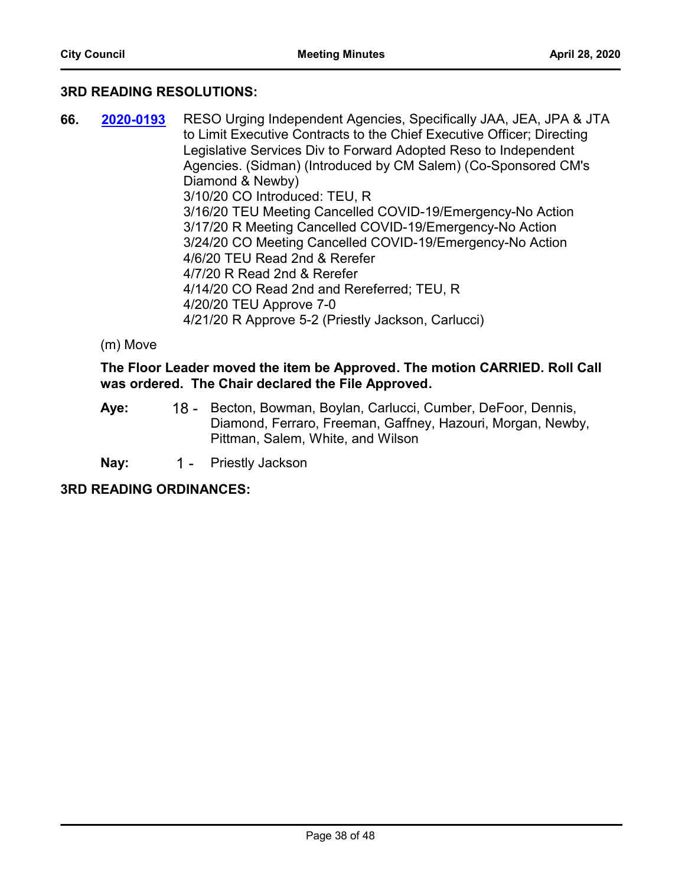# **3RD READING RESOLUTIONS:**

- **66. 2020-0193** RESO Urging Independent Agencies, Specifically JAA, JEA, JPA & JTA to Limit Executive Contracts to the Chief Executive Officer; Directing Legislative Services Div to Forward Adopted Reso to Independent Agencies. (Sidman) (Introduced by CM Salem) (Co-Sponsored CM's Diamond & Newby) 3/10/20 CO Introduced: TEU, R 3/16/20 TEU Meeting Cancelled COVID-19/Emergency-No Action 3/17/20 R Meeting Cancelled COVID-19/Emergency-No Action 3/24/20 CO Meeting Cancelled COVID-19/Emergency-No Action 4/6/20 TEU Read 2nd & Rerefer 4/7/20 R Read 2nd & Rerefer 4/14/20 CO Read 2nd and Rereferred; TEU, R 4/20/20 TEU Approve 7-0 4/21/20 R Approve 5-2 (Priestly Jackson, Carlucci) **[2020-0193](http://jaxcityc.legistar.com/gateway.aspx?m=l&id=/matter.aspx?key=2260)**
	- (m) Move

# **The Floor Leader moved the item be Approved. The motion CARRIED. Roll Call was ordered. The Chair declared the File Approved.**

- 18 Becton, Bowman, Boylan, Carlucci, Cumber, DeFoor, Dennis, Diamond, Ferraro, Freeman, Gaffney, Hazouri, Morgan, Newby, Pittman, Salem, White, and Wilson **Aye:**
- Nay: 1 Priestly Jackson

# **3RD READING ORDINANCES:**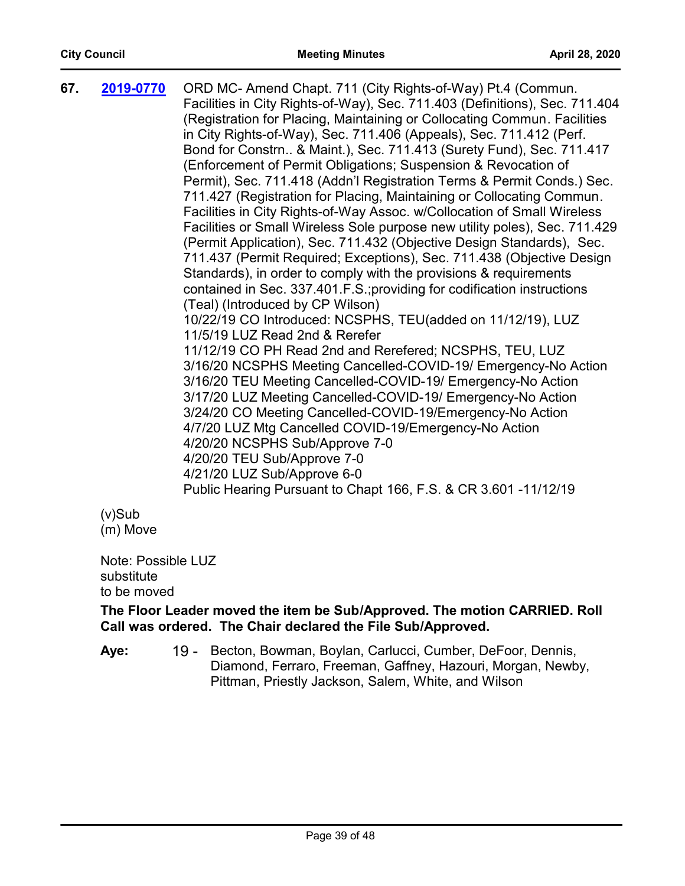| 67. | 2019-0770  | ORD MC- Amend Chapt. 711 (City Rights-of-Way) Pt.4 (Commun.<br>Facilities in City Rights-of-Way), Sec. 711.403 (Definitions), Sec. 711.404<br>(Registration for Placing, Maintaining or Collocating Commun. Facilities<br>in City Rights-of-Way), Sec. 711.406 (Appeals), Sec. 711.412 (Perf.<br>Bond for Constrn & Maint.), Sec. 711.413 (Surety Fund), Sec. 711.417<br>(Enforcement of Permit Obligations; Suspension & Revocation of<br>Permit), Sec. 711.418 (Addn'l Registration Terms & Permit Conds.) Sec.<br>711.427 (Registration for Placing, Maintaining or Collocating Commun.<br>Facilities in City Rights-of-Way Assoc. w/Collocation of Small Wireless<br>Facilities or Small Wireless Sole purpose new utility poles), Sec. 711.429<br>(Permit Application), Sec. 711.432 (Objective Design Standards), Sec.<br>711.437 (Permit Required; Exceptions), Sec. 711.438 (Objective Design<br>Standards), in order to comply with the provisions & requirements<br>contained in Sec. 337.401.F.S.; providing for codification instructions<br>(Teal) (Introduced by CP Wilson)<br>10/22/19 CO Introduced: NCSPHS, TEU(added on 11/12/19), LUZ<br>11/5/19 LUZ Read 2nd & Rerefer<br>11/12/19 CO PH Read 2nd and Rerefered; NCSPHS, TEU, LUZ<br>3/16/20 NCSPHS Meeting Cancelled-COVID-19/ Emergency-No Action<br>3/16/20 TEU Meeting Cancelled-COVID-19/ Emergency-No Action<br>3/17/20 LUZ Meeting Cancelled-COVID-19/ Emergency-No Action<br>3/24/20 CO Meeting Cancelled-COVID-19/Emergency-No Action<br>4/7/20 LUZ Mtg Cancelled COVID-19/Emergency-No Action |
|-----|------------|-----------------------------------------------------------------------------------------------------------------------------------------------------------------------------------------------------------------------------------------------------------------------------------------------------------------------------------------------------------------------------------------------------------------------------------------------------------------------------------------------------------------------------------------------------------------------------------------------------------------------------------------------------------------------------------------------------------------------------------------------------------------------------------------------------------------------------------------------------------------------------------------------------------------------------------------------------------------------------------------------------------------------------------------------------------------------------------------------------------------------------------------------------------------------------------------------------------------------------------------------------------------------------------------------------------------------------------------------------------------------------------------------------------------------------------------------------------------------------------------------------------------------------------------------------------------------------|
|     |            | 4/20/20 NCSPHS Sub/Approve 7-0<br>4/20/20 TEU Sub/Approve 7-0<br>4/21/20 LUZ Sub/Approve 6-0<br>Public Hearing Pursuant to Chapt 166, F.S. & CR 3.601 -11/12/19                                                                                                                                                                                                                                                                                                                                                                                                                                                                                                                                                                                                                                                                                                                                                                                                                                                                                                                                                                                                                                                                                                                                                                                                                                                                                                                                                                                                             |
|     | $\sqrt{2}$ |                                                                                                                                                                                                                                                                                                                                                                                                                                                                                                                                                                                                                                                                                                                                                                                                                                                                                                                                                                                                                                                                                                                                                                                                                                                                                                                                                                                                                                                                                                                                                                             |

(v)Sub (m) Move

Note: Possible LUZ substitute to be moved

# **The Floor Leader moved the item be Sub/Approved. The motion CARRIED. Roll Call was ordered. The Chair declared the File Sub/Approved.**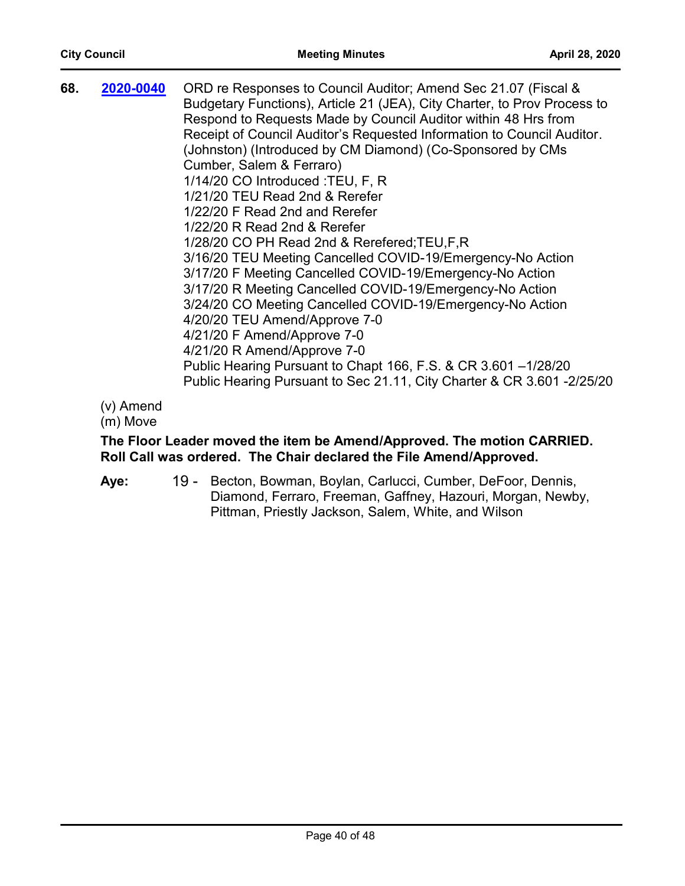| 68. | 2020-0040 | ORD re Responses to Council Auditor; Amend Sec 21.07 (Fiscal &<br>Budgetary Functions), Article 21 (JEA), City Charter, to Prov Process to<br>Respond to Requests Made by Council Auditor within 48 Hrs from<br>Receipt of Council Auditor's Requested Information to Council Auditor.<br>(Johnston) (Introduced by CM Diamond) (Co-Sponsored by CMs<br>Cumber, Salem & Ferraro)<br>1/14/20 CO Introduced : TEU, F, R<br>1/21/20 TEU Read 2nd & Rerefer<br>1/22/20 F Read 2nd and Rerefer<br>1/22/20 R Read 2nd & Rerefer<br>1/28/20 CO PH Read 2nd & Rerefered; TEU, F, R<br>3/16/20 TEU Meeting Cancelled COVID-19/Emergency-No Action<br>3/17/20 F Meeting Cancelled COVID-19/Emergency-No Action<br>3/17/20 R Meeting Cancelled COVID-19/Emergency-No Action<br>3/24/20 CO Meeting Cancelled COVID-19/Emergency-No Action<br>4/20/20 TEU Amend/Approve 7-0<br>4/21/20 F Amend/Approve 7-0<br>4/21/20 R Amend/Approve 7-0 |
|-----|-----------|------------------------------------------------------------------------------------------------------------------------------------------------------------------------------------------------------------------------------------------------------------------------------------------------------------------------------------------------------------------------------------------------------------------------------------------------------------------------------------------------------------------------------------------------------------------------------------------------------------------------------------------------------------------------------------------------------------------------------------------------------------------------------------------------------------------------------------------------------------------------------------------------------------------------------|
|     |           | Public Hearing Pursuant to Chapt 166, F.S. & CR 3.601 -1/28/20<br>Public Hearing Pursuant to Sec 21.11, City Charter & CR 3.601 -2/25/20                                                                                                                                                                                                                                                                                                                                                                                                                                                                                                                                                                                                                                                                                                                                                                                     |
|     |           |                                                                                                                                                                                                                                                                                                                                                                                                                                                                                                                                                                                                                                                                                                                                                                                                                                                                                                                              |

(m) Move

# **The Floor Leader moved the item be Amend/Approved. The motion CARRIED. Roll Call was ordered. The Chair declared the File Amend/Approved.**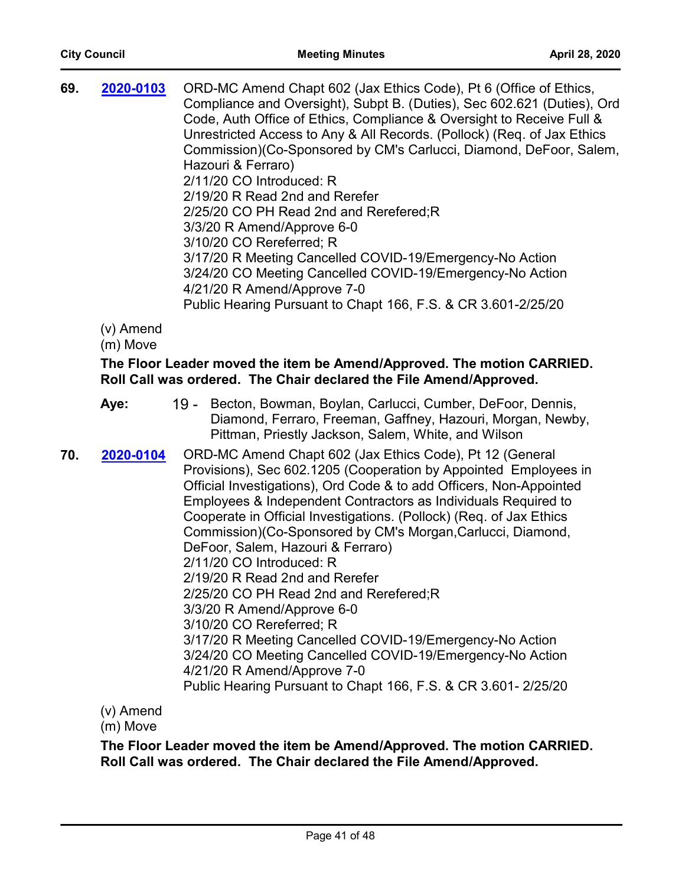| 69. | 2020-0103 | ORD-MC Amend Chapt 602 (Jax Ethics Code), Pt 6 (Office of Ethics,       |
|-----|-----------|-------------------------------------------------------------------------|
|     |           | Compliance and Oversight), Subpt B. (Duties), Sec 602.621 (Duties), Ord |
|     |           | Code, Auth Office of Ethics, Compliance & Oversight to Receive Full &   |
|     |           | Unrestricted Access to Any & All Records. (Pollock) (Req. of Jax Ethics |
|     |           | Commission)(Co-Sponsored by CM's Carlucci, Diamond, DeFoor, Salem,      |
|     |           | Hazouri & Ferraro)                                                      |
|     |           | 2/11/20 CO Introduced: R                                                |
|     |           | 2/19/20 R Read 2nd and Rerefer                                          |
|     |           | 2/25/20 CO PH Read 2nd and Rerefered; R                                 |
|     |           | 3/3/20 R Amend/Approve 6-0                                              |
|     |           | 3/10/20 CO Rereferred; R                                                |
|     |           | 3/17/20 R Meeting Cancelled COVID-19/Emergency-No Action                |
|     |           | 3/24/20 CO Meeting Cancelled COVID-19/Emergency-No Action               |
|     |           | 4/21/20 R Amend/Approve 7-0                                             |
|     |           | Public Hearing Pursuant to Chapt 166, F.S. & CR 3.601-2/25/20           |
|     |           |                                                                         |

(m) Move

# **The Floor Leader moved the item be Amend/Approved. The motion CARRIED. Roll Call was ordered. The Chair declared the File Amend/Approved.**

- 19 Becton, Bowman, Boylan, Carlucci, Cumber, DeFoor, Dennis, Diamond, Ferraro, Freeman, Gaffney, Hazouri, Morgan, Newby, Pittman, Priestly Jackson, Salem, White, and Wilson **Aye:**
- **70. 2020-0104** ORD-MC Amend Chapt 602 (Jax Ethics Code), Pt 12 (General Provisions), Sec 602.1205 (Cooperation by Appointed Employees in Official Investigations), Ord Code & to add Officers, Non-Appointed Employees & Independent Contractors as Individuals Required to Cooperate in Official Investigations. (Pollock) (Req. of Jax Ethics Commission)(Co-Sponsored by CM's Morgan,Carlucci, Diamond, DeFoor, Salem, Hazouri & Ferraro) 2/11/20 CO Introduced: R 2/19/20 R Read 2nd and Rerefer 2/25/20 CO PH Read 2nd and Rerefered;R 3/3/20 R Amend/Approve 6-0 3/10/20 CO Rereferred; R 3/17/20 R Meeting Cancelled COVID-19/Emergency-No Action 3/24/20 CO Meeting Cancelled COVID-19/Emergency-No Action 4/21/20 R Amend/Approve 7-0 Public Hearing Pursuant to Chapt 166, F.S. & CR 3.601- 2/25/20 **[2020-0104](http://jaxcityc.legistar.com/gateway.aspx?m=l&id=/matter.aspx?key=2165)**

(v) Amend

(m) Move

**The Floor Leader moved the item be Amend/Approved. The motion CARRIED. Roll Call was ordered. The Chair declared the File Amend/Approved.**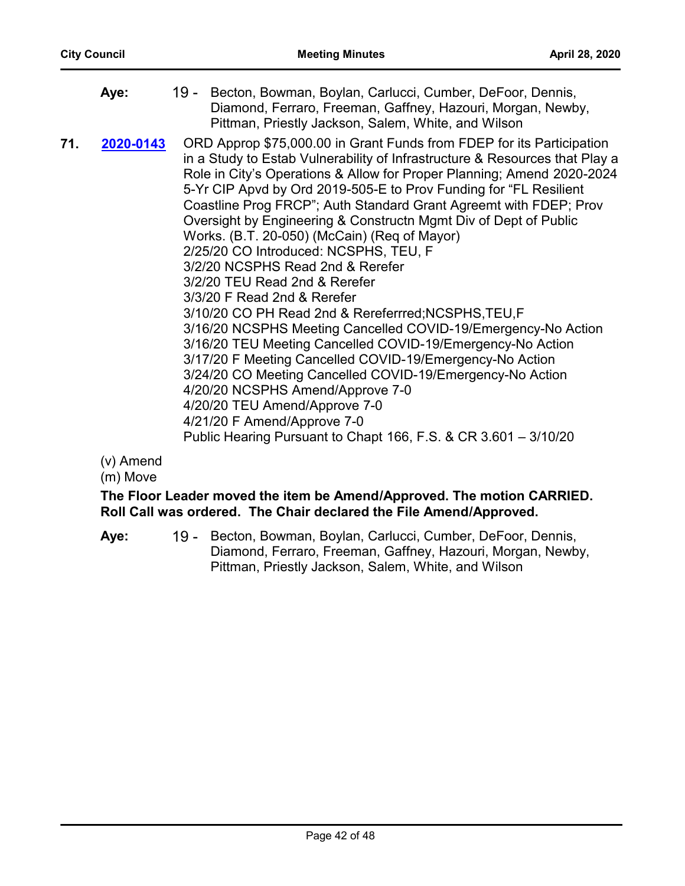|     | Aye:      | 19 - Becton, Bowman, Boylan, Carlucci, Cumber, DeFoor, Dennis,<br>Diamond, Ferraro, Freeman, Gaffney, Hazouri, Morgan, Newby,<br>Pittman, Priestly Jackson, Salem, White, and Wilson                                                                                                                                                                                                                                                                                                                                                                                                                                                                                                                                                                                                                                                                                                                                                                                                                                                                                                                                             |
|-----|-----------|----------------------------------------------------------------------------------------------------------------------------------------------------------------------------------------------------------------------------------------------------------------------------------------------------------------------------------------------------------------------------------------------------------------------------------------------------------------------------------------------------------------------------------------------------------------------------------------------------------------------------------------------------------------------------------------------------------------------------------------------------------------------------------------------------------------------------------------------------------------------------------------------------------------------------------------------------------------------------------------------------------------------------------------------------------------------------------------------------------------------------------|
| 71. | 2020-0143 | ORD Approp \$75,000.00 in Grant Funds from FDEP for its Participation<br>in a Study to Estab Vulnerability of Infrastructure & Resources that Play a<br>Role in City's Operations & Allow for Proper Planning; Amend 2020-2024<br>5-Yr CIP Apvd by Ord 2019-505-E to Prov Funding for "FL Resilient<br>Coastline Prog FRCP"; Auth Standard Grant Agreemt with FDEP; Prov<br>Oversight by Engineering & Constructn Mgmt Div of Dept of Public<br>Works. (B.T. 20-050) (McCain) (Req of Mayor)<br>2/25/20 CO Introduced: NCSPHS, TEU, F<br>3/2/20 NCSPHS Read 2nd & Rerefer<br>3/2/20 TEU Read 2nd & Rerefer<br>3/3/20 F Read 2nd & Rerefer<br>3/10/20 CO PH Read 2nd & Rereferrred; NCSPHS, TEU, F<br>3/16/20 NCSPHS Meeting Cancelled COVID-19/Emergency-No Action<br>3/16/20 TEU Meeting Cancelled COVID-19/Emergency-No Action<br>3/17/20 F Meeting Cancelled COVID-19/Emergency-No Action<br>3/24/20 CO Meeting Cancelled COVID-19/Emergency-No Action<br>4/20/20 NCSPHS Amend/Approve 7-0<br>4/20/20 TEU Amend/Approve 7-0<br>4/21/20 F Amend/Approve 7-0<br>Public Hearing Pursuant to Chapt 166, F.S. & CR 3.601 - 3/10/20 |

(m) Move

**The Floor Leader moved the item be Amend/Approved. The motion CARRIED. Roll Call was ordered. The Chair declared the File Amend/Approved.**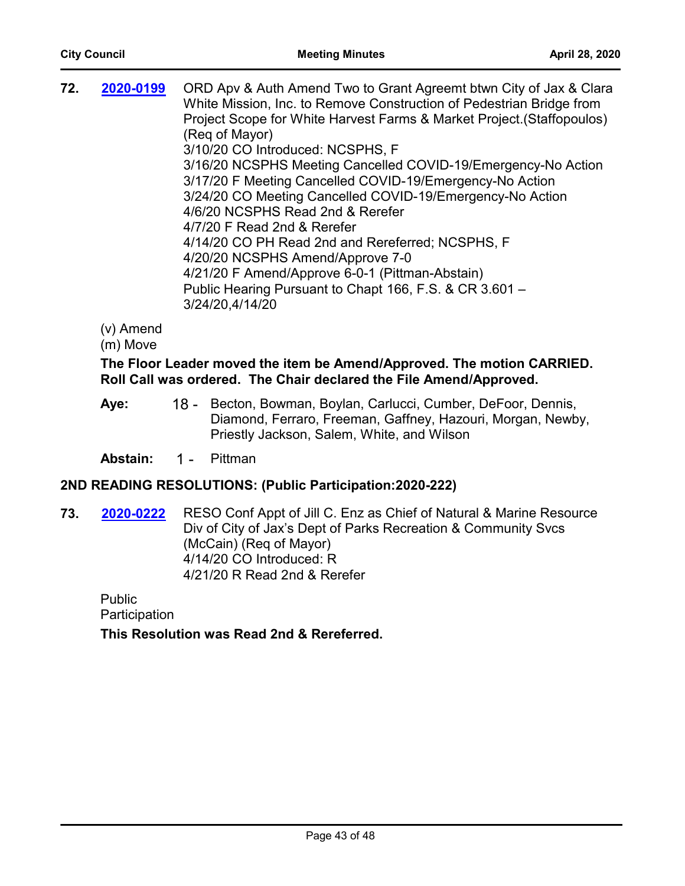|  | 72. | 2020-0199 | ORD Apv & Auth Amend Two to Grant Agreemt btwn City of Jax & Clara<br>White Mission, Inc. to Remove Construction of Pedestrian Bridge from<br>Project Scope for White Harvest Farms & Market Project. (Staffopoulos)<br>(Reg of Mayor)<br>3/10/20 CO Introduced: NCSPHS, F<br>3/16/20 NCSPHS Meeting Cancelled COVID-19/Emergency-No Action<br>3/17/20 F Meeting Cancelled COVID-19/Emergency-No Action<br>3/24/20 CO Meeting Cancelled COVID-19/Emergency-No Action<br>4/6/20 NCSPHS Read 2nd & Rerefer<br>4/7/20 F Read 2nd & Rerefer<br>4/14/20 CO PH Read 2nd and Rereferred; NCSPHS, F<br>4/20/20 NCSPHS Amend/Approve 7-0<br>4/21/20 F Amend/Approve 6-0-1 (Pittman-Abstain)<br>Public Hearing Pursuant to Chapt 166, F.S. & CR 3.601 -<br>3/24/20,4/14/20 |
|--|-----|-----------|------------------------------------------------------------------------------------------------------------------------------------------------------------------------------------------------------------------------------------------------------------------------------------------------------------------------------------------------------------------------------------------------------------------------------------------------------------------------------------------------------------------------------------------------------------------------------------------------------------------------------------------------------------------------------------------------------------------------------------------------------------------|
|--|-----|-----------|------------------------------------------------------------------------------------------------------------------------------------------------------------------------------------------------------------------------------------------------------------------------------------------------------------------------------------------------------------------------------------------------------------------------------------------------------------------------------------------------------------------------------------------------------------------------------------------------------------------------------------------------------------------------------------------------------------------------------------------------------------------|

(m) Move

# **The Floor Leader moved the item be Amend/Approved. The motion CARRIED. Roll Call was ordered. The Chair declared the File Amend/Approved.**

18 - Becton, Bowman, Boylan, Carlucci, Cumber, DeFoor, Dennis, Diamond, Ferraro, Freeman, Gaffney, Hazouri, Morgan, Newby, Priestly Jackson, Salem, White, and Wilson **Aye:**

**Abstain:** 1 - Pittman

# **2ND READING RESOLUTIONS: (Public Participation:2020-222)**

**73. 2020-0222** RESO Conf Appt of Jill C. Enz as Chief of Natural & Marine Resource Div of City of Jax's Dept of Parks Recreation & Community Svcs (McCain) (Req of Mayor) 4/14/20 CO Introduced: R 4/21/20 R Read 2nd & Rerefer **[2020-0222](http://jaxcityc.legistar.com/gateway.aspx?m=l&id=/matter.aspx?key=2295)**

Public **Participation** 

**This Resolution was Read 2nd & Rereferred.**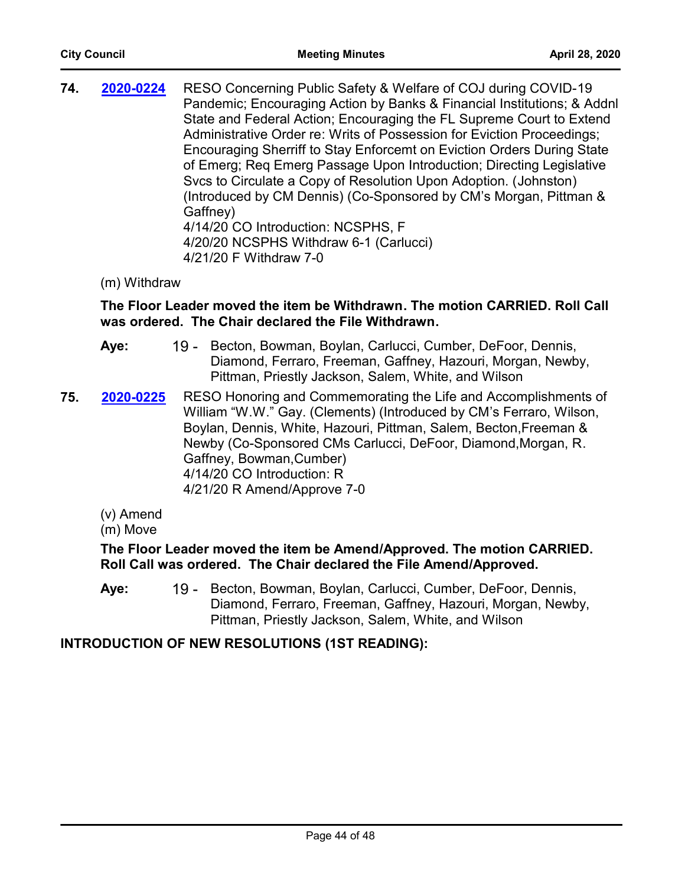**74. 2020-0224** RESO Concerning Public Safety & Welfare of COJ during COVID-19 Pandemic; Encouraging Action by Banks & Financial Institutions; & Addnl State and Federal Action; Encouraging the FL Supreme Court to Extend Administrative Order re: Writs of Possession for Eviction Proceedings; Encouraging Sherriff to Stay Enforcemt on Eviction Orders During State of Emerg; Req Emerg Passage Upon Introduction; Directing Legislative Svcs to Circulate a Copy of Resolution Upon Adoption. (Johnston) (Introduced by CM Dennis) (Co-Sponsored by CM's Morgan, Pittman & Gaffney) 4/14/20 CO Introduction: NCSPHS, F 4/20/20 NCSPHS Withdraw 6-1 (Carlucci) 4/21/20 F Withdraw 7-0 **[2020-0224](http://jaxcityc.legistar.com/gateway.aspx?m=l&id=/matter.aspx?key=2297)**

# (m) Withdraw

# **The Floor Leader moved the item be Withdrawn. The motion CARRIED. Roll Call was ordered. The Chair declared the File Withdrawn.**

- 19 Becton, Bowman, Boylan, Carlucci, Cumber, DeFoor, Dennis, Diamond, Ferraro, Freeman, Gaffney, Hazouri, Morgan, Newby, Pittman, Priestly Jackson, Salem, White, and Wilson **Aye:**
- **75. 2020-0225** RESO Honoring and Commemorating the Life and Accomplishments of William "W.W." Gay. (Clements) (Introduced by CM's Ferraro, Wilson, Boylan, Dennis, White, Hazouri, Pittman, Salem, Becton,Freeman & Newby (Co-Sponsored CMs Carlucci, DeFoor, Diamond,Morgan, R. Gaffney, Bowman,Cumber) 4/14/20 CO Introduction: R 4/21/20 R Amend/Approve 7-0 **[2020-0225](http://jaxcityc.legistar.com/gateway.aspx?m=l&id=/matter.aspx?key=2298)**
	- (v) Amend
	- (m) Move

# **The Floor Leader moved the item be Amend/Approved. The motion CARRIED. Roll Call was ordered. The Chair declared the File Amend/Approved.**

19 - Becton, Bowman, Boylan, Carlucci, Cumber, DeFoor, Dennis, Diamond, Ferraro, Freeman, Gaffney, Hazouri, Morgan, Newby, Pittman, Priestly Jackson, Salem, White, and Wilson **Aye:**

# **INTRODUCTION OF NEW RESOLUTIONS (1ST READING):**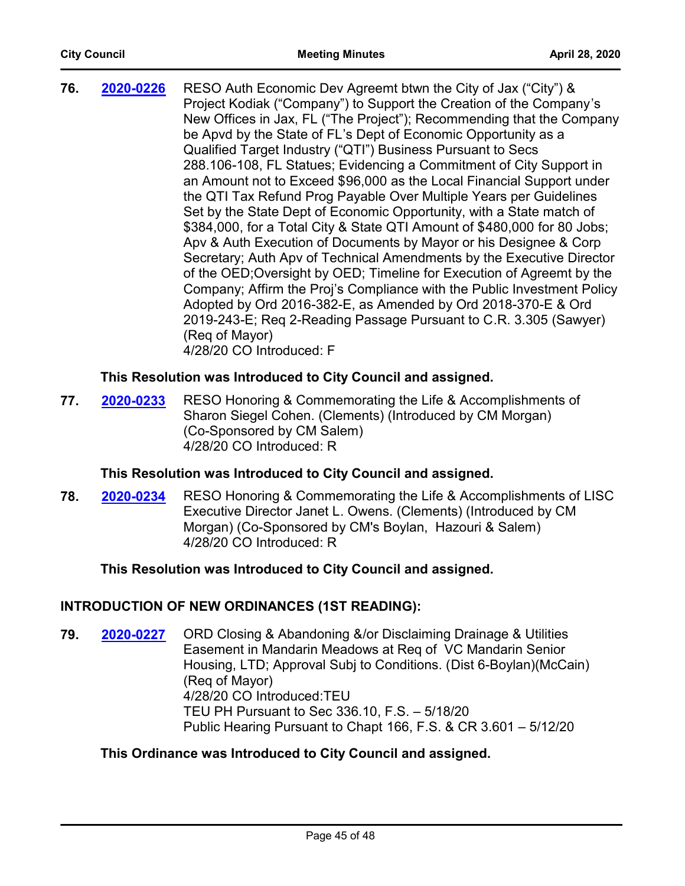| 76. | 2020-0226 | RESO Auth Economic Dev Agreemt btwn the City of Jax ("City") &           |
|-----|-----------|--------------------------------------------------------------------------|
|     |           | Project Kodiak ("Company") to Support the Creation of the Company's      |
|     |           | New Offices in Jax, FL ("The Project"); Recommending that the Company    |
|     |           | be Apvd by the State of FL's Dept of Economic Opportunity as a           |
|     |           | Qualified Target Industry ("QTI") Business Pursuant to Secs              |
|     |           | 288.106-108, FL Statues; Evidencing a Commitment of City Support in      |
|     |           | an Amount not to Exceed \$96,000 as the Local Financial Support under    |
|     |           | the QTI Tax Refund Prog Payable Over Multiple Years per Guidelines       |
|     |           | Set by the State Dept of Economic Opportunity, with a State match of     |
|     |           | \$384,000, for a Total City & State QTI Amount of \$480,000 for 80 Jobs; |
|     |           | Apv & Auth Execution of Documents by Mayor or his Designee & Corp        |
|     |           | Secretary; Auth Apv of Technical Amendments by the Executive Director    |
|     |           | of the OED; Oversight by OED; Timeline for Execution of Agreemt by the   |
|     |           | Company; Affirm the Proj's Compliance with the Public Investment Policy  |
|     |           | Adopted by Ord 2016-382-E, as Amended by Ord 2018-370-E & Ord            |
|     |           | 2019-243-E; Req 2-Reading Passage Pursuant to C.R. 3.305 (Sawyer)        |
|     |           | (Reg of Mayor)                                                           |
|     |           | 4/28/20 CO Introduced: F                                                 |

# **This Resolution was Introduced to City Council and assigned.**

**77. 2020-0233** RESO Honoring & Commemorating the Life & Accomplishments of Sharon Siegel Cohen. (Clements) (Introduced by CM Morgan) (Co-Sponsored by CM Salem) 4/28/20 CO Introduced: R **[2020-0233](http://jaxcityc.legistar.com/gateway.aspx?m=l&id=/matter.aspx?key=2308)**

# **This Resolution was Introduced to City Council and assigned.**

**78. 2020-0234** RESO Honoring & Commemorating the Life & Accomplishments of LISC Executive Director Janet L. Owens. (Clements) (Introduced by CM Morgan) (Co-Sponsored by CM's Boylan, Hazouri & Salem) 4/28/20 CO Introduced: R **[2020-0234](http://jaxcityc.legistar.com/gateway.aspx?m=l&id=/matter.aspx?key=2307)**

# **This Resolution was Introduced to City Council and assigned.**

# **INTRODUCTION OF NEW ORDINANCES (1ST READING):**

**79. 2020-0227** ORD Closing & Abandoning &/or Disclaiming Drainage & Utilities Easement in Mandarin Meadows at Req of VC Mandarin Senior Housing, LTD; Approval Subj to Conditions. (Dist 6-Boylan)(McCain) (Req of Mayor) 4/28/20 CO Introduced:TEU TEU PH Pursuant to Sec 336.10, F.S. – 5/18/20 Public Hearing Pursuant to Chapt 166, F.S. & CR 3.601 – 5/12/20 **[2020-0227](http://jaxcityc.legistar.com/gateway.aspx?m=l&id=/matter.aspx?key=2301)**

# **This Ordinance was Introduced to City Council and assigned.**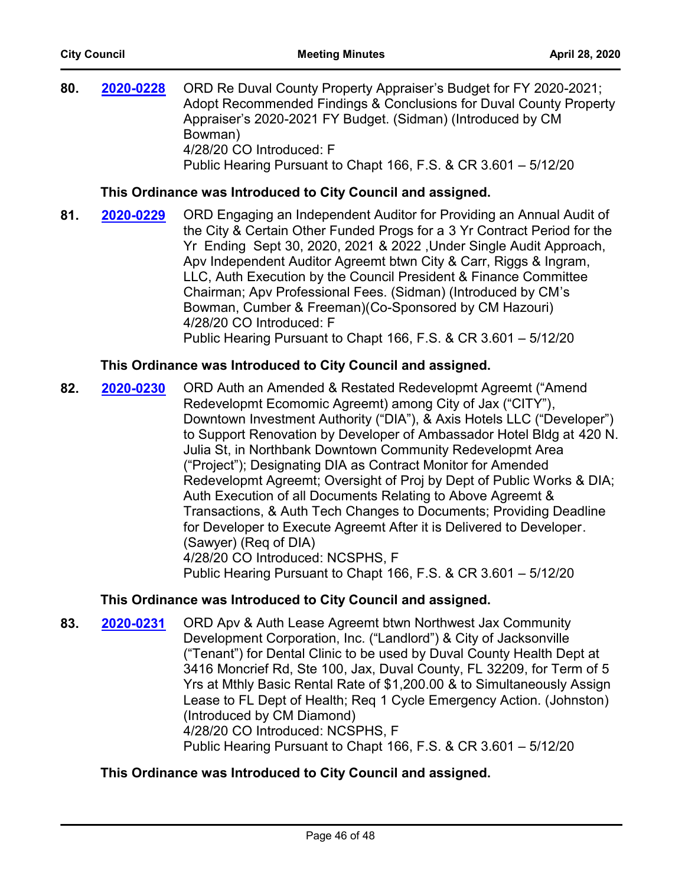**80. 2020-0228** ORD Re Duval County Property Appraiser's Budget for FY 2020-2021; Adopt Recommended Findings & Conclusions for Duval County Property Appraiser's 2020-2021 FY Budget. (Sidman) (Introduced by CM Bowman) 4/28/20 CO Introduced: F Public Hearing Pursuant to Chapt 166, F.S. & CR 3.601 – 5/12/20 **[2020-0228](http://jaxcityc.legistar.com/gateway.aspx?m=l&id=/matter.aspx?key=2302)**

# **This Ordinance was Introduced to City Council and assigned.**

81. **2020-0229** ORD Engaging an Independent Auditor for Providing an Annual Audit of the City & Certain Other Funded Progs for a 3 Yr Contract Period for the Yr Ending Sept 30, 2020, 2021 & 2022 ,Under Single Audit Approach, Apv Independent Auditor Agreemt btwn City & Carr, Riggs & Ingram, LLC, Auth Execution by the Council President & Finance Committee Chairman; Apv Professional Fees. (Sidman) (Introduced by CM's Bowman, Cumber & Freeman)(Co-Sponsored by CM Hazouri) 4/28/20 CO Introduced: F Public Hearing Pursuant to Chapt 166, F.S. & CR 3.601 – 5/12/20 **[2020-0229](http://jaxcityc.legistar.com/gateway.aspx?m=l&id=/matter.aspx?key=2303)**

# **This Ordinance was Introduced to City Council and assigned.**

**82. 2020-0230** ORD Auth an Amended & Restated Redevelopmt Agreemt ("Amend Redevelopmt Ecomomic Agreemt) among City of Jax ("CITY"), Downtown Investment Authority ("DIA"), & Axis Hotels LLC ("Developer") to Support Renovation by Developer of Ambassador Hotel Bldg at 420 N. Julia St, in Northbank Downtown Community Redevelopmt Area ("Project"); Designating DIA as Contract Monitor for Amended Redevelopmt Agreemt; Oversight of Proj by Dept of Public Works & DIA; Auth Execution of all Documents Relating to Above Agreemt & Transactions, & Auth Tech Changes to Documents; Providing Deadline for Developer to Execute Agreemt After it is Delivered to Developer. (Sawyer) (Req of DIA) 4/28/20 CO Introduced: NCSPHS, F Public Hearing Pursuant to Chapt 166, F.S. & CR 3.601 – 5/12/20 **[2020-0230](http://jaxcityc.legistar.com/gateway.aspx?m=l&id=/matter.aspx?key=2304)**

# **This Ordinance was Introduced to City Council and assigned.**

83. **2020-0231** ORD Apv & Auth Lease Agreemt btwn Northwest Jax Community Development Corporation, Inc. ("Landlord") & City of Jacksonville ("Tenant") for Dental Clinic to be used by Duval County Health Dept at 3416 Moncrief Rd, Ste 100, Jax, Duval County, FL 32209, for Term of 5 Yrs at Mthly Basic Rental Rate of \$1,200.00 & to Simultaneously Assign Lease to FL Dept of Health; Req 1 Cycle Emergency Action. (Johnston) (Introduced by CM Diamond) 4/28/20 CO Introduced: NCSPHS, F Public Hearing Pursuant to Chapt 166, F.S. & CR 3.601 – 5/12/20 **[2020-0231](http://jaxcityc.legistar.com/gateway.aspx?m=l&id=/matter.aspx?key=2305)**

# **This Ordinance was Introduced to City Council and assigned.**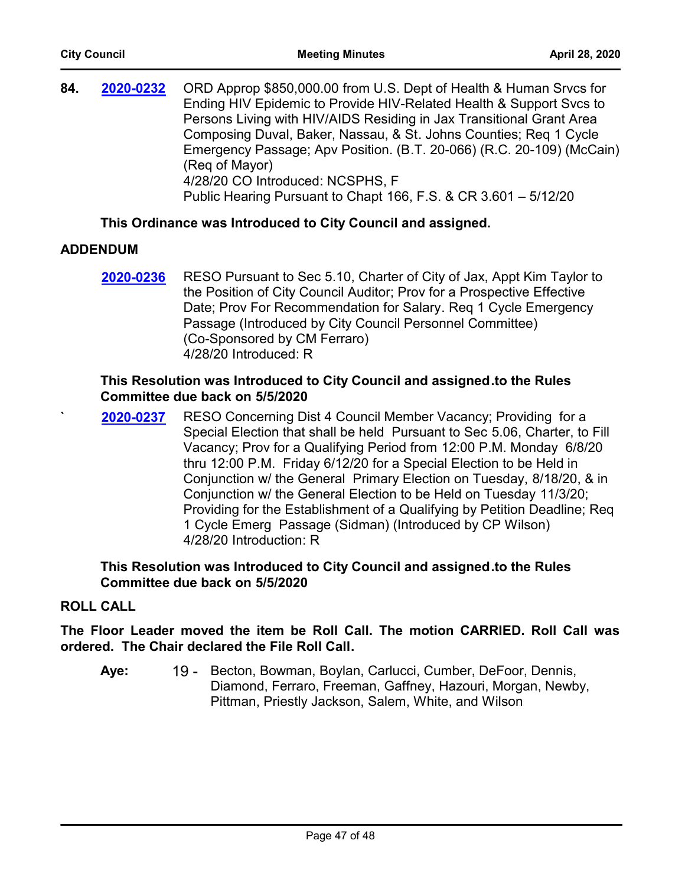**84. 2020-0232** ORD Approp \$850,000.00 from U.S. Dept of Health & Human Srvcs for Ending HIV Epidemic to Provide HIV-Related Health & Support Svcs to Persons Living with HIV/AIDS Residing in Jax Transitional Grant Area Composing Duval, Baker, Nassau, & St. Johns Counties; Req 1 Cycle Emergency Passage; Apv Position. (B.T. 20-066) (R.C. 20-109) (McCain) (Req of Mayor) 4/28/20 CO Introduced: NCSPHS, F Public Hearing Pursuant to Chapt 166, F.S. & CR 3.601 – 5/12/20 **[2020-0232](http://jaxcityc.legistar.com/gateway.aspx?m=l&id=/matter.aspx?key=2306)**

# **This Ordinance was Introduced to City Council and assigned.**

# **ADDENDUM**

RESO Pursuant to Sec 5.10, Charter of City of Jax, Appt Kim Taylor to the Position of City Council Auditor; Prov for a Prospective Effective Date; Prov For Recommendation for Salary. Req 1 Cycle Emergency Passage (Introduced by City Council Personnel Committee) (Co-Sponsored by CM Ferraro) 4/28/20 Introduced: R **[2020-0236](http://jaxcityc.legistar.com/gateway.aspx?m=l&id=/matter.aspx?key=2311)**

# **This Resolution was Introduced to City Council and assigned.to the Rules Committee due back on 5/5/2020**

**`** RESO Concerning Dist 4 Council Member Vacancy; Providing for a Special Election that shall be held Pursuant to Sec 5.06, Charter, to Fill Vacancy; Prov for a Qualifying Period from 12:00 P.M. Monday 6/8/20 thru 12:00 P.M. Friday 6/12/20 for a Special Election to be Held in Conjunction w/ the General Primary Election on Tuesday, 8/18/20, & in Conjunction w/ the General Election to be Held on Tuesday 11/3/20; Providing for the Establishment of a Qualifying by Petition Deadline; Req 1 Cycle Emerg Passage (Sidman) (Introduced by CP Wilson) 4/28/20 Introduction: R **[2020-0237](http://jaxcityc.legistar.com/gateway.aspx?m=l&id=/matter.aspx?key=2312)**

# **This Resolution was Introduced to City Council and assigned.to the Rules Committee due back on 5/5/2020**

# **ROLL CALL**

**The Floor Leader moved the item be Roll Call. The motion CARRIED. Roll Call was ordered. The Chair declared the File Roll Call.**